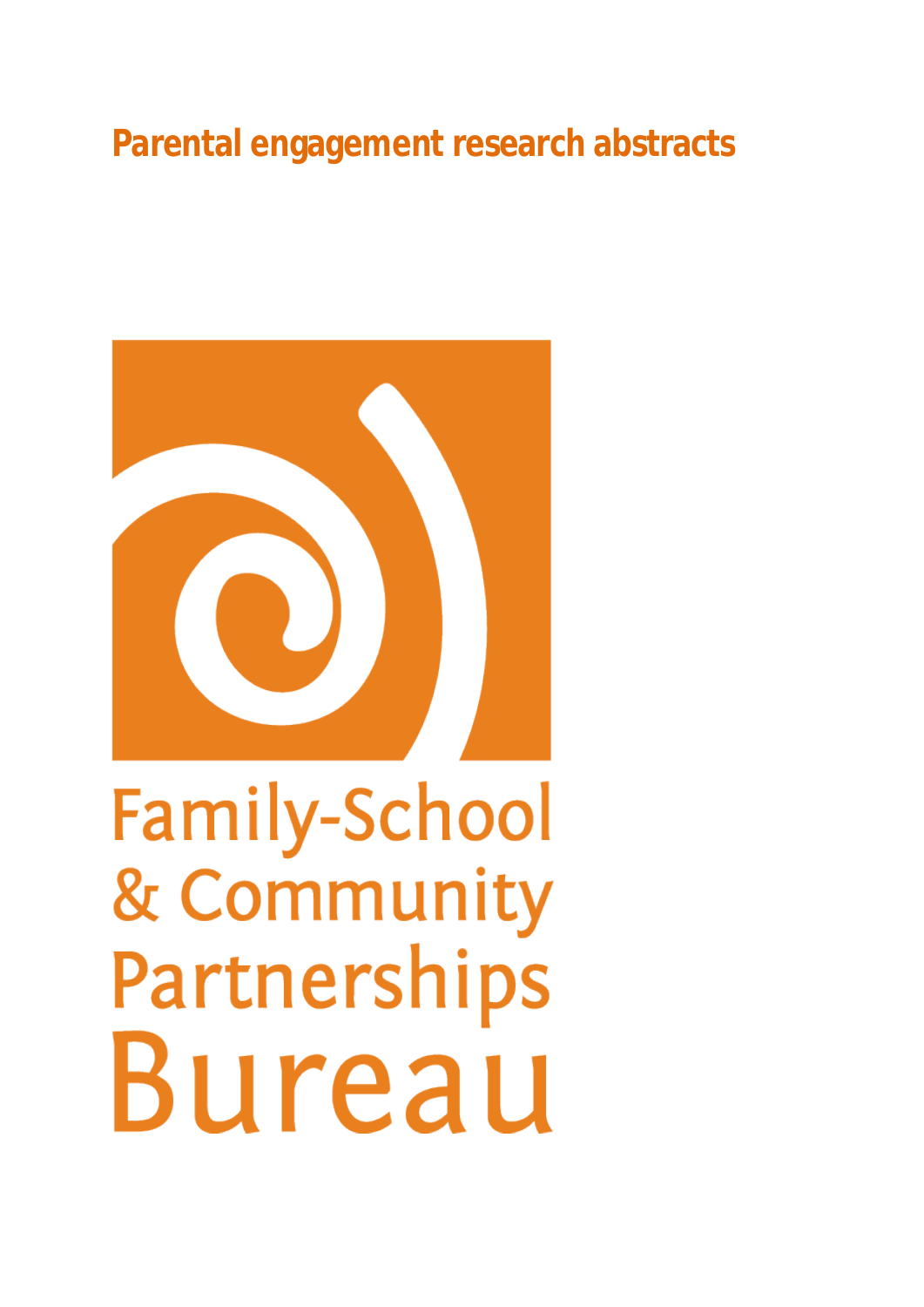# **Parental engagement research abstracts**



**Family-School** & Community Partnerships Bureau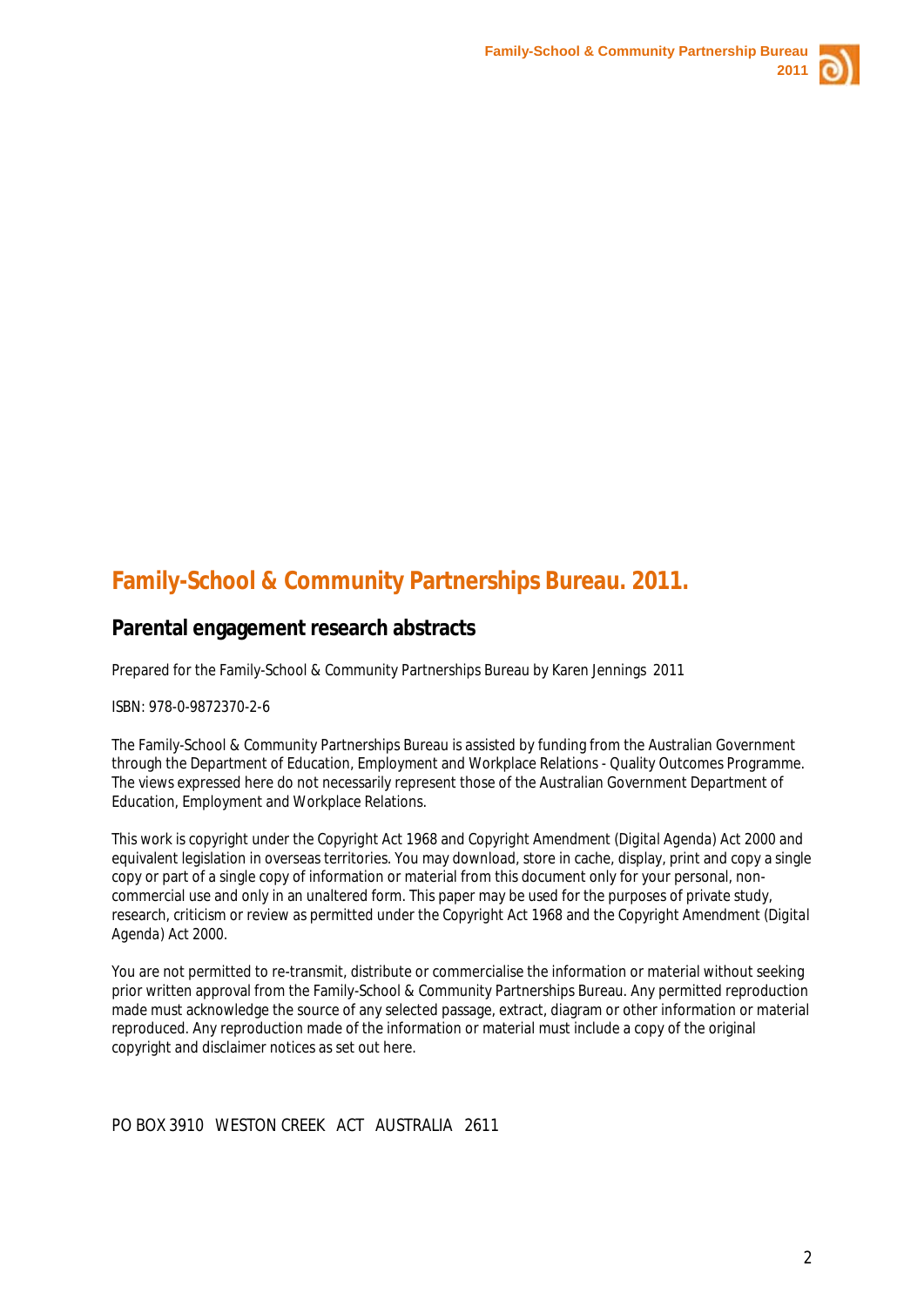

# **Family-School & Community Partnerships Bureau. 2011.**

# **Parental engagement research abstracts**

Prepared for the Family-School & Community Partnerships Bureau by Karen Jennings 2011

ISBN: 978-0-9872370-2-6

The Family-School & Community Partnerships Bureau is assisted by funding from the Australian Government through the Department of Education, Employment and Workplace Relations - Quality Outcomes Programme. The views expressed here do not necessarily represent those of the Australian Government Department of Education, Employment and Workplace Relations.

This work is copyright under the *Copyright Act 1968* and *Copyright Amendment (Digital Agenda) Act 2000* and equivalent legislation in overseas territories. You may download, store in cache, display, print and copy a single copy or part of a single copy of information or material from this document only for your personal, noncommercial use and only in an unaltered form. This paper may be used for the purposes of private study, research, criticism or review as permitted under the *Copyright Act 1968* and the *Copyright Amendment (Digital Agenda) Act 2000.*

You are not permitted to re-transmit, distribute or commercialise the information or material without seeking prior written approval from the Family-School & Community Partnerships Bureau. Any permitted reproduction made must acknowledge the source of any selected passage, extract, diagram or other information or material reproduced. Any reproduction made of the information or material must include a copy of the original copyright and disclaimer notices as set out here.

PO BOX 3910 WESTON CREEK ACT AUSTRALIA 2611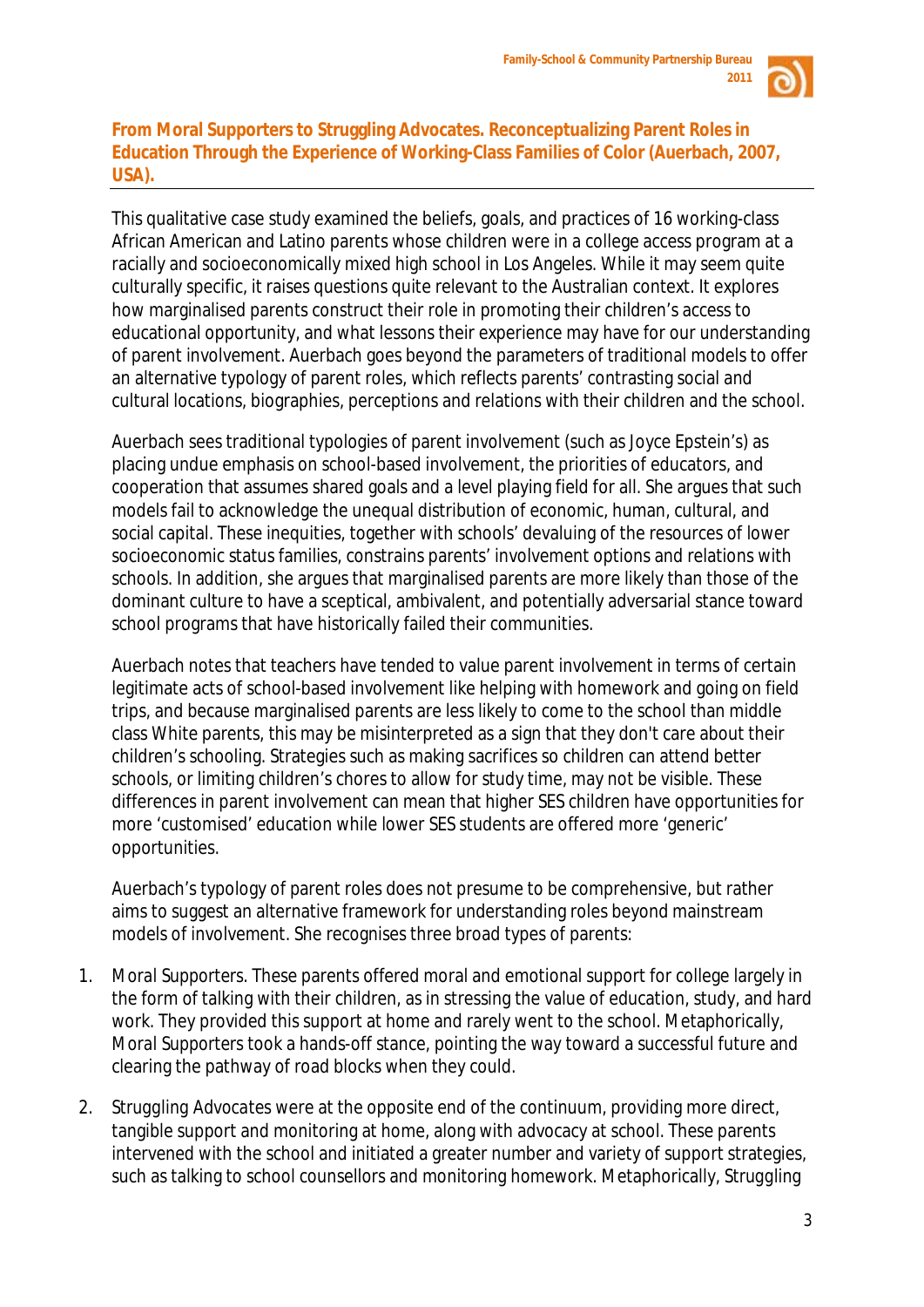

# **From Moral Supporters to Struggling Advocates. Reconceptualizing Parent Roles in Education Through the Experience of Working-Class Families of Color (Auerbach, 2007, USA).**

This qualitative case study examined the beliefs, goals, and practices of 16 working-class African American and Latino parents whose children were in a college access program at a racially and socioeconomically mixed high school in Los Angeles. While it may seem quite culturally specific, it raises questions quite relevant to the Australian context. It explores how marginalised parents construct their role in promoting their children's access to educational opportunity, and what lessons their experience may have for our understanding of parent involvement. Auerbach goes beyond the parameters of traditional models to offer an alternative typology of parent roles, which reflects parents' contrasting social and cultural locations, biographies, perceptions and relations with their children and the school.

Auerbach sees traditional typologies of parent involvement (such as Joyce Epstein's) as placing undue emphasis on school-based involvement, the priorities of educators, and cooperation that assumes shared goals and a level playing field for all. She argues that such models fail to acknowledge the unequal distribution of economic, human, cultural, and social capital. These inequities, together with schools' devaluing of the resources of lower socioeconomic status families, constrains parents' involvement options and relations with schools. In addition, she argues that marginalised parents are more likely than those of the dominant culture to have a sceptical, ambivalent, and potentially adversarial stance toward school programs that have historically failed their communities.

Auerbach notes that teachers have tended to value parent involvement in terms of certain legitimate acts of school-based involvement like helping with homework and going on field trips, and because marginalised parents are less likely to come to the school than middle class White parents, this may be misinterpreted as a sign that they don't care about their children's schooling. Strategies such as making sacrifices so children can attend better schools, or limiting children's chores to allow for study time, may not be visible. These differences in parent involvement can mean that higher SES children have opportunities for more 'customised' education while lower SES students are offered more 'generic' opportunities.

Auerbach's typology of parent roles does not presume to be comprehensive, but rather aims to suggest an alternative framework for understanding roles beyond mainstream models of involvement. She recognises three broad types of parents:

- 1. *Moral Supporters*. These parents offered moral and emotional support for college largely in the form of talking with their children, as in stressing the value of education, study, and hard work. They provided this support at home and rarely went to the school. Metaphorically, *Moral Supporters* took a hands-off stance, pointing the way toward a successful future and clearing the pathway of road blocks when they could.
- 2. *Struggling Advocates* were at the opposite end of the continuum, providing more direct, tangible support and monitoring at home, along with advocacy at school. These parents intervened with the school and initiated a greater number and variety of support strategies, such as talking to school counsellors and monitoring homework. Metaphorically, *Struggling*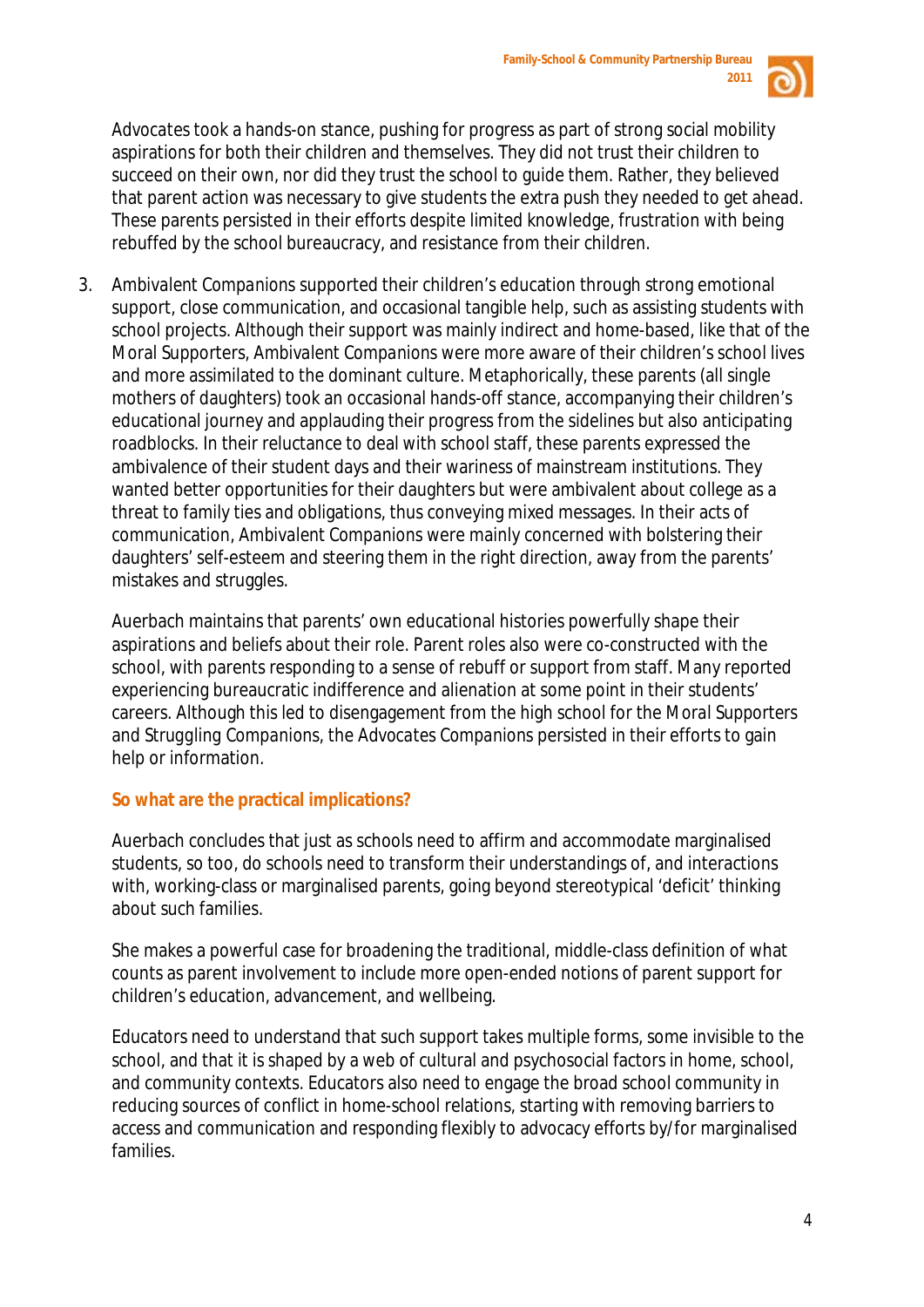

*Advocates* took a hands-on stance, pushing for progress as part of strong social mobility aspirations for both their children and themselves. They did not trust their children to succeed on their own, nor did they trust the school to guide them. Rather, they believed that parent action was necessary to give students the extra push they needed to get ahead. These parents persisted in their efforts despite limited knowledge, frustration with being rebuffed by the school bureaucracy, and resistance from their children.

3. *Ambivalent Companions* supported their children's education through strong emotional support, close communication, and occasional tangible help, such as assisting students with school projects. Although their support was mainly indirect and home-based, like that of the Moral Supporters, *Ambivalent Companions* were more aware of their children's school lives and more assimilated to the dominant culture. Metaphorically, these parents (all single mothers of daughters) took an occasional hands-off stance, accompanying their children's educational journey and applauding their progress from the sidelines but also anticipating roadblocks. In their reluctance to deal with school staff, these parents expressed the ambivalence of their student days and their wariness of mainstream institutions. They wanted better opportunities for their daughters but were ambivalent about college as a threat to family ties and obligations, thus conveying mixed messages. In their acts of communication, *Ambivalent Companions* were mainly concerned with bolstering their daughters' self-esteem and steering them in the right direction, away from the parents' mistakes and struggles.

Auerbach maintains that parents' own educational histories powerfully shape their aspirations and beliefs about their role. Parent roles also were co-constructed with the school, with parents responding to a sense of rebuff or support from staff. Many reported experiencing bureaucratic indifference and alienation at some point in their students' careers. Although this led to disengagement from the high school for the *Moral Supporters* and *Struggling Companions*, the *Advocates Companions* persisted in their efforts to gain help or information.

# **So what are the practical implications?**

Auerbach concludes that just as schools need to affirm and accommodate marginalised students, so too, do schools need to transform their understandings of, and interactions with, working-class or marginalised parents, going beyond stereotypical 'deficit' thinking about such families.

She makes a powerful case for broadening the traditional, middle-class definition of what counts as parent involvement to include more open-ended notions of parent support for children's education, advancement, and wellbeing.

Educators need to understand that such support takes multiple forms, some invisible to the school, and that it is shaped by a web of cultural and psychosocial factors in home, school, and community contexts. Educators also need to engage the broad school community in reducing sources of conflict in home-school relations, starting with removing barriers to access and communication and responding flexibly to advocacy efforts by/for marginalised families.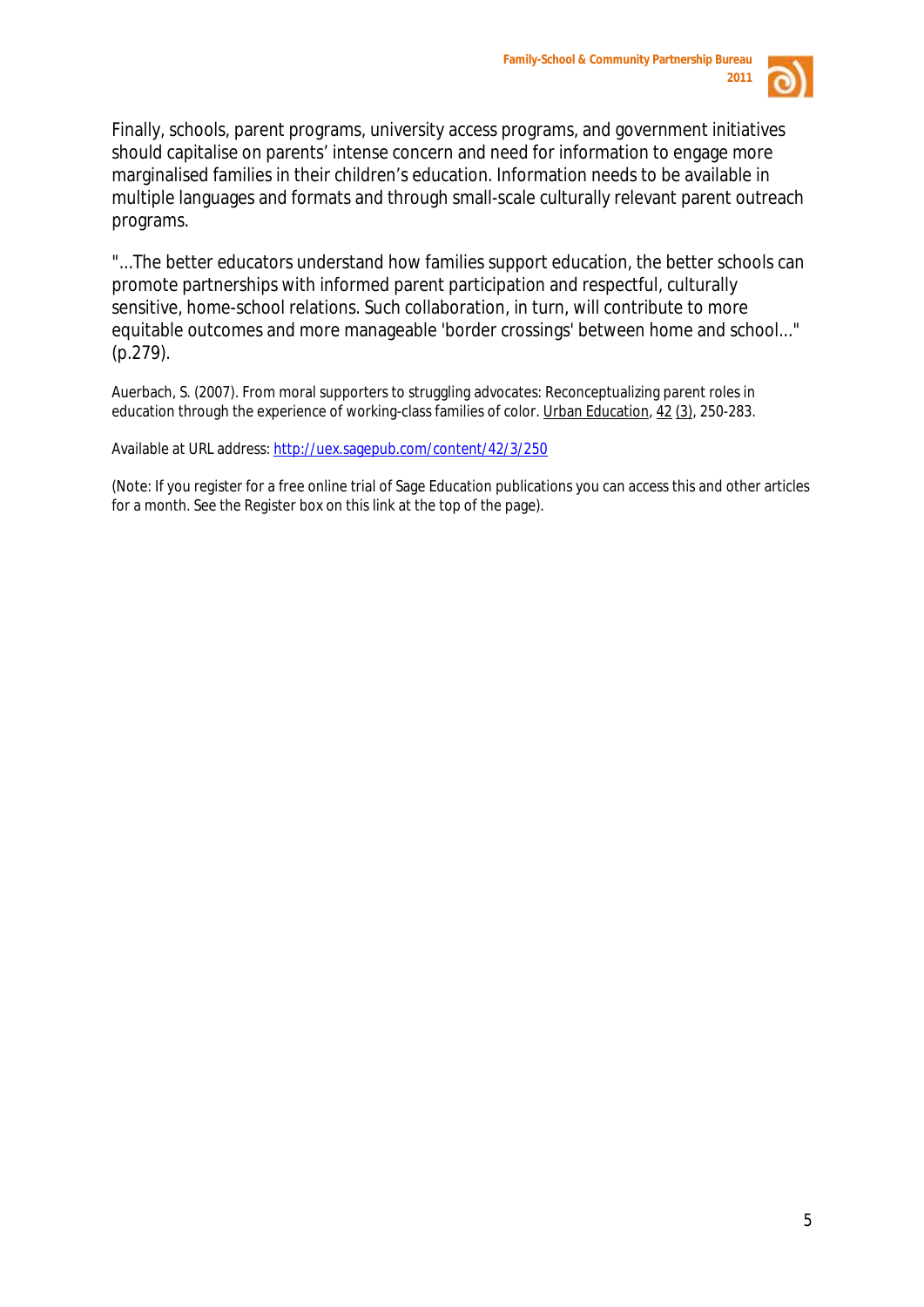

Finally, schools, parent programs, university access programs, and government initiatives should capitalise on parents' intense concern and need for information to engage more marginalised families in their children's education. Information needs to be available in multiple languages and formats and through small-scale culturally relevant parent outreach programs.

"...The better educators understand how families support education, the better schools can promote partnerships with informed parent participation and respectful, culturally sensitive, home-school relations. Such collaboration, in turn, will contribute to more equitable outcomes and more manageable 'border crossings' between home and school..." (p.279).

Auerbach, S. (2007). From moral supporters to struggling advocates: Reconceptualizing parent roles in education through the experience of working-class families of color. Urban Education*,* 42 (3) , 250-283.

Available at URL address: <http://uex.sagepub.com/content/42/3/250>

(Note: If you register for a free online trial of Sage Education publications you can access this and other articles for a month. See the Register box on this link at the top of the page).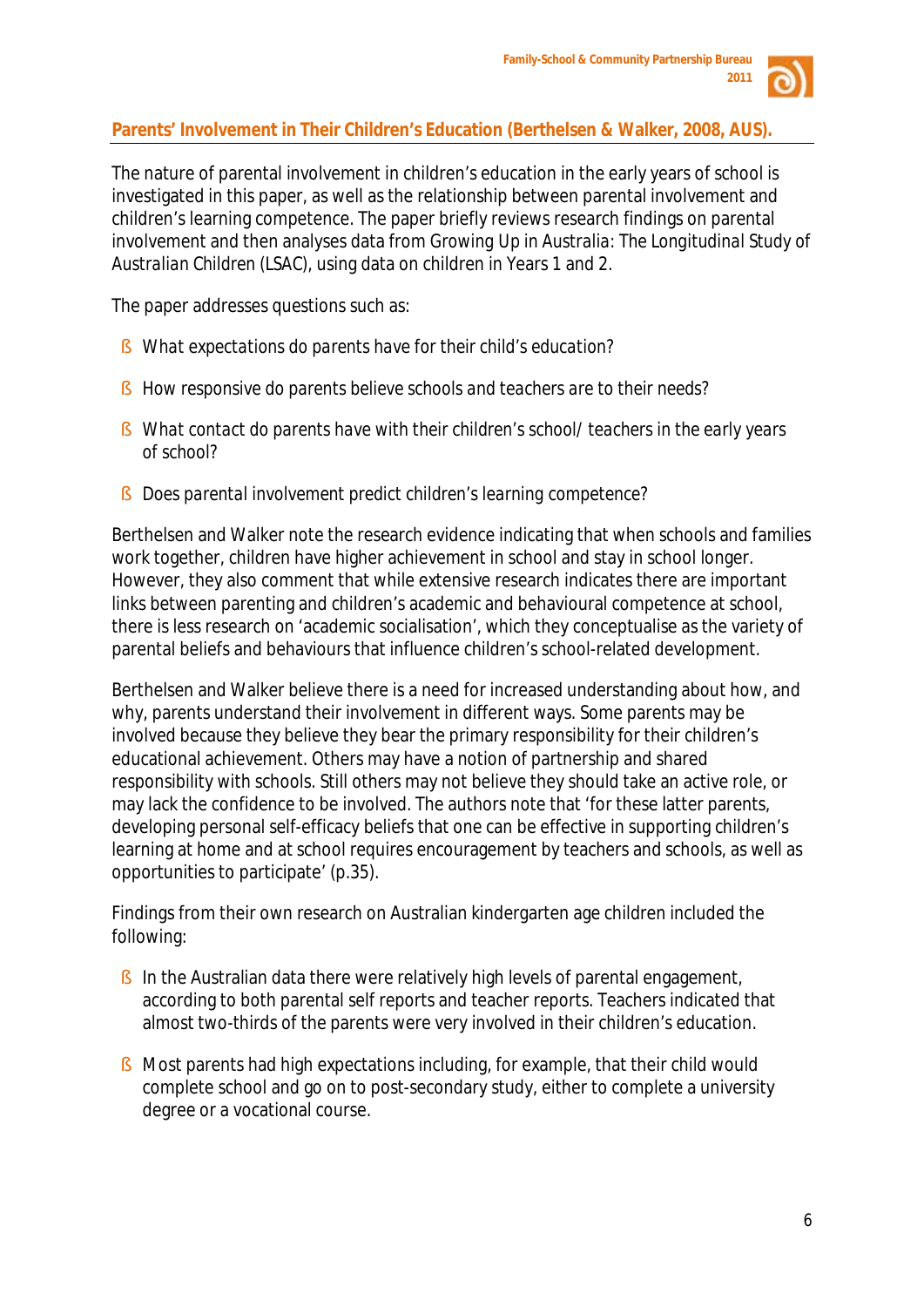

# **Parents' Involvement in Their Children's Education (Berthelsen & Walker, 2008, AUS).**

The nature of parental involvement in children's education in the early years of school is investigated in this paper, as well as the relationship between parental involvement and children's learning competence. The paper briefly reviews research findings on parental involvement and then analyses data from *Growing Up in Australia*: *The Longitudinal Study of Australian Children (LSAC)*, using data on children in Years 1 and 2.

The paper addresses questions such as:

- § *What expectations do parents have for their child's education?*
- § *How responsive do parents believe schools and teachers are to their needs?*
- § *What contact do parents have with their children's school/ teachers in the early years of school?*
- § *Does parental involvement predict children's learning competence?*

Berthelsen and Walker note the research evidence indicating that when schools and families work together, children have higher achievement in school and stay in school longer. However, they also comment that while extensive research indicates there are important links between parenting and children's academic and behavioural competence at school, there is less research on 'academic socialisation', which they conceptualise as the variety of parental beliefs and behaviours that influence children's school-related development.

Berthelsen and Walker believe there is a need for increased understanding about how, and why, parents understand their involvement in different ways. Some parents may be involved because they believe they bear the primary responsibility for their children's educational achievement. Others may have a notion of partnership and shared responsibility with schools. Still others may not believe they should take an active role, or may lack the confidence to be involved. The authors note that 'for these latter parents, developing personal self-efficacy beliefs that one can be effective in supporting children's learning at home and at school requires encouragement by teachers and schools, as well as opportunities to participate' (p.35).

Findings from their own research on Australian kindergarten age children included the following:

- § In the Australian data there were relatively high levels of parental engagement, according to both parental self reports and teacher reports. Teachers indicated that almost two-thirds of the parents were very involved in their children's education.
- § Most parents had high expectations including, for example, that their child would complete school and go on to post-secondary study, either to complete a university degree or a vocational course.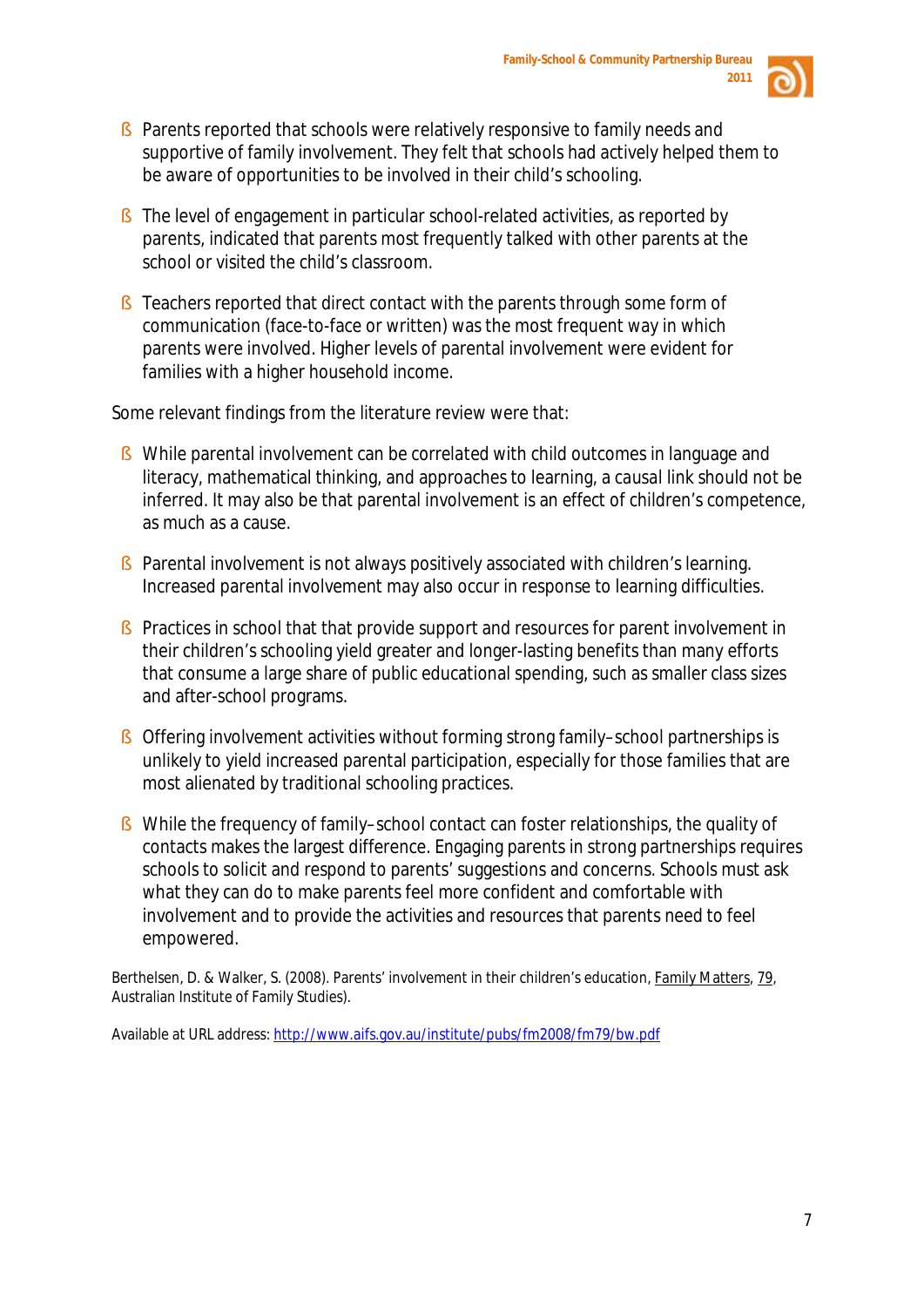

- § Parents reported that schools were relatively responsive to family needs and supportive of family involvement. They felt that schools had actively helped them to be aware of opportunities to be involved in their child's schooling.
- § The level of engagement in particular school-related activities, as reported by parents, indicated that parents most frequently talked with other parents at the school or visited the child's classroom.
- § Teachers reported that direct contact with the parents through some form of communication (face-to-face or written) was the most frequent way in which parents were involved. Higher levels of parental involvement were evident for families with a higher household income.

Some relevant findings from the literature review were that:

- § While parental involvement can be *correlated* with child outcomes in language and literacy, mathematical thinking, and approaches to learning, a *causal* link should not be inferred. It may also be that parental involvement is an *effect* of children's competence, as much as a cause.
- § Parental involvement is not always positively associated with children's learning. Increased parental involvement may also occur in response to learning difficulties.
- § Practices in school that that provide support and resources for parent involvement in their children's schooling yield greater and longer-lasting benefits than many efforts that consume a large share of public educational spending, such as smaller class sizes and after-school programs.
- § Offering involvement activities without forming strong family–school partnerships is unlikely to yield increased parental participation, especially for those families that are most alienated by traditional schooling practices.
- § While the frequency of family–school contact can foster relationships, the quality of contacts makes the largest difference. Engaging parents in strong partnerships requires schools to solicit and respond to parents' suggestions and concerns. Schools must ask what they can do to make parents feel more confident and comfortable with involvement and to provide the activities and resources that parents need to feel empowered.

Berthelsen, D. & Walker, S. (2008). Parents' involvement in their children's education, Family Matters*,* 79 , Australian Institute of Family Studies).

Available at URL address: <http://www.aifs.gov.au/institute/pubs/fm2008/fm79/bw.pdf>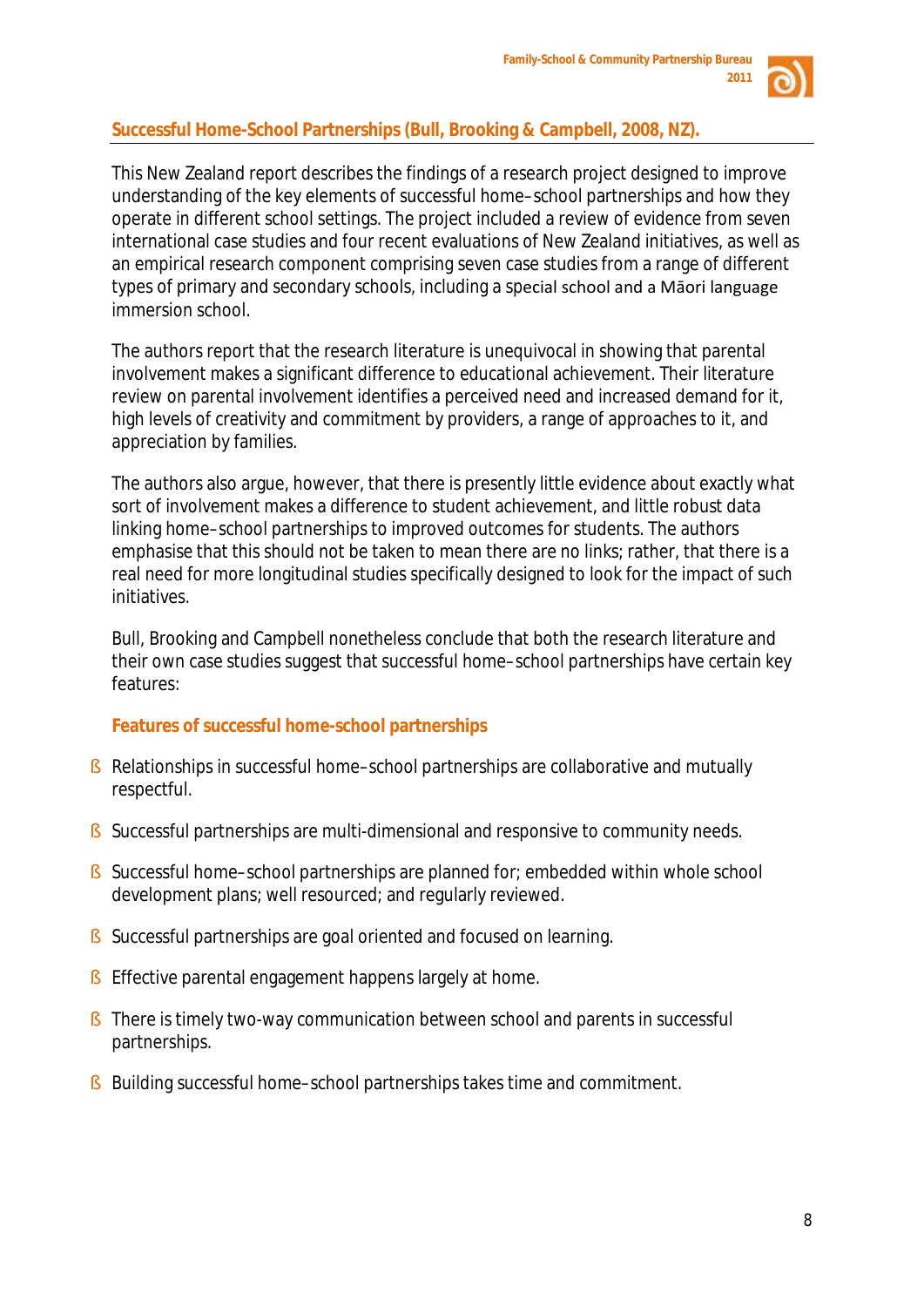

# **Successful Home-School Partnerships (Bull, Brooking & Campbell, 2008, NZ).**

This New Zealand report describes the findings of a research project designed to improve understanding of the key elements of successful home–school partnerships and how they operate in different school settings. The project included a review of evidence from seven international case studies and four recent evaluations of New Zealand initiatives, as well as an empirical research component comprising seven case studies from a range of different types of primary and secondary schools, including a special school and a Māori language immersion school.

The authors report that the research literature is unequivocal in showing that parental involvement makes a significant difference to educational achievement. Their literature review on parental involvement identifies a perceived need and increased demand for it, high levels of creativity and commitment by providers, a range of approaches to it, and appreciation by families.

The authors also argue, however, that there is presently little evidence about exactly what sort of involvement makes a difference to student achievement, and little robust data linking home–school partnerships to improved outcomes for students. The authors emphasise that this should not be taken to mean there are no links; rather, that there is a real need for more longitudinal studies specifically designed to look for the impact of such initiatives.

Bull, Brooking and Campbell nonetheless conclude that both the research literature and their own case studies suggest that successful home–school partnerships have certain key features:

# **Features of successful home-school partnerships**

- § Relationships in successful home–school partnerships are collaborative and mutually respectful.
- § Successful partnerships are multi-dimensional and responsive to community needs.
- § Successful home–school partnerships are planned for; embedded within whole school development plans; well resourced; and regularly reviewed.
- § Successful partnerships are goal oriented and focused on learning.
- § Effective parental engagement happens largely at home.
- § There is timely two-way communication between school and parents in successful partnerships.
- § Building successful home–school partnerships takes time and commitment.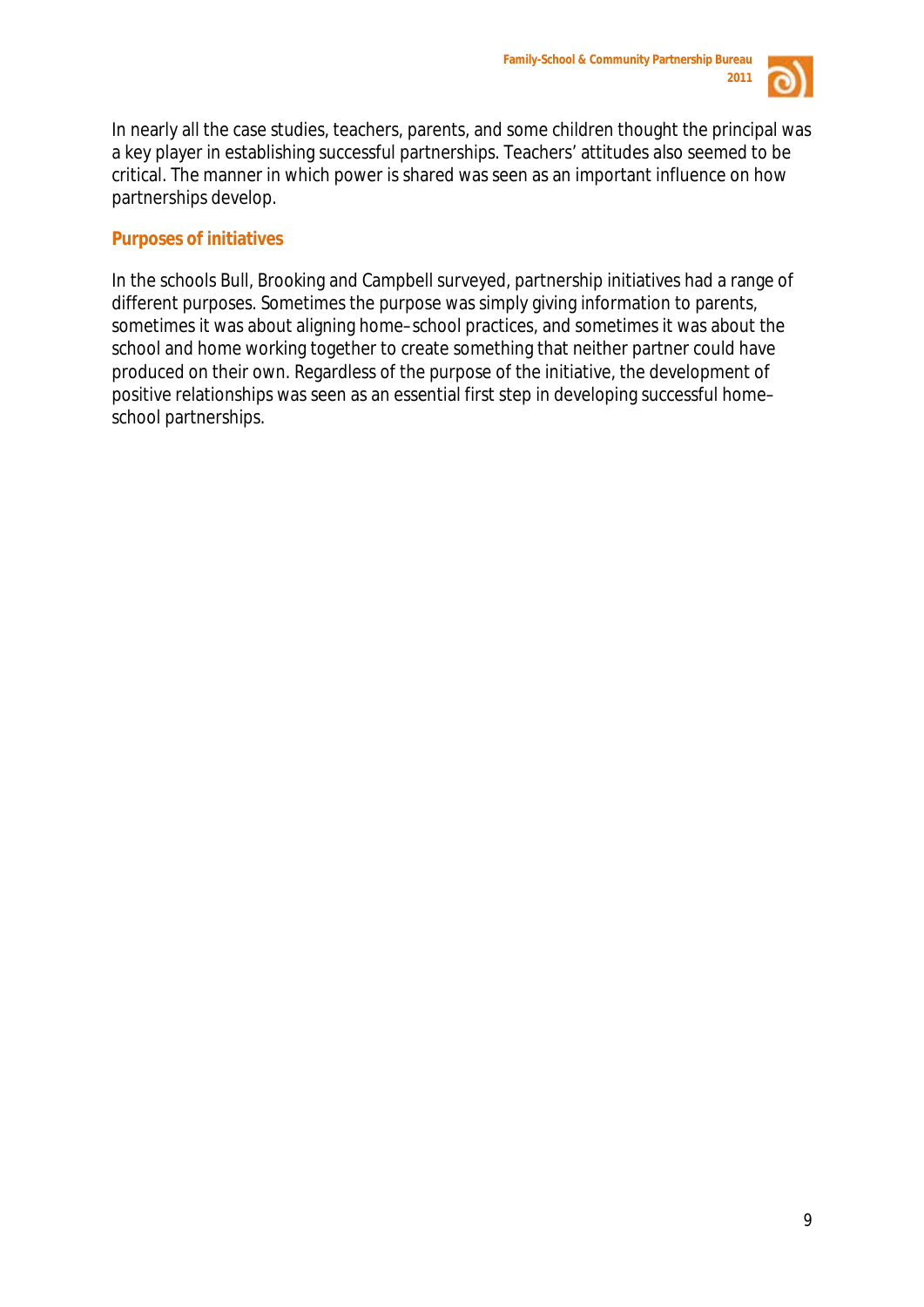

In nearly all the case studies, teachers, parents, and some children thought the principal was a key player in establishing successful partnerships. Teachers' attitudes also seemed to be critical. The manner in which power is shared was seen as an important influence on how partnerships develop.

# **Purposes of initiatives**

In the schools Bull, Brooking and Campbell surveyed, partnership initiatives had a range of different purposes. Sometimes the purpose was simply giving information to parents, sometimes it was about aligning home–school practices, and sometimes it was about the school and home working together to create something that neither partner could have produced on their own. Regardless of the purpose of the initiative, the development of positive relationships was seen as an essential first step in developing successful home– school partnerships.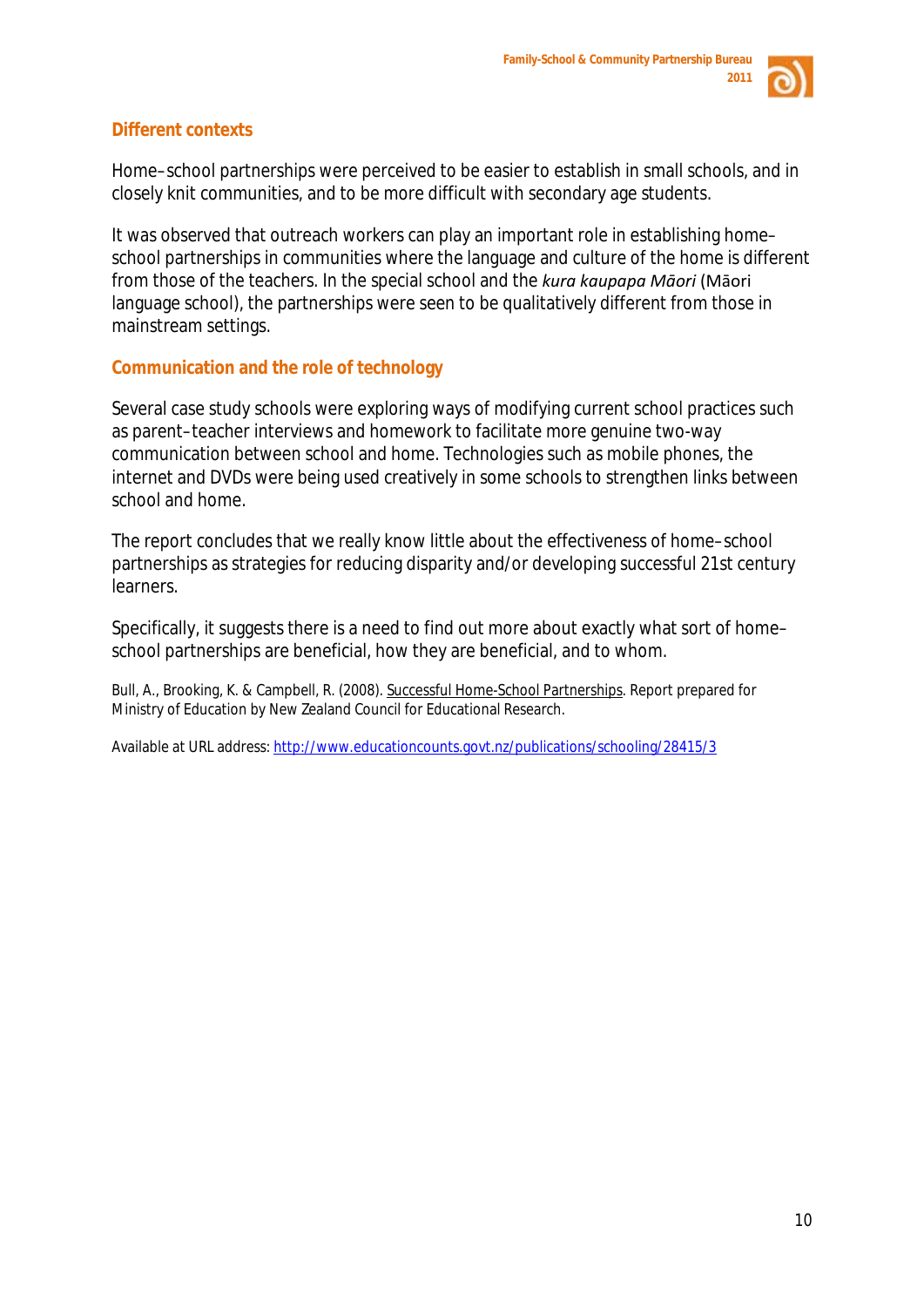

# **Different contexts**

Home–school partnerships were perceived to be easier to establish in small schools, and in closely knit communities, and to be more difficult with secondary age students.

It was observed that outreach workers can play an important role in establishing home– school partnerships in communities where the language and culture of the home is different from those of the teachers. In the special school and the *kura kaupapa Māori* (Māori language school), the partnerships were seen to be qualitatively different from those in mainstream settings.

# **Communication and the role of technology**

Several case study schools were exploring ways of modifying current school practices such as parent–teacher interviews and homework to facilitate more genuine two-way communication between school and home. Technologies such as mobile phones, the internet and DVDs were being used creatively in some schools to strengthen links between school and home.

The report concludes that we really know little about the effectiveness of home–school partnerships as strategies for reducing disparity and/or developing successful 21st century learners.

Specifically, it suggests there is a need to find out more about exactly what sort of home– school partnerships are beneficial, how they are beneficial, and to whom.

Bull, A., Brooking, K. & Campbell, R. (2008). Successful Home-School Partnerships. Report prepared for Ministry of Education by New Zealand Council for Educational Research.

Available at URL address: <http://www.educationcounts.govt.nz/publications/schooling/28415/3>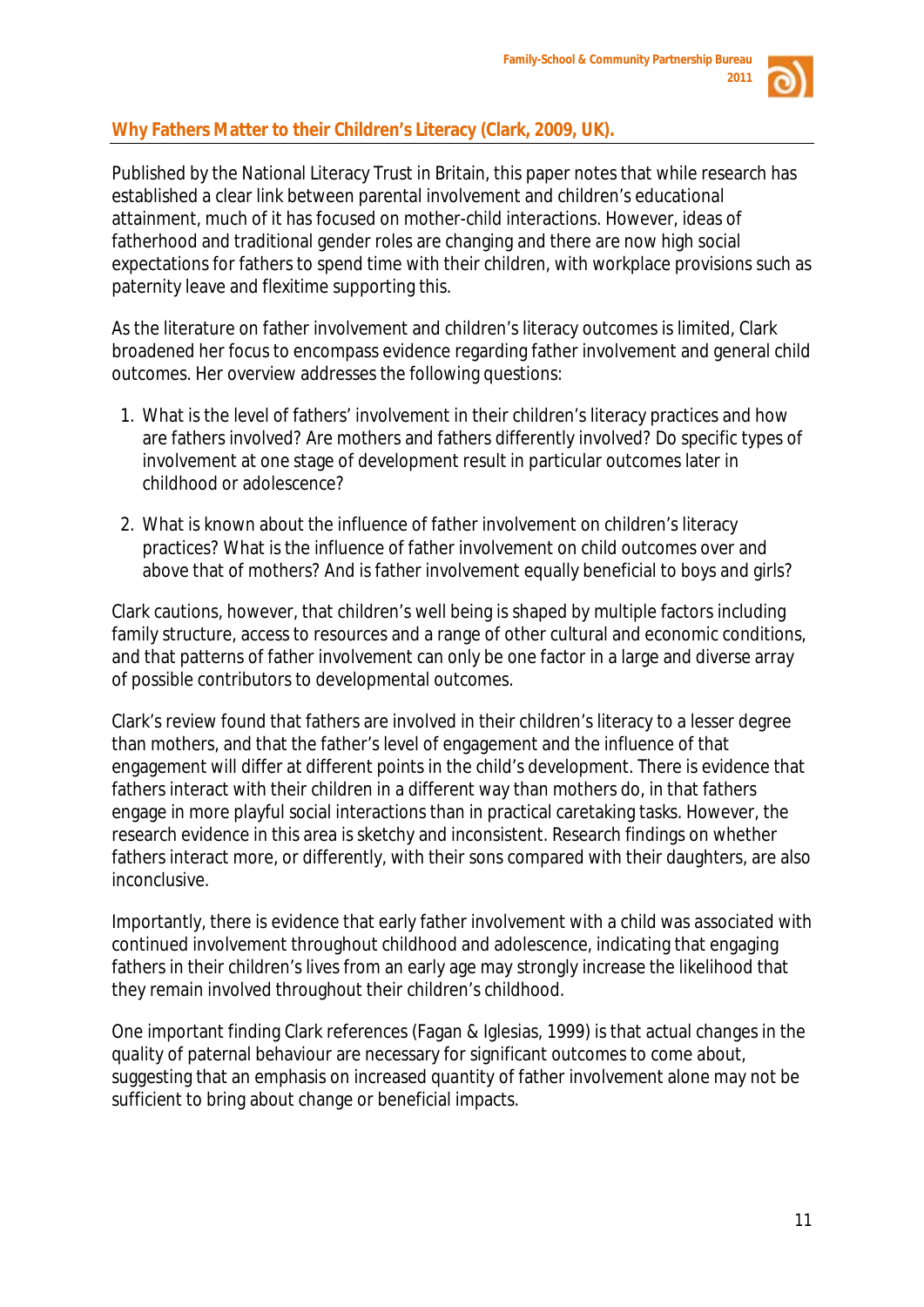

# **Why Fathers Matter to their Children's Literacy (Clark, 2009, UK).**

Published by the National Literacy Trust in Britain, this paper notes that while research has established a clear link between parental involvement and children's educational attainment, much of it has focused on mother-child interactions. However, ideas of fatherhood and traditional gender roles are changing and there are now high social expectations for fathers to spend time with their children, with workplace provisions such as paternity leave and flexitime supporting this.

As the literature on father involvement and children's literacy outcomes is limited, Clark broadened her focus to encompass evidence regarding father involvement and general child outcomes. Her overview addresses the following questions:

- 1. What is the level of fathers' involvement in their children's literacy practices and how are fathers involved? Are mothers and fathers differently involved? Do specific types of involvement at one stage of development result in particular outcomes later in childhood or adolescence?
- 2. What is known about the influence of father involvement on children's literacy practices? What is the influence of father involvement on child outcomes over and above that of mothers? And is father involvement equally beneficial to boys and girls?

Clark cautions, however, that children's well being is shaped by multiple factors including family structure, access to resources and a range of other cultural and economic conditions, and that patterns of father involvement can only be one factor in a large and diverse array of possible contributors to developmental outcomes.

Clark's review found that fathers are involved in their children's literacy to a lesser degree than mothers, and that the father's level of engagement and the influence of that engagement will differ at different points in the child's development. There is evidence that fathers interact with their children in a different way than mothers do, in that fathers engage in more playful social interactions than in practical caretaking tasks. However, the research evidence in this area is sketchy and inconsistent. Research findings on whether fathers interact more, or differently, with their sons compared with their daughters, are also inconclusive.

Importantly, there is evidence that early father involvement with a child was associated with continued involvement throughout childhood and adolescence, indicating that engaging fathers in their children's lives from an early age may strongly increase the likelihood that they remain involved throughout their children's childhood.

One important finding Clark references (Fagan & Iglesias, 1999) is that actual changes in the *quality* of paternal behaviour are necessary for significant outcomes to come about, suggesting that an emphasis on increased *quantity* of father involvement alone may not be sufficient to bring about change or beneficial impacts.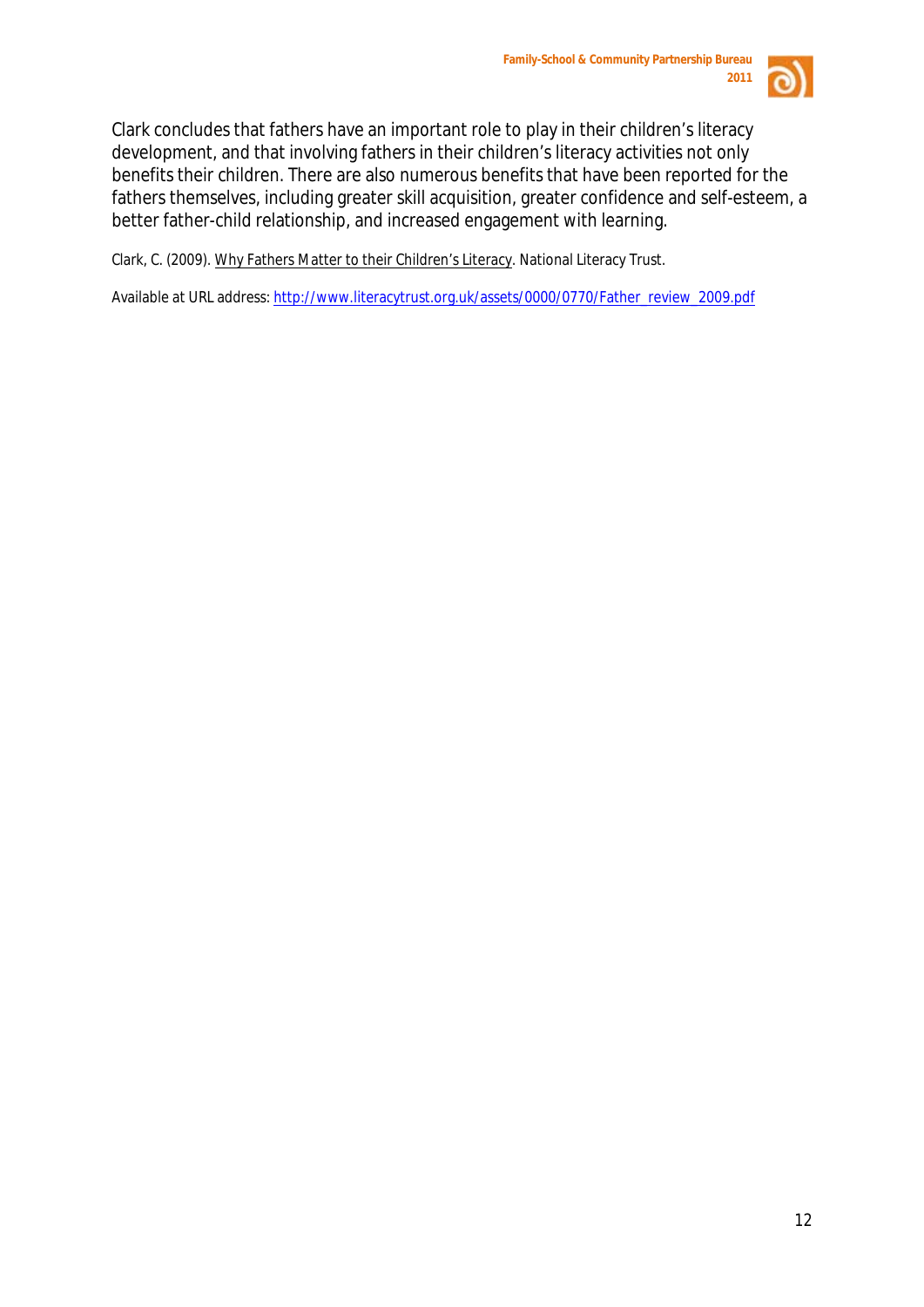

Clark concludes that fathers have an important role to play in their children's literacy development, and that involving fathers in their children's literacy activities not only benefits their children. There are also numerous benefits that have been reported for the fathers themselves, including greater skill acquisition, greater confidence and self-esteem, a better father-child relationship, and increased engagement with learning.

Clark, C. (2009). Why Fathers Matter to their Children's Literacy. National Literacy Trust.

Available at URL address: [http://www.literacytrust.org.uk/assets/0000/0770/Father\\_review\\_2009.pdf](http://www.literacytrust.org.uk/assets/0000/0770/Father_review_2009.pdf)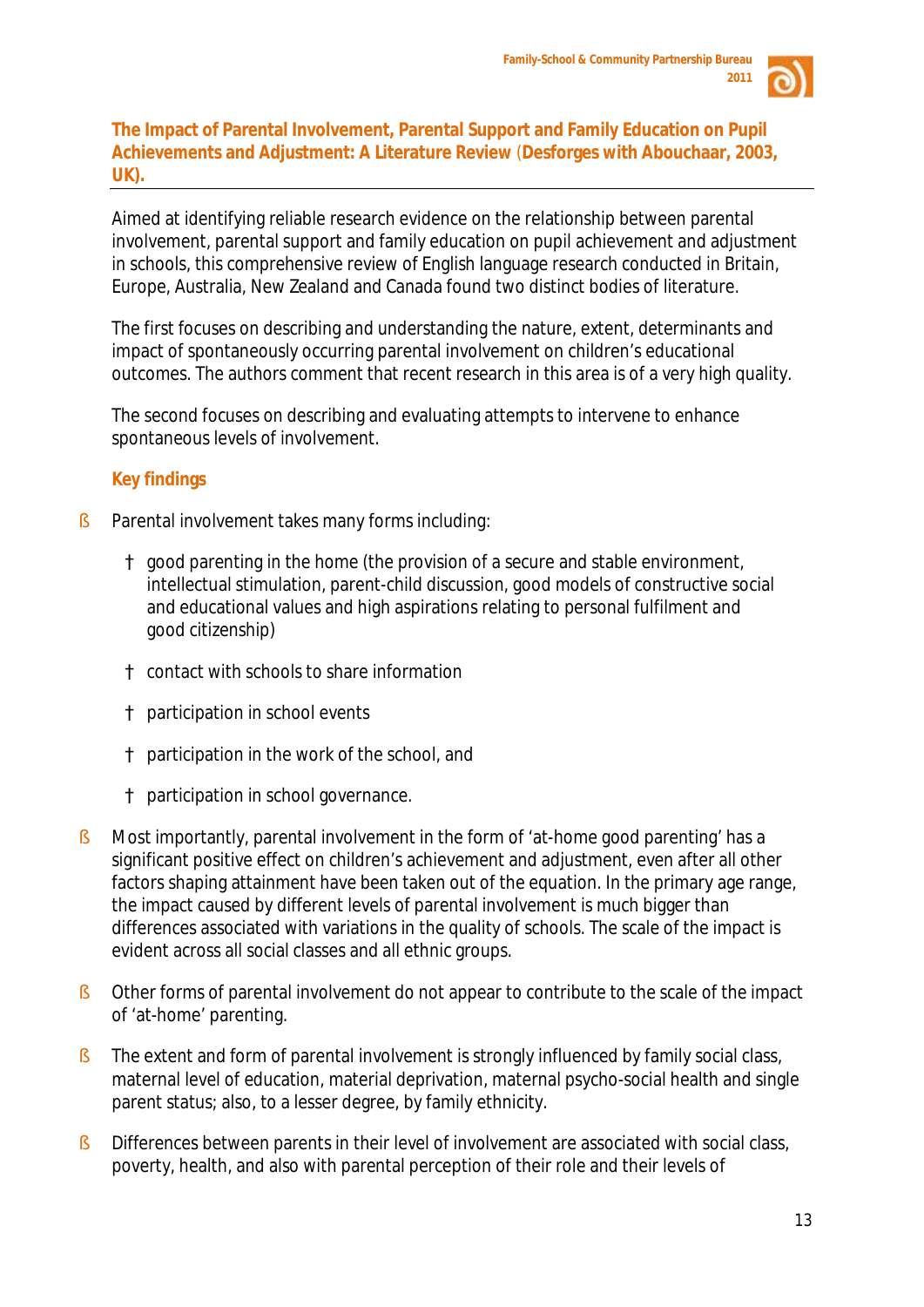

# **The Impact of Parental Involvement, Parental Support and Family Education on Pupil Achievements and Adjustment: A Literature Review** (**Desforges with Abouchaar, 2003, UK).**

Aimed at identifying reliable research evidence on the relationship between parental involvement, parental support and family education on pupil achievement and adjustment in schools, this comprehensive review of English language research conducted in Britain, Europe, Australia, New Zealand and Canada found two distinct bodies of literature.

The first focuses on describing and understanding the nature, extent, determinants and impact of spontaneously occurring parental involvement on children's educational outcomes. The authors comment that recent research in this area is of a very high quality.

The second focuses on describing and evaluating attempts to intervene to enhance spontaneous levels of involvement.

# **Key findings**

§ Parental involvement takes many forms including:

good parenting in the home (the provision of a secure and stable environment, intellectual stimulation, parent-child discussion, good models of constructive social and educational values and high aspirations relating to personal fulfilment and good citizenship)

contact with schools to share information

participation in school events

participation in the work of the school, and

participation in school governance.

- § Most importantly, parental involvement in the form of 'at-home good parenting' has a significant positive effect on children's achievement and adjustment, even after all other factors shaping attainment have been taken out of the equation. In the primary age range, the impact caused by different levels of parental involvement is much bigger than differences associated with variations in the quality of schools. The scale of the impact is evident across all social classes and all ethnic groups.
- § Other forms of parental involvement do not appear to contribute to the scale of the impact of 'at-home' parenting.
- § The extent and form of parental involvement is strongly influenced by family social class, maternal level of education, material deprivation, maternal psycho-social health and single parent status; also, to a lesser degree, by family ethnicity.
- § Differences between parents in their level of involvement are associated with social class, poverty, health, and also with parental perception of their role and their levels of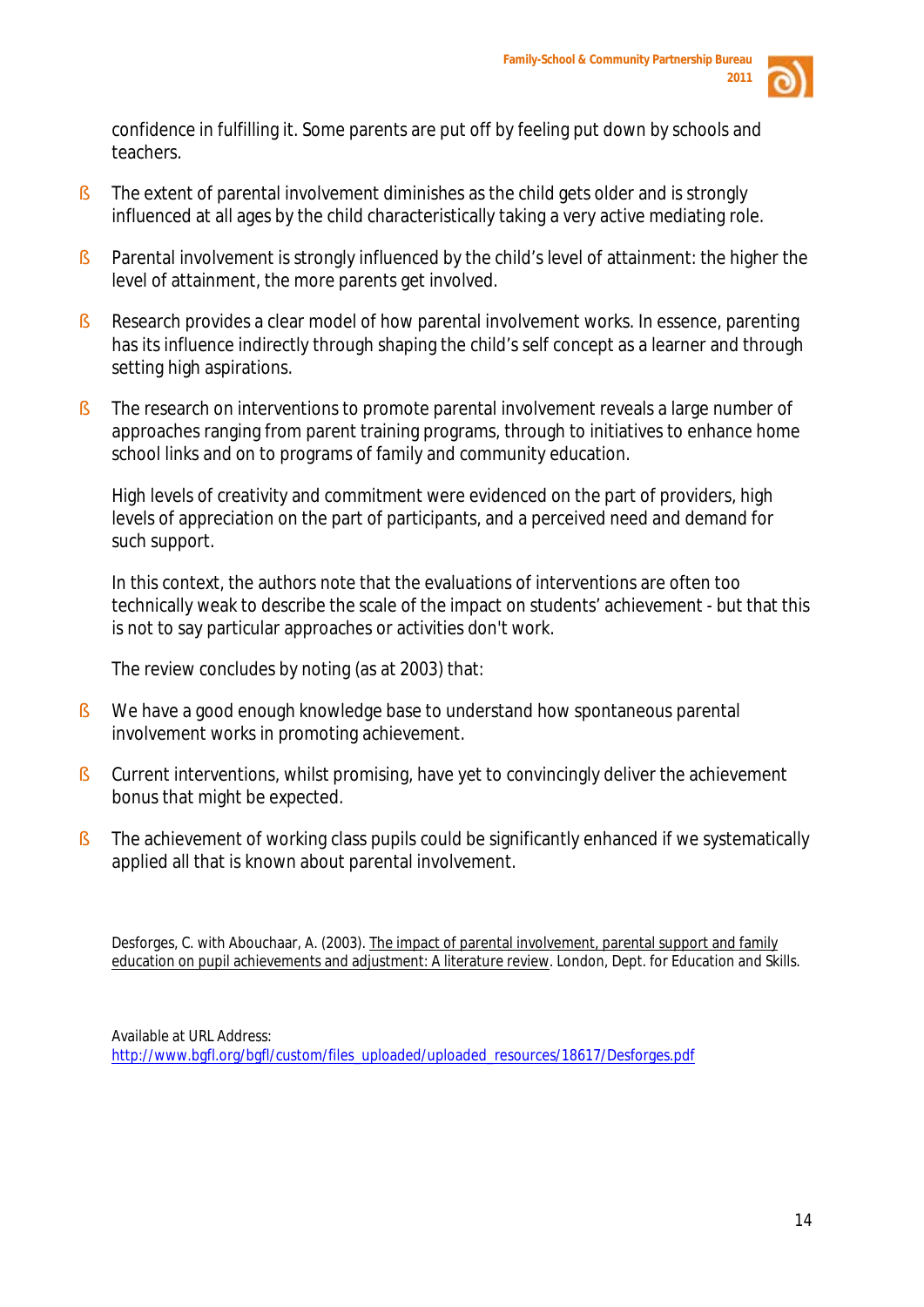

confidence in fulfilling it. Some parents are put off by feeling put down by schools and teachers.

- § The extent of parental involvement diminishes as the child gets older and is strongly influenced at all ages by the child characteristically taking a very active mediating role.
- § Parental involvement is strongly influenced by the child's level of attainment: the higher the level of attainment, the more parents get involved.
- § Research provides a clear model of how parental involvement works. In essence, parenting has its influence indirectly through shaping the child's self concept as a learner and through setting high aspirations.
- § The research on interventions to promote parental involvement reveals a large number of approaches ranging from parent training programs, through to initiatives to enhance home school links and on to programs of family and community education.

High levels of creativity and commitment were evidenced on the part of providers, high levels of appreciation on the part of participants, and a perceived need and demand for such support.

In this context, the authors note that the evaluations of interventions are often too technically weak to describe the scale of the impact on students' achievement - but that this is not to say particular approaches or activities don't work.

The review concludes by noting (as at 2003) that:

- § We have a good enough knowledge base to understand how spontaneous parental involvement works in promoting achievement.
- § Current interventions, whilst promising, have yet to convincingly deliver the achievement bonus that might be expected.
- § The achievement of working class pupils could be significantly enhanced if we systematically applied all that is known about parental involvement.

Desforges, C. with Abouchaar, A. (2003). The impact of parental involvement, parental support and family education on pupil achievements and adjustment: A literature review. London, Dept. for Education and Skills.

Available at URL Address: [http://www.bgfl.org/bgfl/custom/files\\_uploaded/uploaded\\_resources/18617/Desforges.pdf](http://www.bgfl.org/bgfl/custom/files_uploaded/uploaded_resources/18617/Desforges.pdf)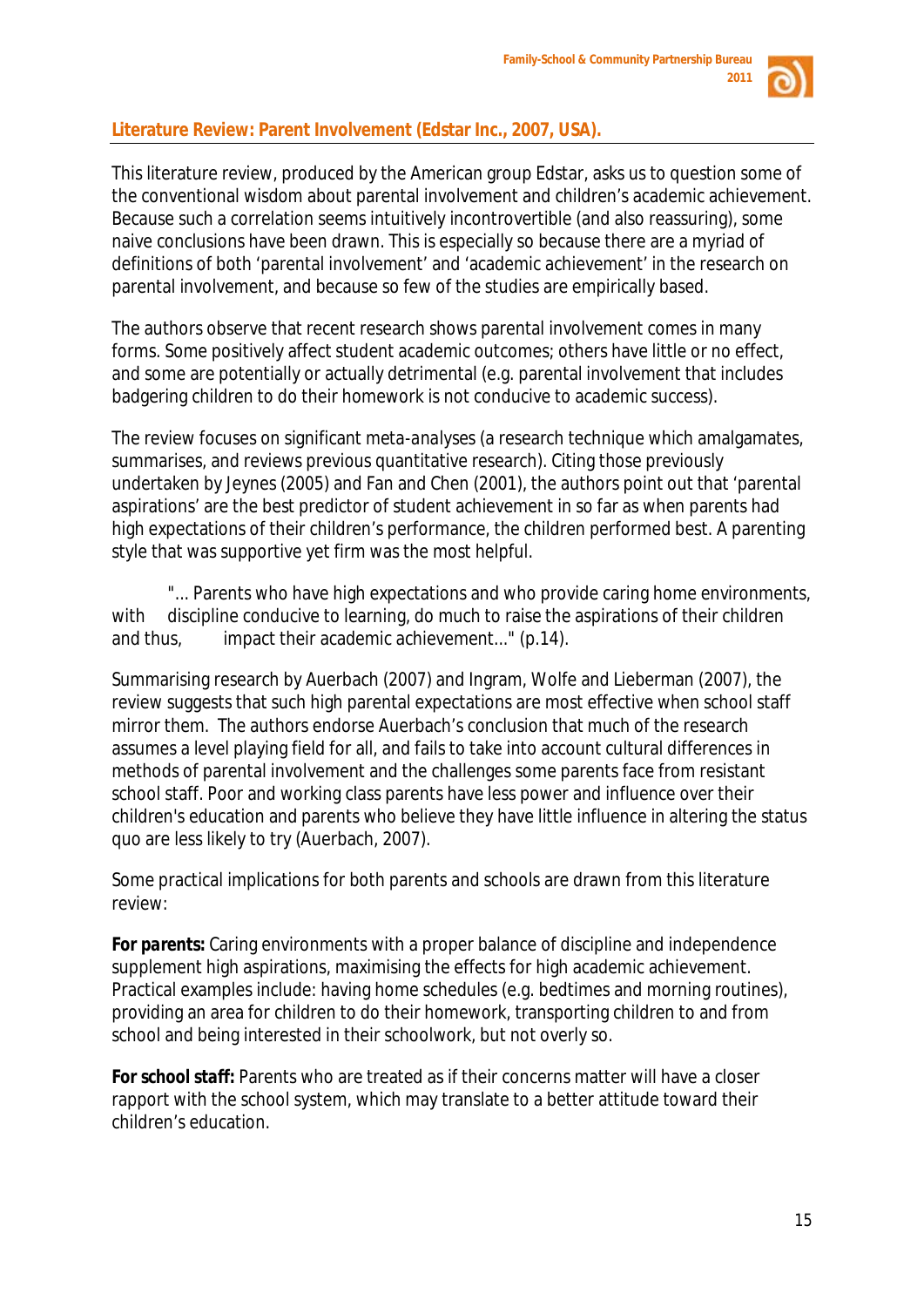

# **Literature Review: Parent Involvement (Edstar Inc., 2007, USA).**

This literature review, produced by the American group Edstar, asks us to question some of the conventional wisdom about parental involvement and children's academic achievement. Because such a correlation seems intuitively incontrovertible (and also reassuring), some naive conclusions have been drawn. This is especially so because there are a myriad of definitions of both 'parental involvement' and 'academic achievement' in the research on parental involvement, and because so few of the studies are empirically based.

The authors observe that recent research shows parental involvement comes in many forms. Some positively affect student academic outcomes; others have little or no effect, and some are potentially or actually detrimental (e.g. parental involvement that includes badgering children to do their homework is not conducive to academic success).

The review focuses on significant *meta-analyses* (a research technique which amalgamates, summarises, and reviews previous quantitative research). Citing those previously undertaken by Jeynes (2005) and Fan and Chen (2001), the authors point out that 'parental aspirations' are the best predictor of student achievement in so far as when parents had high expectations of their children's performance, the children performed best. A parenting style that was supportive yet firm was the most helpful.

"... Parents who have high expectations and who provide caring home environments, with discipline conducive to learning, do much to raise the aspirations of their children and thus, impact their academic achievement..." (p.14).

Summarising research by Auerbach (2007) and Ingram, Wolfe and Lieberman (2007), the review suggests that such high parental expectations are most effective when school staff mirror them. The authors endorse Auerbach's conclusion that much of the research assumes a level playing field for all, and fails to take into account cultural differences in methods of parental involvement and the challenges some parents face from resistant school staff. Poor and working class parents have less power and influence over their children's education and parents who believe they have little influence in altering the status quo are less likely to try (Auerbach, 2007).

Some practical implications for both parents and schools are drawn from this literature review:

*For parents:* Caring environments with a proper balance of discipline and independence supplement high aspirations, maximising the effects for high academic achievement. Practical examples include: having home schedules (e.g. bedtimes and morning routines), providing an area for children to do their homework, transporting children to and from school and being interested in their schoolwork, but not overly so.

*For school staff:* Parents who are treated as if their concerns matter will have a closer rapport with the school system, which may translate to a better attitude toward their children's education.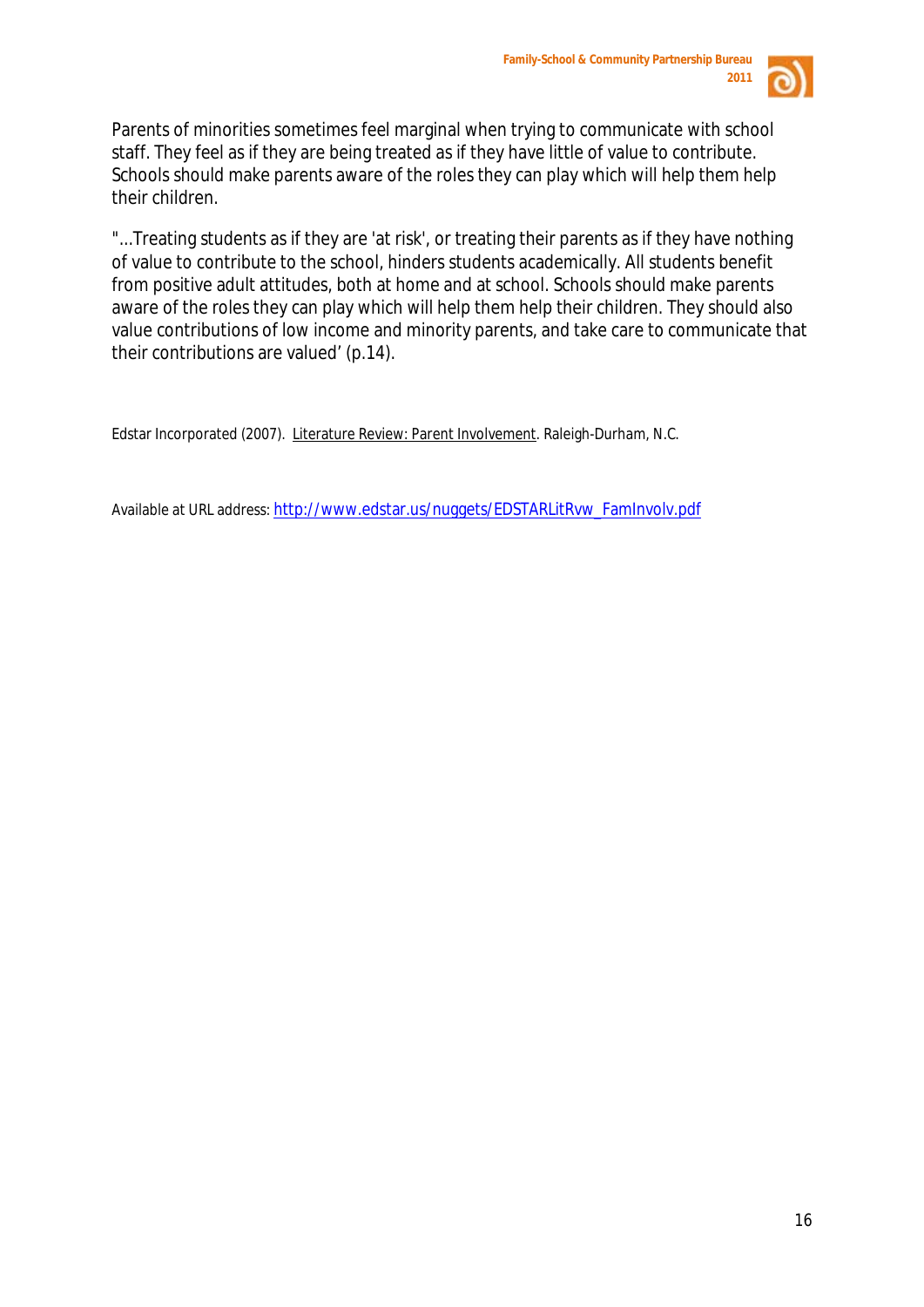

Parents of minorities sometimes feel marginal when trying to communicate with school staff. They feel as if they are being treated as if they have little of value to contribute. Schools should make parents aware of the roles they can play which will help them help their children.

"...Treating students as if they are 'at risk', or treating their parents as if they have nothing of value to contribute to the school, hinders students academically. All students benefit from positive adult attitudes, both at home and at school. Schools should make parents aware of the roles they can play which will help them help their children. They should also value contributions of low income and minority parents, and take care to communicate that their contributions are valued' (p.14).

Edstar Incorporated (2007). Literature Review: Parent Involvement. Raleigh-Durham, N.C.

Available at URL address[: http://www.edstar.us/nuggets/EDSTARLitRvw\\_FamInvolv.pdf](http://www.edstar.us/nuggets/EDSTARLitRvw_FamInvolv.pdf)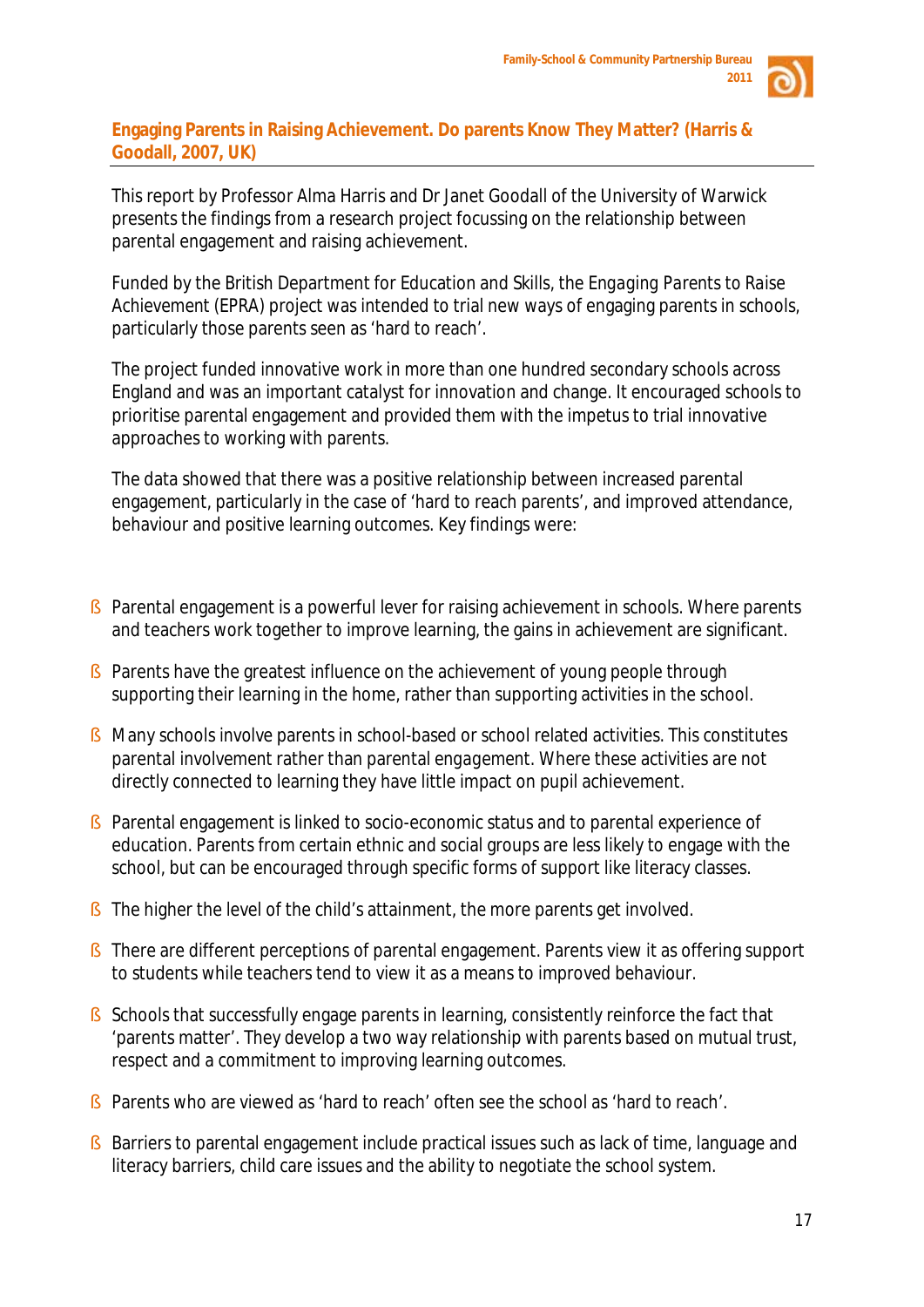

## **Engaging Parents in Raising Achievement. Do parents Know They Matter? (Harris & Goodall, 2007, UK)**

This report by Professor Alma Harris and Dr Janet Goodall of the University of Warwick presents the findings from a research project focussing on the relationship between parental engagement and raising achievement.

Funded by the British Department for Education and Skills, the *Engaging Parents to Raise Achievement (EPRA)* project was intended to trial new ways of engaging parents in schools, particularly those parents seen as 'hard to reach'.

The project funded innovative work in more than one hundred secondary schools across England and was an important catalyst for innovation and change. It encouraged schools to prioritise parental engagement and provided them with the impetus to trial innovative approaches to working with parents.

The data showed that there was a positive relationship between increased parental engagement, particularly in the case of 'hard to reach parents', and improved attendance, behaviour and positive learning outcomes. Key findings were:

- § Parental engagement is a powerful lever for raising achievement in schools. Where parents and teachers work together to improve learning, the gains in achievement are significant.
- § Parents have the greatest influence on the achievement of young people through supporting their learning in the home, rather than supporting activities in the school.
- § Many schools *involve* parents in school-based or school related activities. This constitutes parental *involvement* rather than parental *engagement*. Where these activities are not directly connected to learning they have little impact on pupil achievement.
- § Parental engagement is linked to socio-economic status and to parental experience of education. Parents from certain ethnic and social groups are less likely to engage with the school, but can be encouraged through specific forms of support like literacy classes.
- S The higher the level of the child's attainment, the more parents get involved.
- § There are different perceptions of parental engagement. Parents view it as offering support to students while teachers tend to view it as a means to improved behaviour.
- § Schools that successfully engage parents in learning, consistently reinforce the fact that 'parents matter'. They develop a two way relationship with parents based on mutual trust, respect and a commitment to improving learning outcomes.
- § Parents who are viewed as 'hard to reach' often see the school as 'hard to reach'.
- § Barriers to parental engagement include practical issues such as lack of time, language and literacy barriers, child care issues and the ability to negotiate the school system.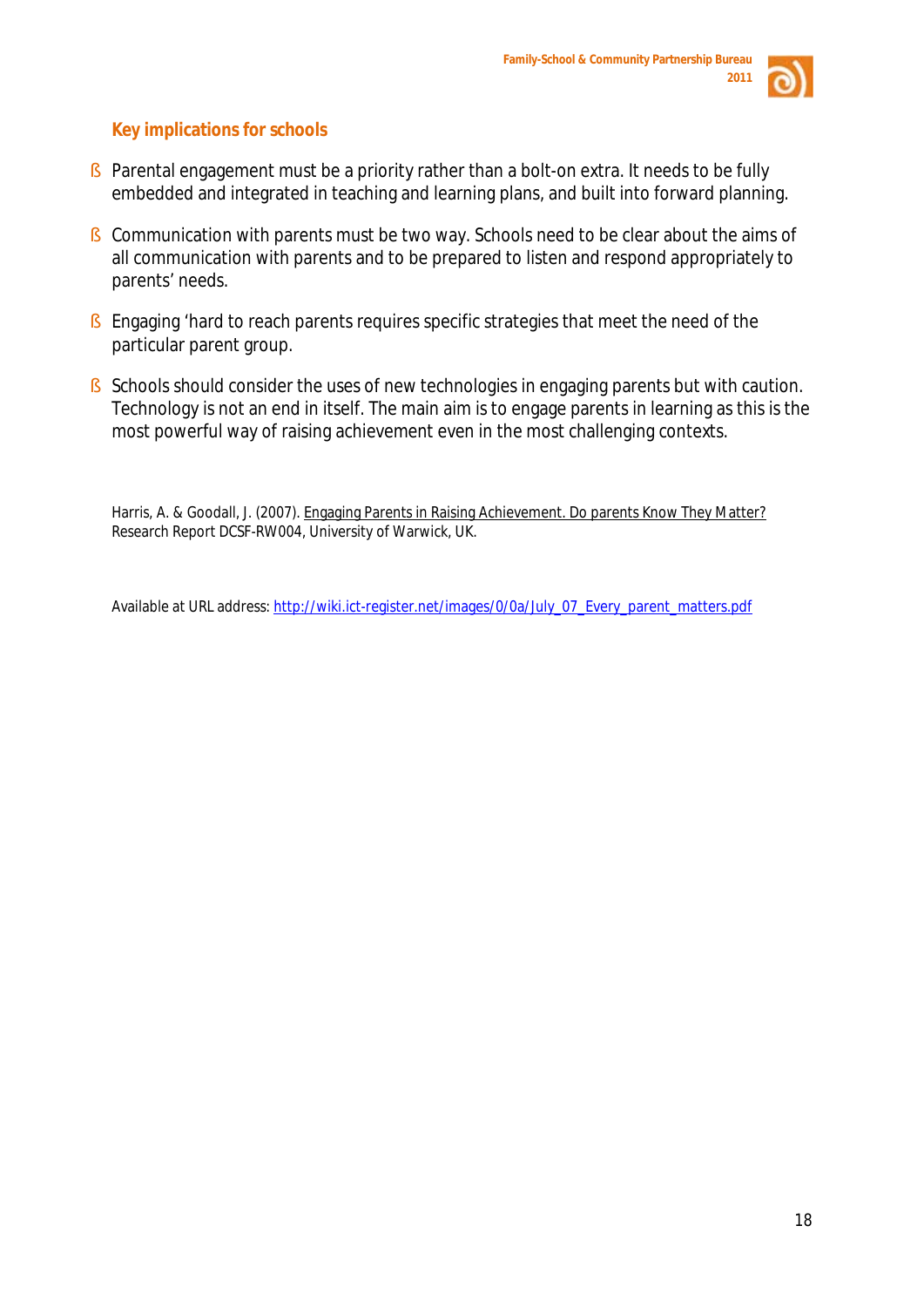

# **Key implications for schools**

- § Parental engagement must be a priority rather than a bolt-on extra. It needs to be fully embedded and integrated in teaching and learning plans, and built into forward planning.
- § Communication with parents must be two way. Schools need to be clear about the aims of all communication with parents and to be prepared to listen and respond appropriately to parents' needs.
- § Engaging 'hard to reach parents requires specific strategies that meet the need of the particular parent group.
- § Schools should consider the uses of new technologies in engaging parents but with caution. Technology is not an end in itself. The main aim is to engage parents in learning as this is the most powerful way of raising achievement even in the most challenging contexts.

Harris, A. & Goodall, J. (2007). Engaging Parents in Raising Achievement. Do parents Know They Matter? Research Report DCSF-RW004, University of Warwick, UK.

Available at URL address[: http://wiki.ict-register.net/images/0/0a/July\\_07\\_Every\\_parent\\_matters.pdf](http://wiki.ict-register.net/images/0/0a/July_07_Every_parent_matters.pdf)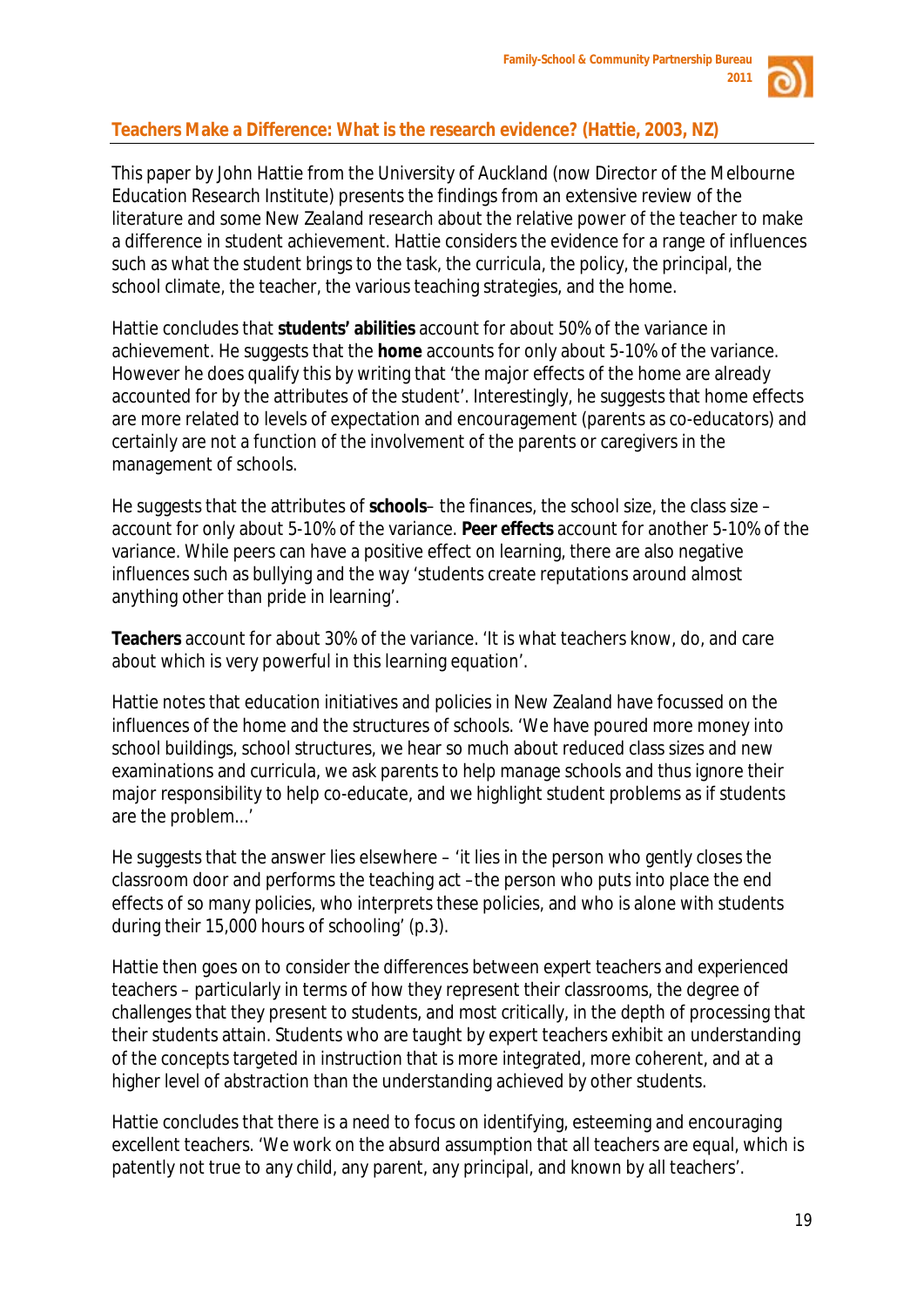

# **Teachers Make a Difference: What is the research evidence? (Hattie, 2003, NZ)**

This paper by John Hattie from the University of Auckland (now Director of the Melbourne Education Research Institute) presents the findings from an extensive review of the literature and some New Zealand research about the relative power of the teacher to make a difference in student achievement. Hattie considers the evidence for a range of influences such as what the student brings to the task, the curricula, the policy, the principal, the school climate, the teacher, the various teaching strategies, and the home.

Hattie concludes that **students' abilities** account for about 50% of the variance in achievement. He suggests that the **home** accounts for only about 5-10% of the variance. However he does qualify this by writing that 'the major effects of the home are already accounted for by the attributes of the student'. Interestingly, he suggests that home effects are more related to levels of expectation and encouragement (parents as co-educators) and certainly are not a function of the involvement of the parents or caregivers in the management of schools.

He suggests that the attributes of **schools**– the finances, the school size, the class size – account for only about 5-10% of the variance. **Peer effects** account for another 5-10% of the variance. While peers can have a positive effect on learning, there are also negative influences such as bullying and the way 'students create reputations around almost anything other than pride in learning'.

**Teachers** account for about 30% of the variance. 'It is what teachers know, do, and care about which is very powerful in this learning equation'.

Hattie notes that education initiatives and policies in New Zealand have focussed on the influences of the home and the structures of schools. 'We have poured more money into school buildings, school structures, we hear so much about reduced class sizes and new examinations and curricula, we ask parents to help manage schools and thus ignore their major responsibility to help co-educate, and we highlight student problems as if students are the problem...'

He suggests that the answer lies elsewhere – 'it lies in the person who gently closes the classroom door and performs the teaching act –the person who puts into place the end effects of so many policies, who interprets these policies, and who is alone with students during their 15,000 hours of schooling' (p.3).

Hattie then goes on to consider the differences between *expert* teachers and *experienced* teachers – particularly in terms of how they represent their classrooms, the degree of challenges that they present to students, and most critically, in the depth of processing that their students attain. Students who are taught by expert teachers exhibit an understanding of the concepts targeted in instruction that is more integrated, more coherent, and at a higher level of abstraction than the understanding achieved by other students.

Hattie concludes that there is a need to focus on identifying, esteeming and encouraging excellent teachers. 'We work on the absurd assumption that all teachers are equal, which is patently not true to any child, any parent, any principal, and known by all teachers'.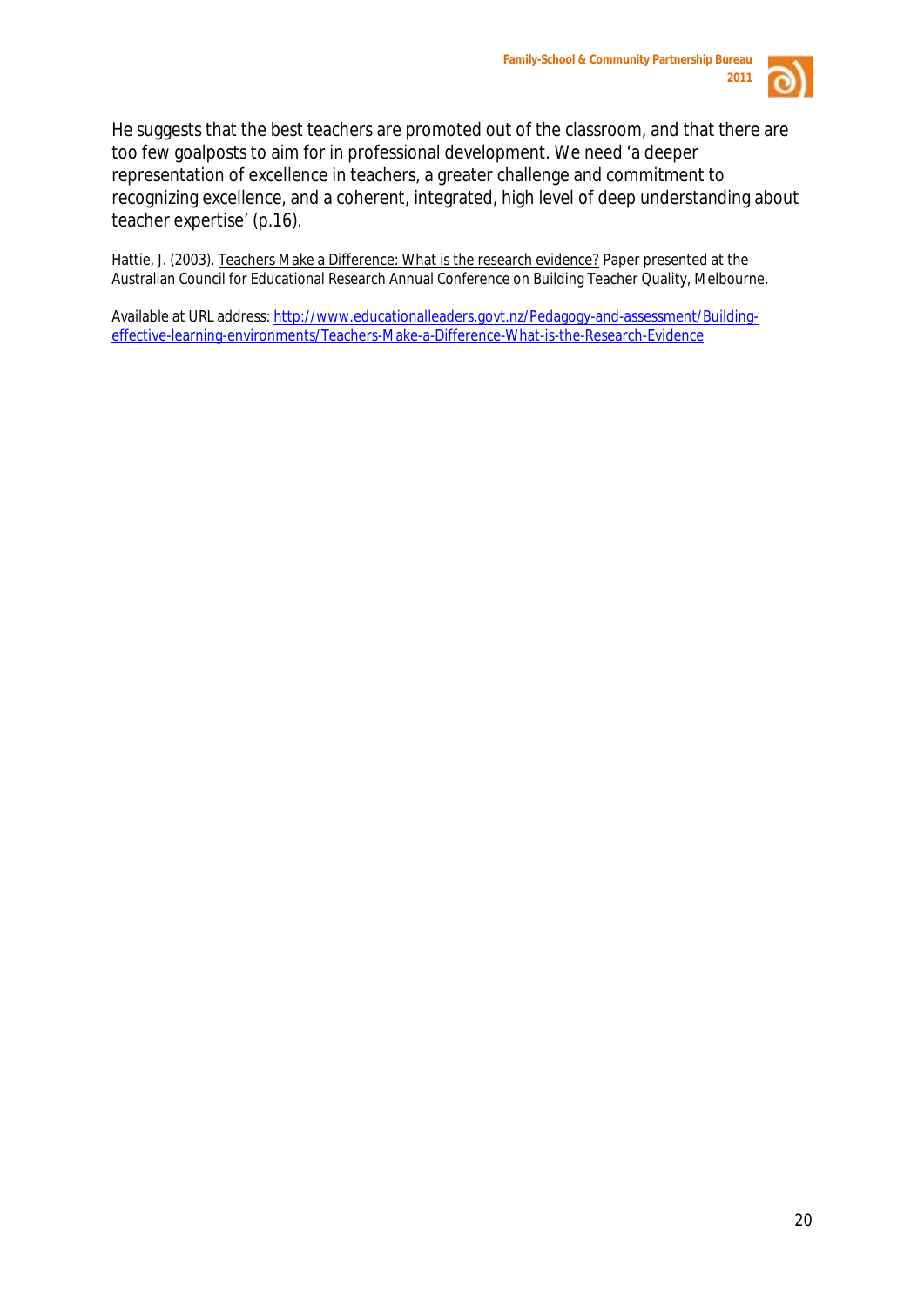

He suggests that the best teachers are promoted out of the classroom, and that there are too few goalposts to aim for in professional development. We need 'a deeper representation of excellence in teachers, a greater challenge and commitment to recognizing excellence, and a coherent, integrated, high level of deep understanding about teacher expertise' (p.16).

Hattie, J. (2003). Teachers Make a Difference: What is the research evidence? Paper presented at the Australian Council for Educational Research Annual Conference on Building Teacher Quality, Melbourne.

Available at URL address: [http://www.educationalleaders.govt.nz/Pedagogy-and-assessment/Building](http://www.educationalleaders.govt.nz/Pedagogy-and-assessment/Building-effective-learning-environments/Teachers-Make-a-Difference-What-is-the-Research-Evidence)[effective-learning-environments/Teachers-Make-a-Difference-What-is-the-Research-Evidence](http://www.educationalleaders.govt.nz/Pedagogy-and-assessment/Building-effective-learning-environments/Teachers-Make-a-Difference-What-is-the-Research-Evidence)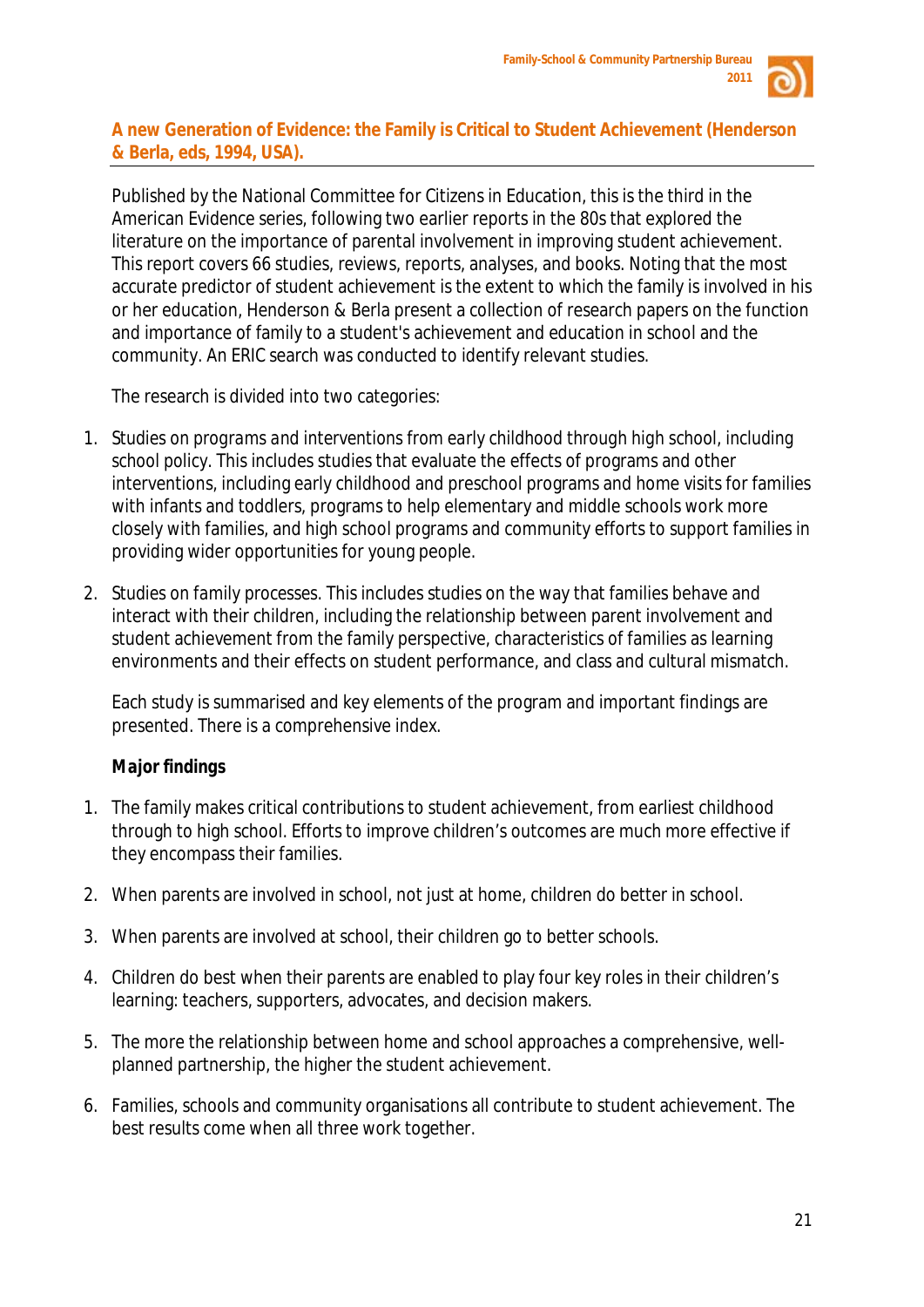

# **A new Generation of Evidence: the Family is Critical to Student Achievement (Henderson & Berla, eds, 1994, USA).**

Published by the National Committee for Citizens in Education, this is the third in the American *Evidence* series, following two earlier reports in the 80s that explored the literature on the importance of parental involvement in improving student achievement. This report covers 66 studies, reviews, reports, analyses, and books. Noting that the most accurate predictor of student achievement is the extent to which the family is involved in his or her education, Henderson & Berla present a collection of research papers on the function and importance of family to a student's achievement and education in school and the community. An ERIC search was conducted to identify relevant studies.

The research is divided into two categories:

- 1. *Studies on programs and interventions from early childhood through high school, including school policy*. This includes studies that evaluate the effects of programs and other interventions, including early childhood and preschool programs and home visits for families with infants and toddlers, programs to help elementary and middle schools work more closely with families, and high school programs and community efforts to support families in providing wider opportunities for young people.
- *2. Studies on family processes.* This includes studies on the way that families behave and interact with their children, including the relationship between parent involvement and student achievement from the family perspective, characteristics of families as learning environments and their effects on student performance, and class and cultural mismatch.

Each study is summarised and key elements of the program and important findings are presented. There is a comprehensive index.

# *Major findings*

- 1. The family makes critical contributions to student achievement, from earliest childhood through to high school. Efforts to improve children's outcomes are much more effective if they encompass their families.
- 2. When parents are involved in school, not just at home, children do better in school.
- 3. When parents are involved at school, their children go to better schools.
- 4. Children do best when their parents are enabled to play four key roles in their children's learning: teachers, supporters, advocates, and decision makers.
- 5. The more the relationship between home and school approaches a comprehensive, wellplanned partnership, the higher the student achievement.
- 6. Families, schools and community organisations all contribute to student achievement. The best results come when all three work together.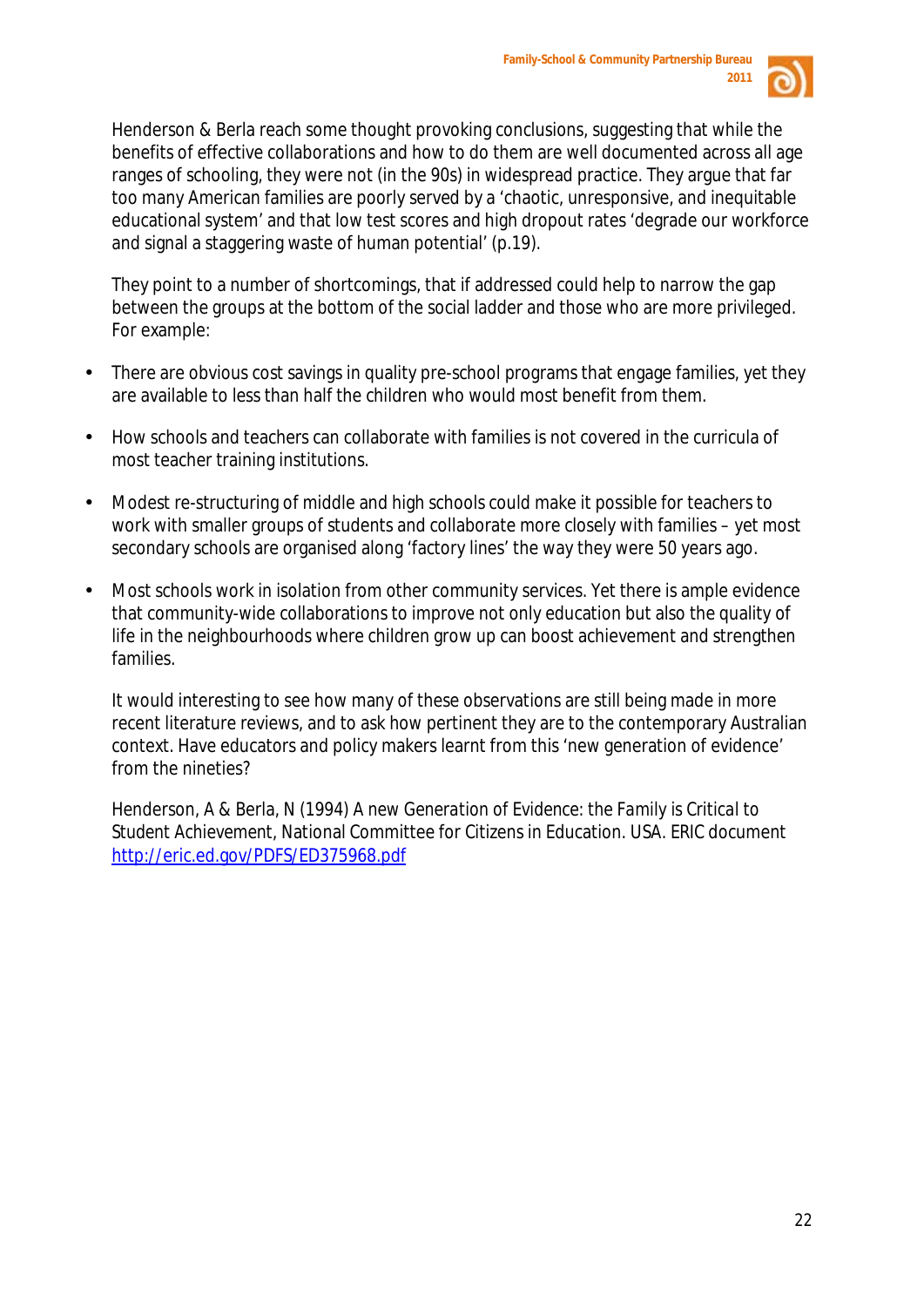

Henderson & Berla reach some thought provoking conclusions, suggesting that while the benefits of effective collaborations and how to do them are well documented across all age ranges of schooling, they were not (in the 90s) in widespread practice. They argue that far too many American families are poorly served by a 'chaotic, unresponsive, and inequitable educational system' and that low test scores and high dropout rates 'degrade our workforce and signal a staggering waste of human potential' (p.19).

They point to a number of shortcomings, that if addressed could help to narrow the gap between the groups at the bottom of the social ladder and those who are more privileged. For example:

- There are obvious cost savings in quality pre-school programs that engage families, yet they are available to less than half the children who would most benefit from them.
- How schools and teachers can collaborate with families is not covered in the curricula of most teacher training institutions.
- Modest re-structuring of middle and high schools could make it possible for teachers to work with smaller groups of students and collaborate more closely with families – yet most secondary schools are organised along 'factory lines' the way they were 50 years ago.
- Most schools work in isolation from other community services. Yet there is ample evidence that community-wide collaborations to improve not only education but also the quality of life in the neighbourhoods where children grow up can boost achievement and strengthen families.

It would interesting to see how many of these observations are still being made in more recent literature reviews, and to ask how pertinent they are to the contemporary Australian context. Have educators and policy makers learnt from this 'new generation of evidence' from the nineties?

Henderson, A & Berla, N (1994) *A new Generation of Evidence: the Family is Critical to Student Achievement*, National Committee for Citizens in Education. USA. ERIC document <http://eric.ed.gov/PDFS/ED375968.pdf>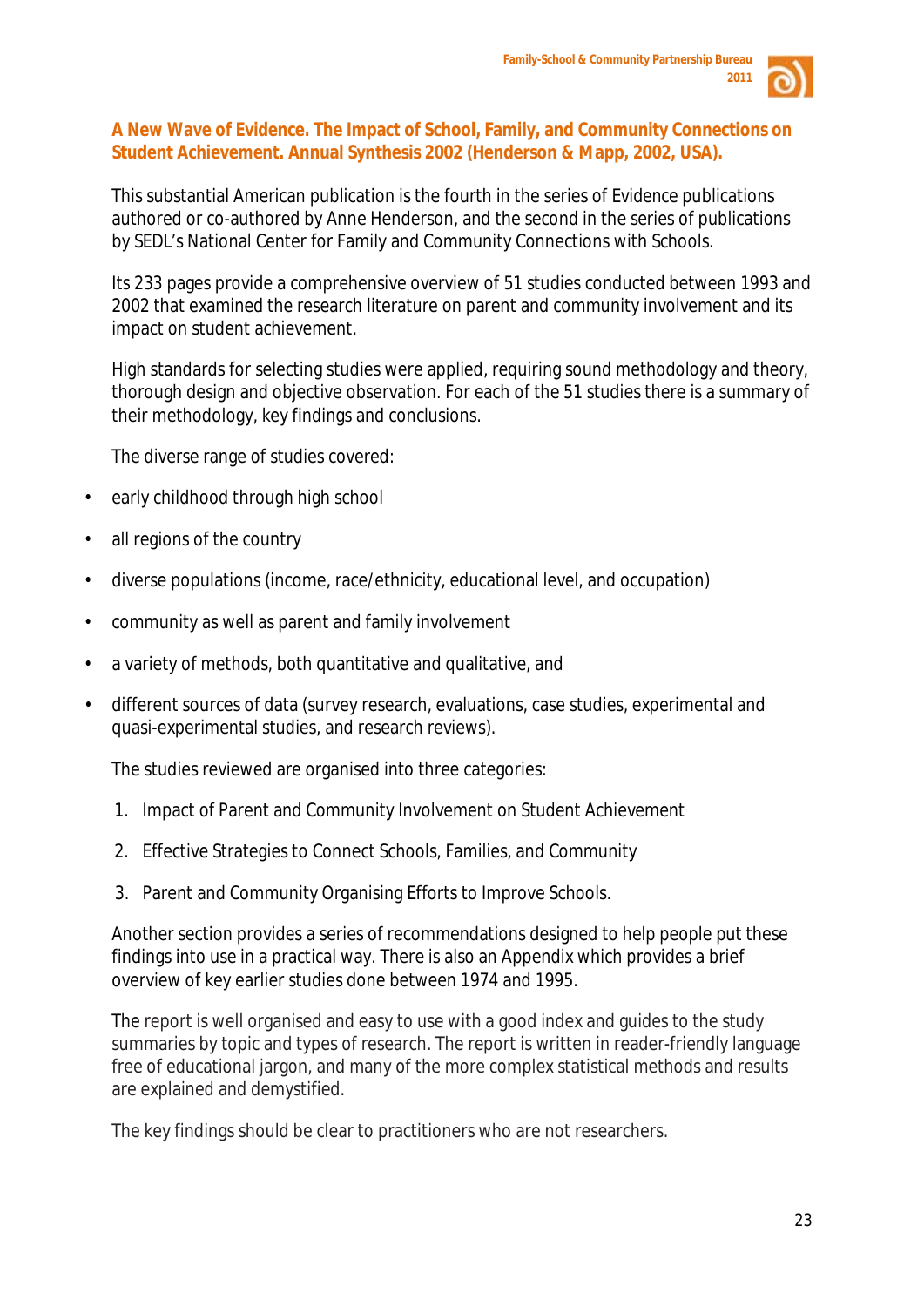

**A New Wave of Evidence. The Impact of School, Family, and Community Connections on Student Achievement. Annual Synthesis 2002 (Henderson & Mapp, 2002, USA).**

This substantial American publication is the fourth in the series of *Evidence* publications authored or co-authored by Anne Henderson, and the second in the series of publications by SEDL's National Center for Family and Community Connections with Schools.

Its 233 pages provide a comprehensive overview of 51 studies conducted between 1993 and 2002 that examined the research literature on parent and community involvement and its impact on student achievement.

High standards for selecting studies were applied, requiring sound methodology and theory, thorough design and objective observation. For each of the 51 studies there is a summary of their methodology, key findings and conclusions.

The diverse range of studies covered:

- early childhood through high school
- all regions of the country
- diverse populations (income, race/ethnicity, educational level, and occupation)
- community as well as parent and family involvement
- a variety of methods, both quantitative and qualitative, and
- different sources of data (survey research, evaluations, case studies, experimental and quasi-experimental studies, and research reviews).

The studies reviewed are organised into three categories:

- 1. Impact of Parent and Community Involvement on Student Achievement
- 2. Effective Strategies to Connect Schools, Families, and Community
- 3. Parent and Community Organising Efforts to Improve Schools.

Another section provides a series of recommendations designed to help people put these findings into use in a practical way. There is also an Appendix which provides a brief overview of key earlier studies done between 1974 and 1995.

The report is well organised and easy to use with a good index and guides to the study summaries by topic and types of research. The report is written in reader-friendly language free of educational jargon, and many of the more complex statistical methods and results are explained and demystified.

The key findings should be clear to practitioners who are not researchers.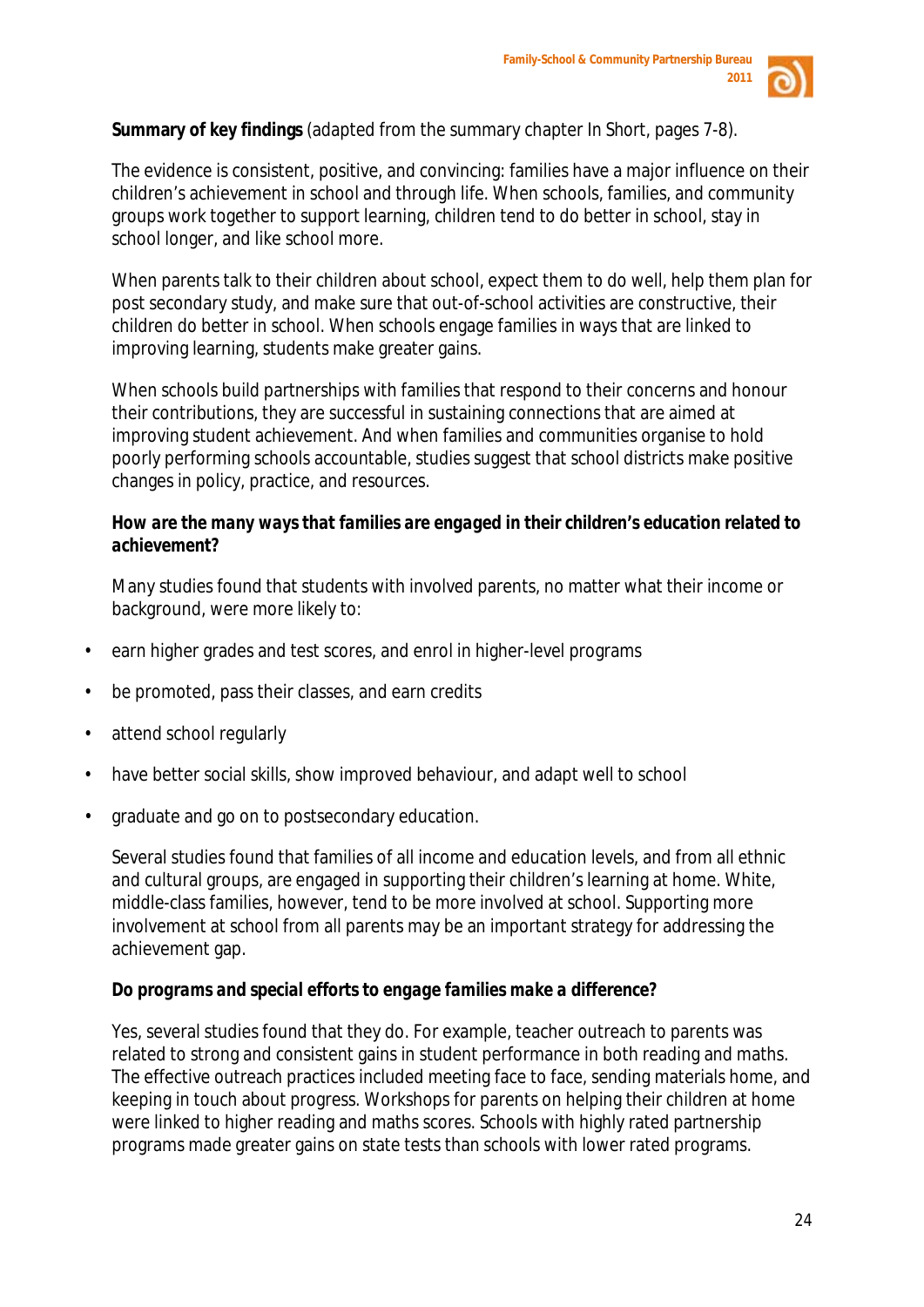

**Summary of key findings** (adapted from the summary chapter *In Short,* pages 7-8).

The evidence is consistent, positive, and convincing: families have a major influence on their children's achievement in school and through life. When schools, families, and community groups work together to support learning, children tend to do better in school, stay in school longer, and like school more.

When parents talk to their children about school, expect them to do well, help them plan for post secondary study, and make sure that out-of-school activities are constructive, their children do better in school. When schools engage families in ways that are linked to improving learning, students make greater gains.

When schools build partnerships with families that respond to their concerns and honour their contributions, they are successful in sustaining connections that are aimed at improving student achievement. And when families and communities organise to hold poorly performing schools accountable, studies suggest that school districts make positive changes in policy, practice, and resources.

# *How are the many ways that families are engaged in their children's education related to achievement?*

Many studies found that students with involved parents, no matter what their income or background, were more likely to:

- earn higher grades and test scores, and enrol in higher-level programs
- be promoted, pass their classes, and earn credits
- attend school regularly
- have better social skills, show improved behaviour, and adapt well to school
- graduate and go on to postsecondary education.

Several studies found that families of all income and education levels, and from all ethnic and cultural groups, are engaged in supporting their children's learning at home. White, middle-class families, however, tend to be more involved at school. Supporting more involvement at school from all parents may be an important strategy for addressing the achievement gap.

# *Do programs and special efforts to engage families make a difference?*

Yes, several studies found that they do. For example, teacher outreach to parents was related to strong and consistent gains in student performance in both reading and maths. The effective outreach practices included meeting face to face, sending materials home, and keeping in touch about progress. Workshops for parents on helping their children at home were linked to higher reading and maths scores. Schools with highly rated partnership programs made greater gains on state tests than schools with lower rated programs.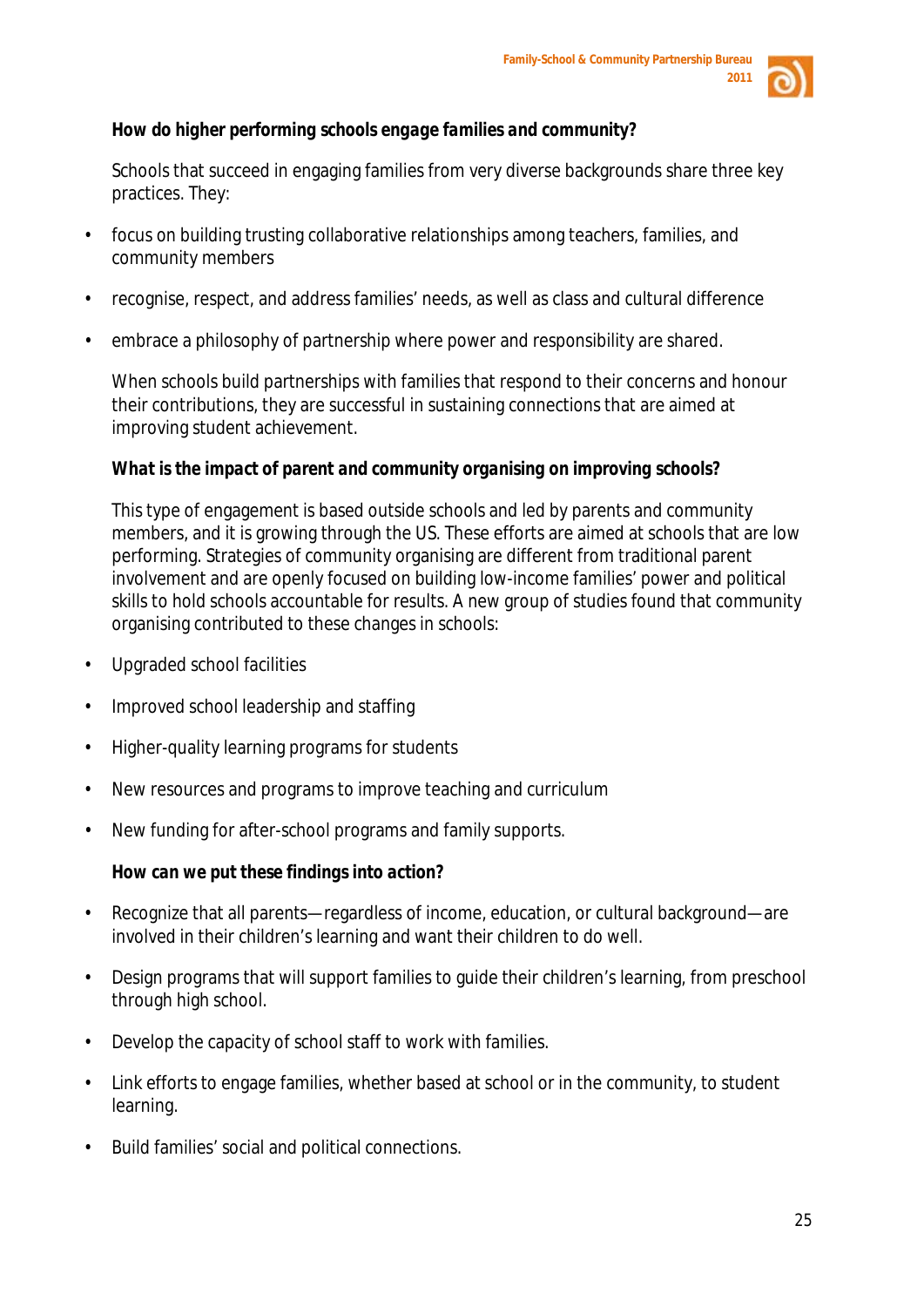

# *How do higher performing schools engage families and community?*

Schools that succeed in engaging families from very diverse backgrounds share three key practices. They:

- focus on building trusting collaborative relationships among teachers, families, and community members
- recognise, respect, and address families' needs, as well as class and cultural difference
- embrace a philosophy of partnership where power and responsibility are shared.

When schools build partnerships with families that respond to their concerns and honour their contributions, they are successful in sustaining connections that are aimed at improving student achievement.

# *What is the impact of parent and community organising on improving schools?*

This type of engagement is based outside schools and led by parents and community members, and it is growing through the US. These efforts are aimed at schools that are low performing. Strategies of community organising are different from traditional parent involvement and are openly focused on building low-income families' power and political skills to hold schools accountable for results. A new group of studies found that community organising contributed to these changes in schools:

- Upgraded school facilities
- Improved school leadership and staffing
- Higher-quality learning programs for students
- New resources and programs to improve teaching and curriculum
- New funding for after-school programs and family supports.

# *How can we put these findings into action?*

- Recognize that all parents—regardless of income, education, or cultural background—are involved in their children's learning and want their children to do well.
- Design programs that will support families to guide their children's learning, from preschool through high school.
- Develop the capacity of school staff to work with families.
- Link efforts to engage families, whether based at school or in the community, to student learning.
- Build families' social and political connections.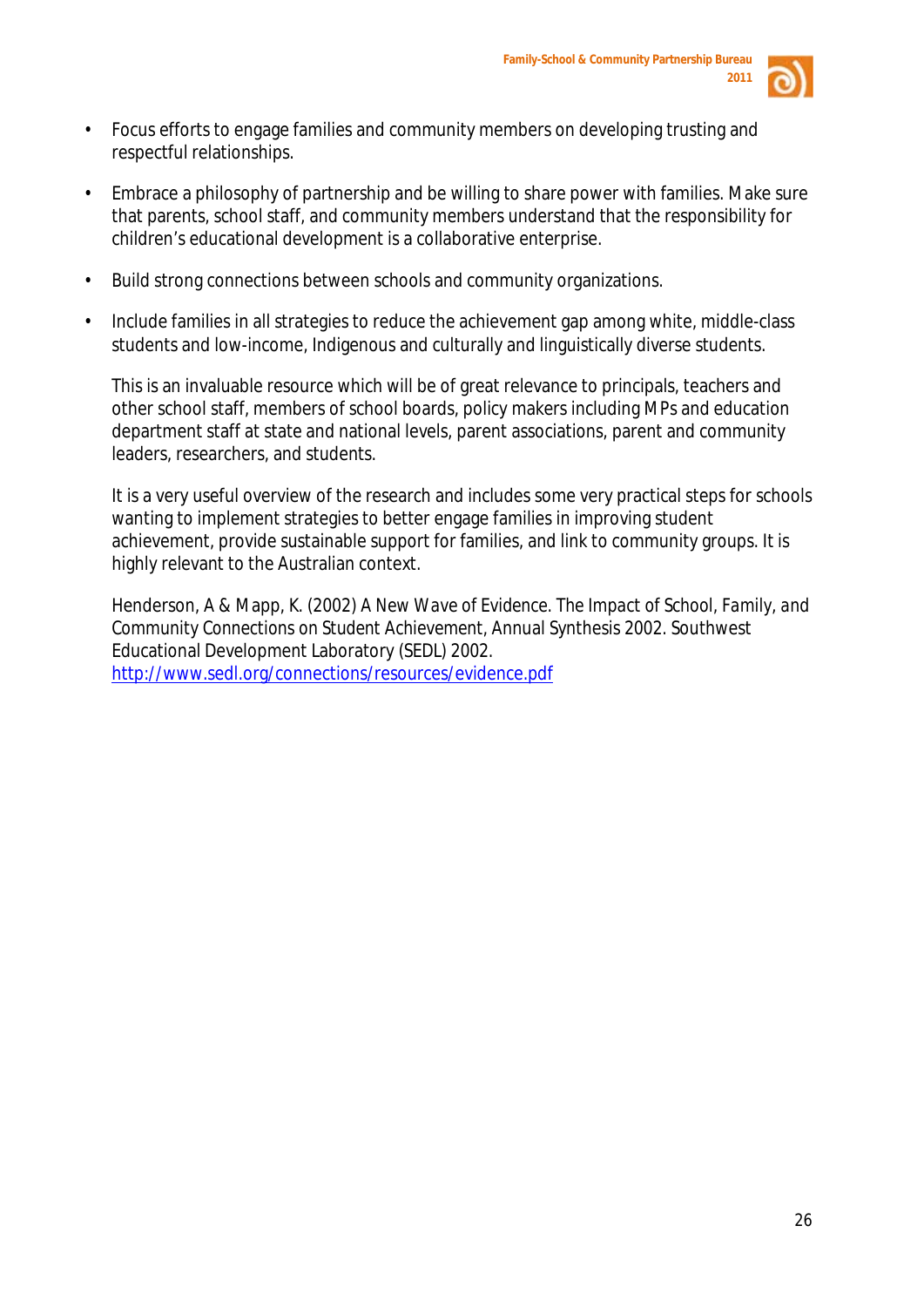

- Focus efforts to engage families and community members on developing trusting and respectful relationships.
- Embrace a philosophy of partnership and be willing to share power with families. Make sure that parents, school staff, and community members understand that the responsibility for children's educational development is a collaborative enterprise.
- Build strong connections between schools and community organizations.
- Include families in all strategies to reduce the achievement gap among white, middle-class students and low-income, Indigenous and culturally and linguistically diverse students.

This is an invaluable resource which will be of great relevance to principals, teachers and other school staff, members of school boards, policy makers including MPs and education department staff at state and national levels, parent associations, parent and community leaders, researchers, and students.

It is a very useful overview of the research and includes some very practical steps for schools wanting to implement strategies to better engage families in improving student achievement, provide sustainable support for families, and link to community groups. It is highly relevant to the Australian context.

Henderson, A & Mapp, K. (2002) *A New Wave of Evidence. The Impact of School, Family, and Community Connections on Student Achievement,* Annual Synthesis 2002. Southwest Educational Development Laboratory (SEDL) 2002. <http://www.sedl.org/connections/resources/evidence.pdf>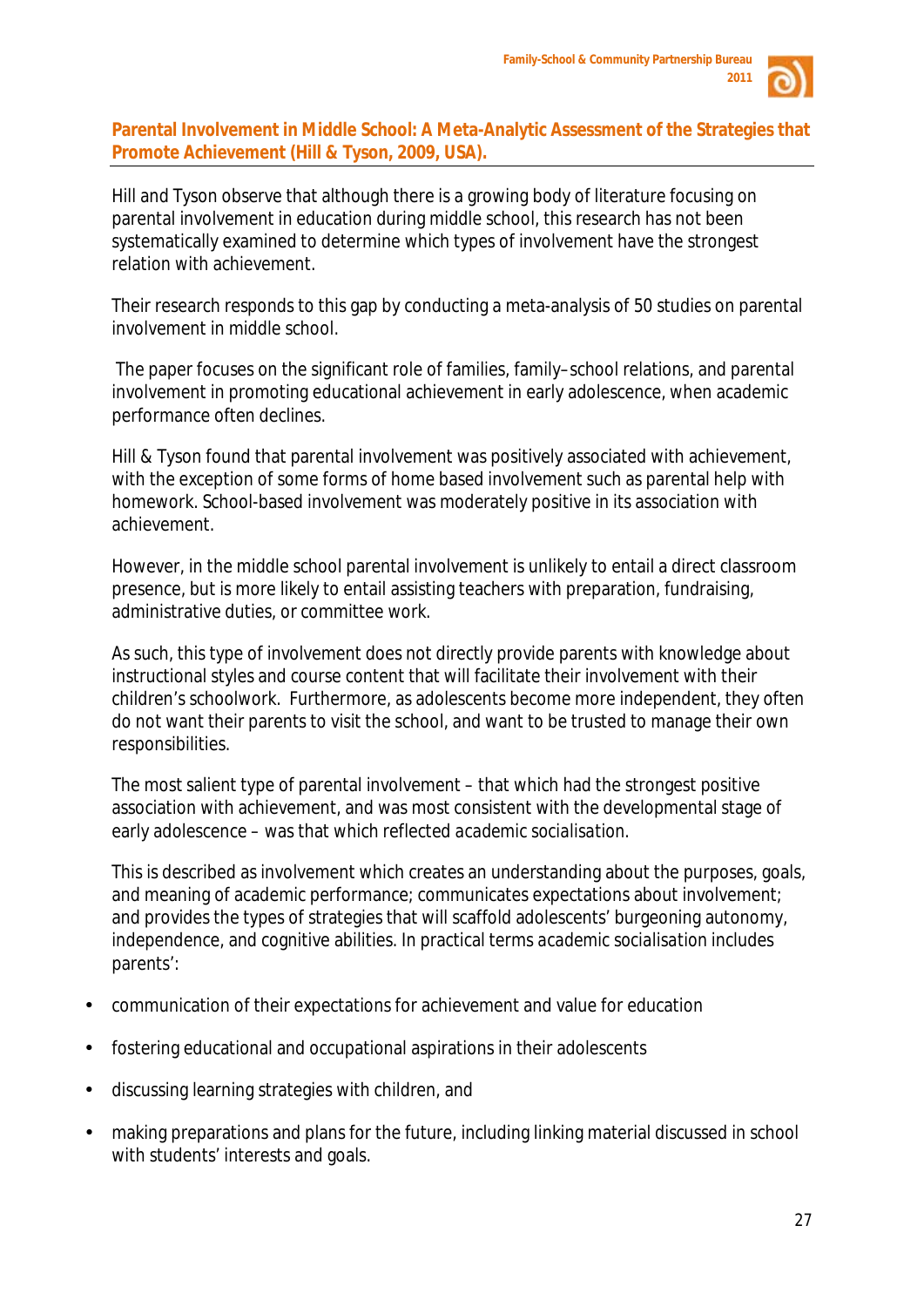

**Parental Involvement in Middle School: A Meta-Analytic Assessment of the Strategies that Promote Achievement (Hill & Tyson, 2009, USA).**

Hill and Tyson observe that although there is a growing body of literature focusing on parental involvement in education during middle school, this research has not been systematically examined to determine which types of involvement have the strongest relation with achievement.

Their research responds to this gap by conducting a meta-analysis of 50 studies on parental involvement in middle school.

The paper focuses on the significant role of families, family–school relations, and parental involvement in promoting educational achievement in early adolescence, when academic performance often declines.

Hill & Tyson found that parental involvement was positively associated with achievement, with the exception of some forms of home based involvement such as parental help with homework. School-based involvement was moderately positive in its association with achievement.

However, in the middle school parental involvement is unlikely to entail a direct classroom presence, but is more likely to entail assisting teachers with preparation, fundraising, administrative duties, or committee work.

As such, this type of involvement does not directly provide parents with knowledge about instructional styles and course content that will facilitate their involvement with their children's schoolwork. Furthermore, as adolescents become more independent, they often do not want their parents to visit the school, and want to be trusted to manage their own responsibilities.

The most salient type of parental involvement – that which had the strongest positive association with achievement, and was most consistent with the developmental stage of early adolescence – was that which reflected *academic socialisation.*

This is described as involvement which creates an understanding about the purposes, goals, and meaning of academic performance; communicates expectations about involvement; and provides the types of strategies that will scaffold adolescents' burgeoning autonomy, independence, and cognitive abilities. In practical terms *academic socialisation* includes parents':

- communication of their expectations for achievement and value for education
- fostering educational and occupational aspirations in their adolescents
- discussing learning strategies with children, and
- making preparations and plans for the future, including linking material discussed in school with students' interests and goals.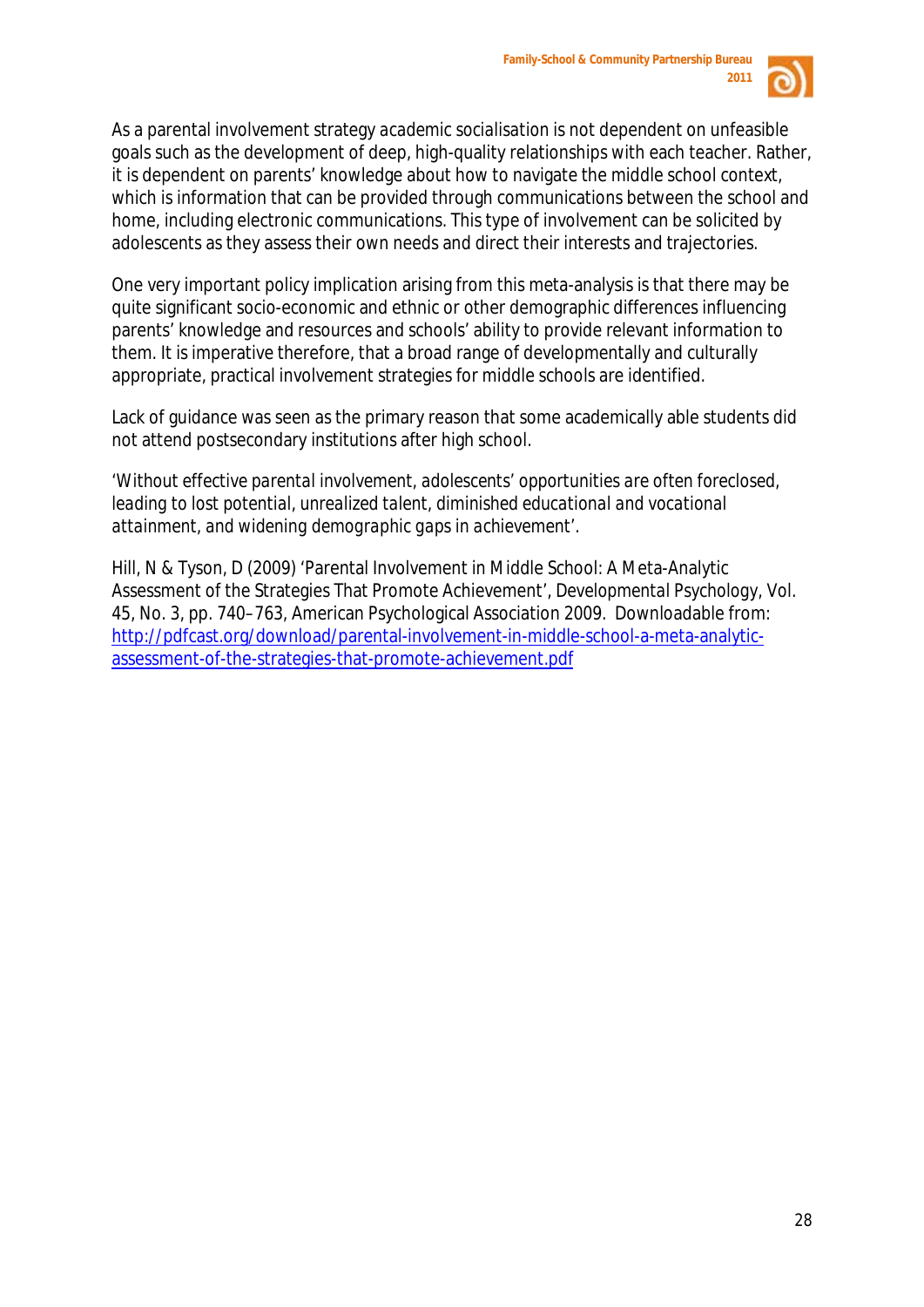

As a parental involvement strategy *academic socialisation* is not dependent on unfeasible goals such as the development of deep, high-quality relationships with each teacher. Rather, it is dependent on parents' knowledge about how to navigate the middle school context, which is information that can be provided through communications between the school and home, including electronic communications. This type of involvement can be solicited by adolescents as they assess their own needs and direct their interests and trajectories.

One very important policy implication arising from this meta-analysis is that there may be quite significant socio-economic and ethnic or other demographic differences influencing parents' knowledge and resources and schools' ability to provide relevant information to them. It is imperative therefore, that a broad range of developmentally and culturally appropriate, practical involvement strategies for middle schools are identified.

Lack of guidance was seen as the primary reason that some academically able students did not attend postsecondary institutions after high school.

*'Without effective parental involvement, adolescents' opportunities are often foreclosed, leading to lost potential, unrealized talent, diminished educational and vocational attainment, and widening demographic gaps in achievement'.* 

Hill, N & Tyson, D (2009) 'Parental Involvement in Middle School: A Meta-Analytic Assessment of the Strategies That Promote Achievement', *Developmental Psychology*, Vol. 45, No. 3, pp. 740–763, American Psychological Association 2009. Downloadable from: [http://pdfcast.org/download/parental-involvement-in-middle-school-a-meta-analytic](http://pdfcast.org/download/parental-involvement-in-middle-school-a-meta-analytic-assessment-of-the-strategies-that-promote-achievement.pdf)[assessment-of-the-strategies-that-promote-achievement.pdf](http://pdfcast.org/download/parental-involvement-in-middle-school-a-meta-analytic-assessment-of-the-strategies-that-promote-achievement.pdf)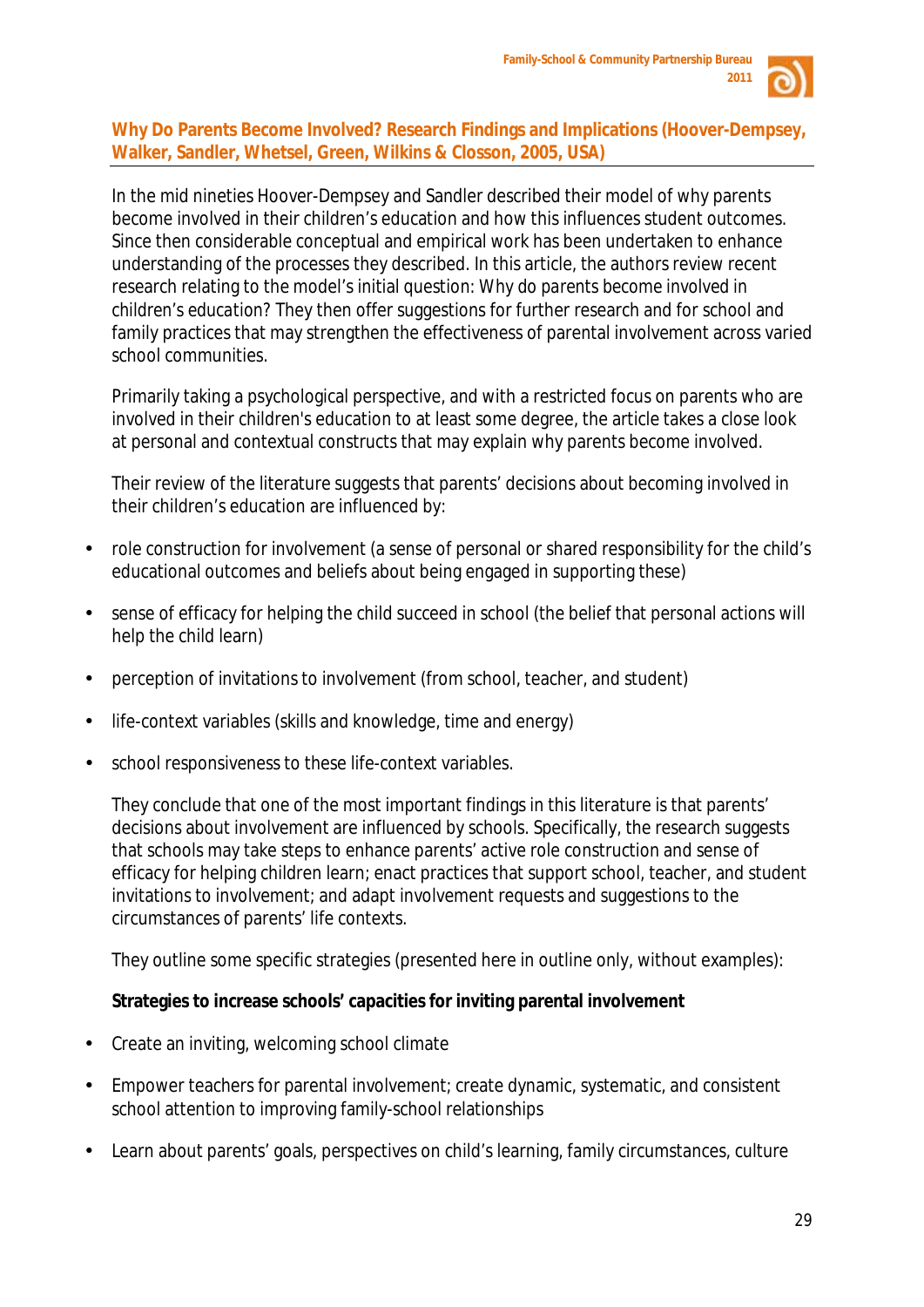

# **Why Do Parents Become Involved? Research Findings and Implications (Hoover-Dempsey, Walker, Sandler, Whetsel, Green, Wilkins & Closson, 2005, USA)**

In the mid nineties Hoover-Dempsey and Sandler described their model of why parents become involved in their children's education and how this influences student outcomes. Since then considerable conceptual and empirical work has been undertaken to enhance understanding of the processes they described. In this article, the authors review recent research relating to the model's initial question: *Why do parents become involved in children's education?* They then offer suggestions for further research and for school and family practices that may strengthen the effectiveness of parental involvement across varied school communities.

Primarily taking a psychological perspective, and with a restricted focus on parents who are involved in their children's education to at least some degree, the article takes a close look at personal and contextual constructs that may explain why parents become involved.

Their review of the literature suggests that parents' decisions about becoming involved in their children's education are influenced by:

- role construction for involvement (a sense of personal or shared responsibility for the child's educational outcomes and beliefs about being engaged in supporting these)
- sense of efficacy for helping the child succeed in school (the belief that personal actions will help the child learn)
- perception of invitations to involvement (from school, teacher, and student)
- life-context variables (skills and knowledge, time and energy)
- school responsiveness to these life-context variables.

They conclude that one of the most important findings in this literature is that parents' decisions about involvement are influenced by schools. Specifically, the research suggests that schools may take steps to enhance parents' active role construction and sense of efficacy for helping children learn; enact practices that support school, teacher, and student invitations to involvement; and adapt involvement requests and suggestions to the circumstances of parents' life contexts.

They outline some specific strategies (presented here in outline only, without examples):

# **Strategies to increase schools' capacities for inviting parental involvement**

- Create an inviting, welcoming school climate
- Empower teachers for parental involvement; create dynamic, systematic, and consistent school attention to improving family-school relationships
- Learn about parents' goals, perspectives on child's learning, family circumstances, culture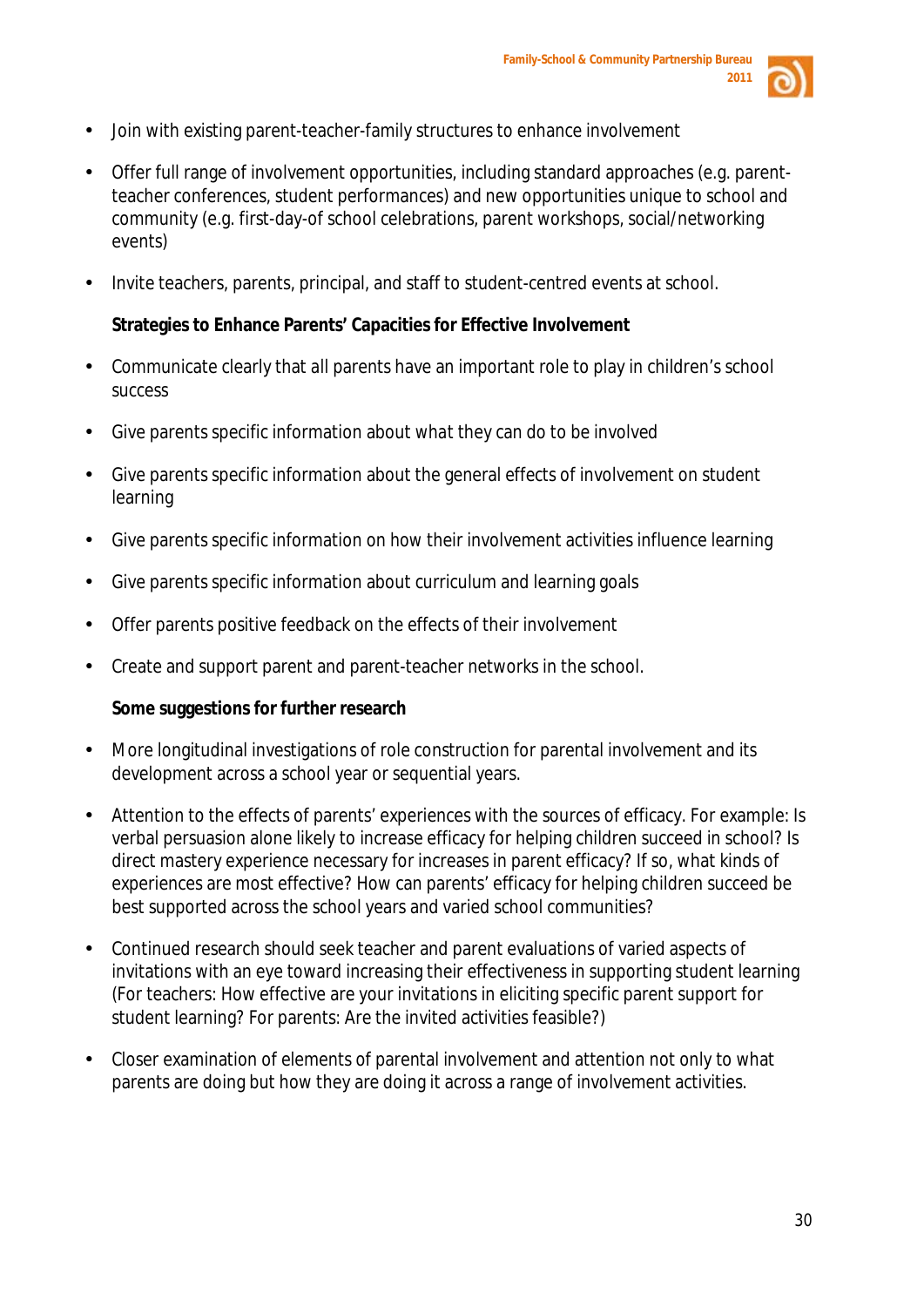

- Join with existing parent-teacher-family structures to enhance involvement
- Offer full range of involvement opportunities, including standard approaches (e.g. parentteacher conferences, student performances) and new opportunities unique to school and community (e.g. first-day-of school celebrations, parent workshops, social/networking events)
- Invite teachers, parents, principal, and staff to student-centred events at school.

# **Strategies to Enhance Parents' Capacities for Effective Involvement**

- Communicate clearly that *all* parents have an important role to play in children's school success
- Give parents specific information about *what* they can do to be involved
- Give parents specific information about the general *effects* of involvement on student learning
- Give parents specific information on *how* their involvement activities influence learning
- Give parents specific information about curriculum and learning goals
- Offer parents positive feedback on the effects of their involvement
- Create and support parent and parent-teacher networks in the school.

# **Some suggestions for further research**

- More longitudinal investigations of role construction for parental involvement and its development across a school year or sequential years.
- Attention to the effects of parents' experiences with the sources of efficacy. For example: Is verbal persuasion alone likely to increase efficacy for helping children succeed in school? Is direct mastery experience necessary for increases in parent efficacy? If so, what kinds of experiences are most effective? How can parents' efficacy for helping children succeed be best supported across the school years and varied school communities?
- Continued research should seek teacher and parent evaluations of varied aspects of invitations with an eye toward increasing their effectiveness in supporting student learning (For teachers: How effective are your invitations in eliciting specific parent support for student learning? For parents: Are the invited activities feasible?)
- Closer examination of elements of parental involvement and attention not only to what parents are doing but how they are doing it across a range of involvement activities.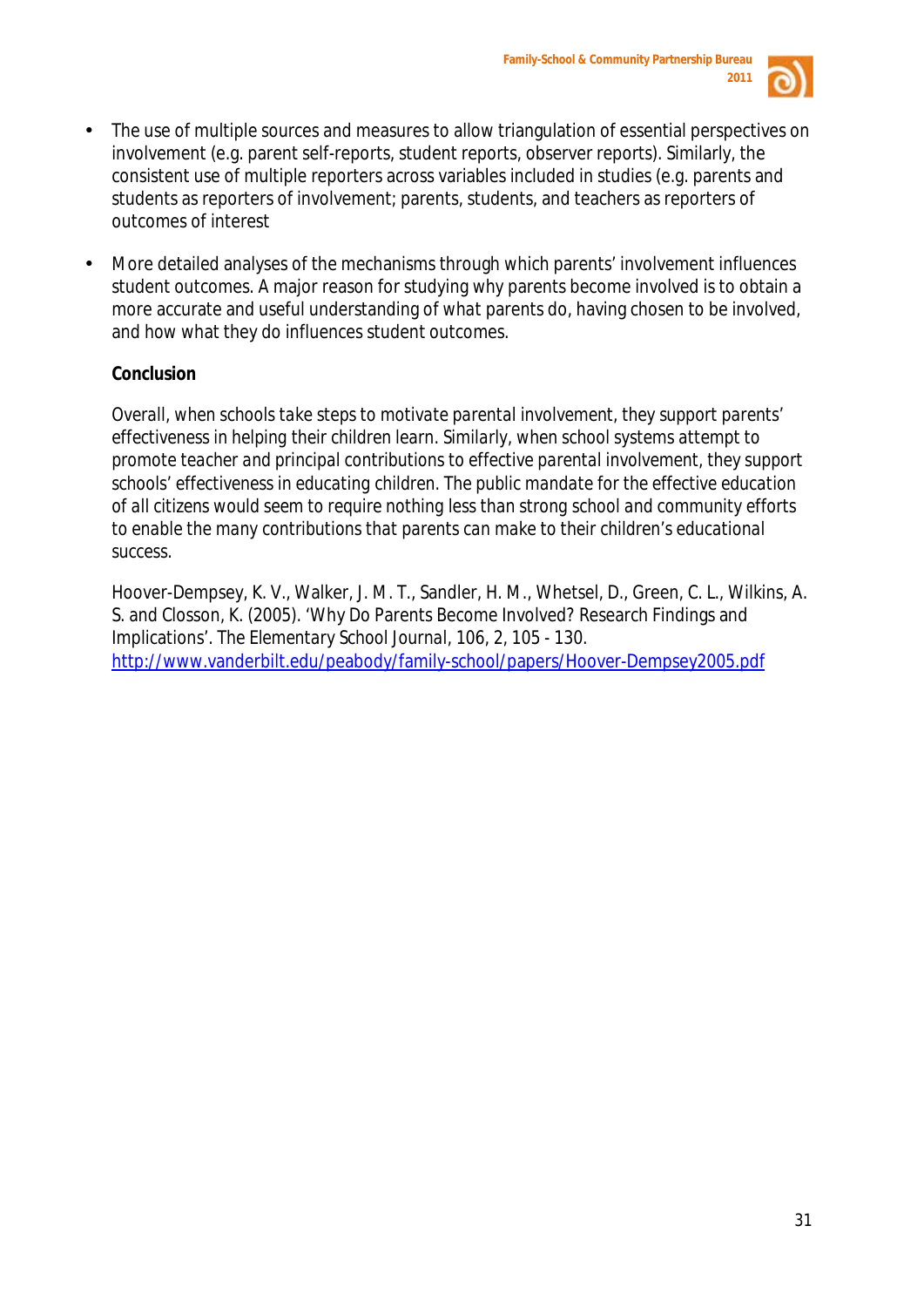

- The use of multiple sources and measures to allow triangulation of essential perspectives on involvement (e.g. parent self-reports, student reports, observer reports). Similarly, the consistent use of multiple reporters across variables included in studies (e.g. parents and students as reporters of involvement; parents, students, and teachers as reporters of outcomes of interest
- More detailed analyses of the mechanisms through which parents' involvement influences student outcomes. A major reason for studying *why* parents become involved is to obtain a more accurate and useful understanding of *what* parents do, having chosen to be involved, and *how* what they do influences student outcomes.

# **Conclusion**

*Overall, when schools take steps to motivate parental involvement, they support parents' effectiveness in helping their children learn. Similarly, when school systems attempt to promote teacher and principal contributions to effective parental involvement, they support schools' effectiveness in educating children. The public mandate for the effective education of all citizens would seem to require nothing less than strong school and community efforts to enable the many contributions that parents can make to their children's educational success.* 

Hoover-Dempsey, K. V., Walker, J. M. T., Sandler, H. M., Whetsel, D., Green, C. L., Wilkins, A. S. and Closson, K. (2005). 'Why Do Parents Become Involved? Research Findings and Implications'. *The Elementary School Journal*, 106, 2, 105 - 130. <http://www.vanderbilt.edu/peabody/family-school/papers/Hoover-Dempsey2005.pdf>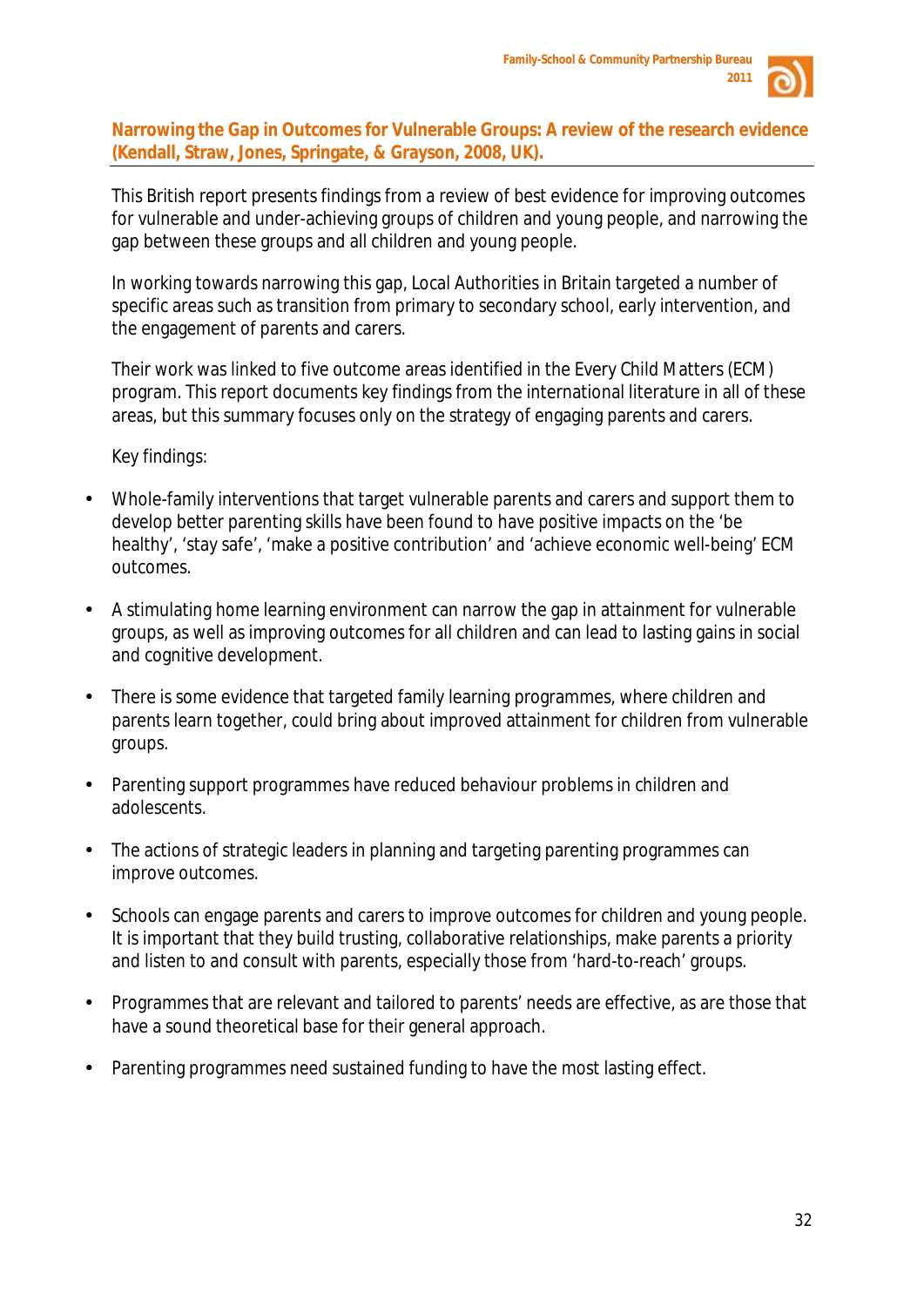

**Narrowing the Gap in Outcomes for Vulnerable Groups: A review of the research evidence (Kendall, Straw, Jones, Springate, & Grayson, 2008, UK).** 

This British report presents findings from a review of best evidence for improving outcomes for vulnerable and under-achieving groups of children and young people, and narrowing the gap between these groups and all children and young people.

In working towards narrowing this gap, Local Authorities in Britain targeted a number of specific areas such as transition from primary to secondary school, early intervention, and the engagement of parents and carers.

Their work was linked to five outcome areas identified in the Every Child Matters (ECM) program. This report documents key findings from the international literature in all of these areas, but this summary focuses only on the strategy of engaging parents and carers.

#### *Key findings:*

- Whole-family interventions that target vulnerable parents and carers and support them to develop better parenting skills have been found to have positive impacts on the 'be healthy', 'stay safe', 'make a positive contribution' and 'achieve economic well-being' ECM outcomes.
- A stimulating home learning environment can narrow the gap in attainment for vulnerable groups, as well as improving outcomes for all children and can lead to lasting gains in social and cognitive development.
- There is some evidence that targeted family learning programmes, where children and parents learn together, could bring about improved attainment for children from vulnerable groups.
- Parenting support programmes have reduced behaviour problems in children and adolescents.
- The actions of strategic leaders in planning and targeting parenting programmes can improve outcomes.
- Schools can engage parents and carers to improve outcomes for children and young people. It is important that they build trusting, collaborative relationships, make parents a priority and listen to and consult with parents, especially those from 'hard-to-reach' groups.
- Programmes that are relevant and tailored to parents' needs are effective, as are those that have a sound theoretical base for their general approach.
- Parenting programmes need sustained funding to have the most lasting effect.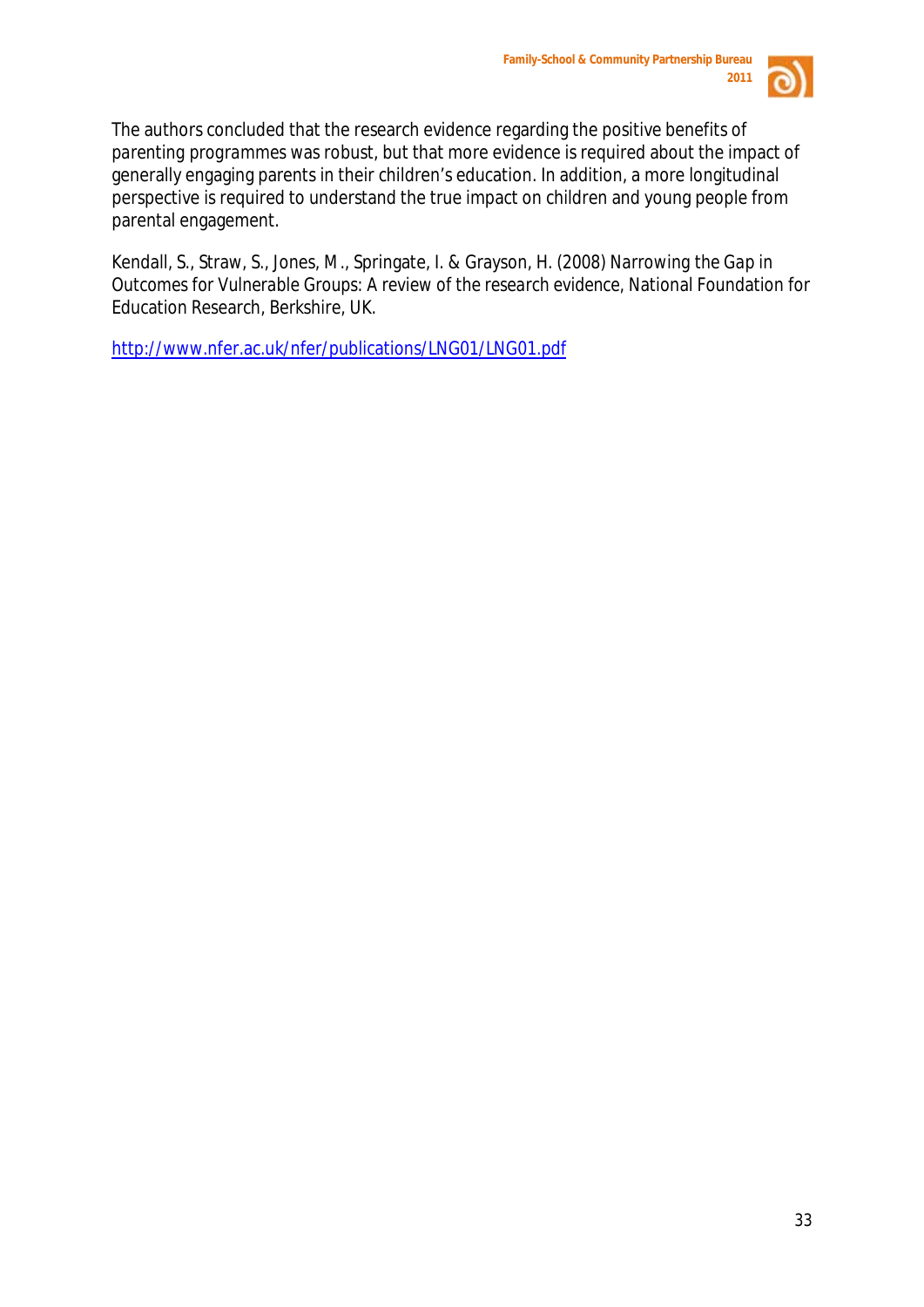

The authors concluded that the research evidence regarding the positive benefits of *parenting programmes* was robust, but that more evidence is required about the impact of generally engaging parents in their children's education. In addition, a more longitudinal perspective is required to understand the true impact on children and young people from parental engagement.

Kendall, S., Straw, S., Jones, M., Springate, I. & Grayson, H. (2008) *Narrowing the Gap in Outcomes for Vulnerable Groups: A review of the research evidence,* National Foundation for Education Research, Berkshire, UK.

<http://www.nfer.ac.uk/nfer/publications/LNG01/LNG01.pdf>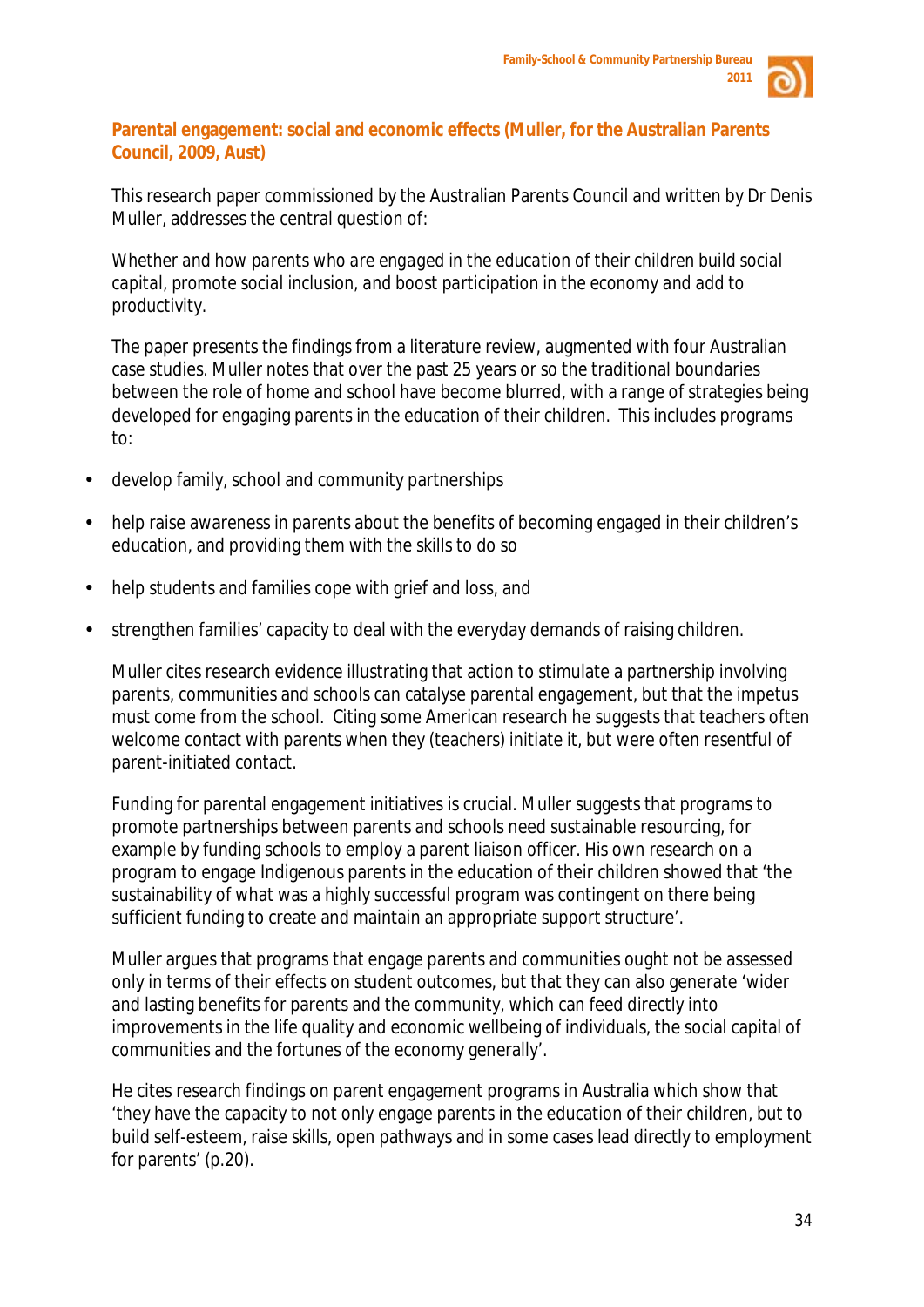

#### **Parental engagement: social and economic effects (Muller, for the Australian Parents Council, 2009, Aust)**

This research paper commissioned by the Australian Parents Council and written by Dr Denis Muller, addresses the central question of:

*Whether and how parents who are engaged in the education of their children build social capital, promote social inclusion, and boost participation in the economy and add to productivity.*

The paper presents the findings from a literature review, augmented with four Australian case studies. Muller notes that over the past 25 years or so the traditional boundaries between the role of home and school have become blurred, with a range of strategies being developed for engaging parents in the education of their children. This includes programs to:

- develop family, school and community partnerships
- help raise awareness in parents about the benefits of becoming engaged in their children's education, and providing them with the skills to do so
- help students and families cope with grief and loss, and
- strengthen families' capacity to deal with the everyday demands of raising children.

Muller cites research evidence illustrating that action to stimulate a partnership involving parents, communities and schools can catalyse parental engagement, but that the impetus must come from the school. Citing some American research he suggests that teachers often welcome contact with parents when *they* (teachers) initiate it, but were often resentful of parent-initiated contact.

Funding for parental engagement initiatives is crucial. Muller suggests that programs to promote partnerships between parents and schools need sustainable resourcing, for example by funding schools to employ a parent liaison officer. His own research on a program to engage Indigenous parents in the education of their children showed that 'the sustainability of what was a highly successful program was contingent on there being sufficient funding to create and maintain an appropriate support structure'.

Muller argues that programs that engage parents and communities ought not be assessed only in terms of their effects on student outcomes, but that they can also generate 'wider and lasting benefits for parents and the community, which can feed directly into improvements in the life quality and economic wellbeing of individuals, the social capital of communities and the fortunes of the economy generally'.

He cites research findings on parent engagement programs in Australia which show that 'they have the capacity to not only engage parents in the education of their children, but to build self-esteem, raise skills, open pathways and in some cases lead directly to employment for parents' (p.20).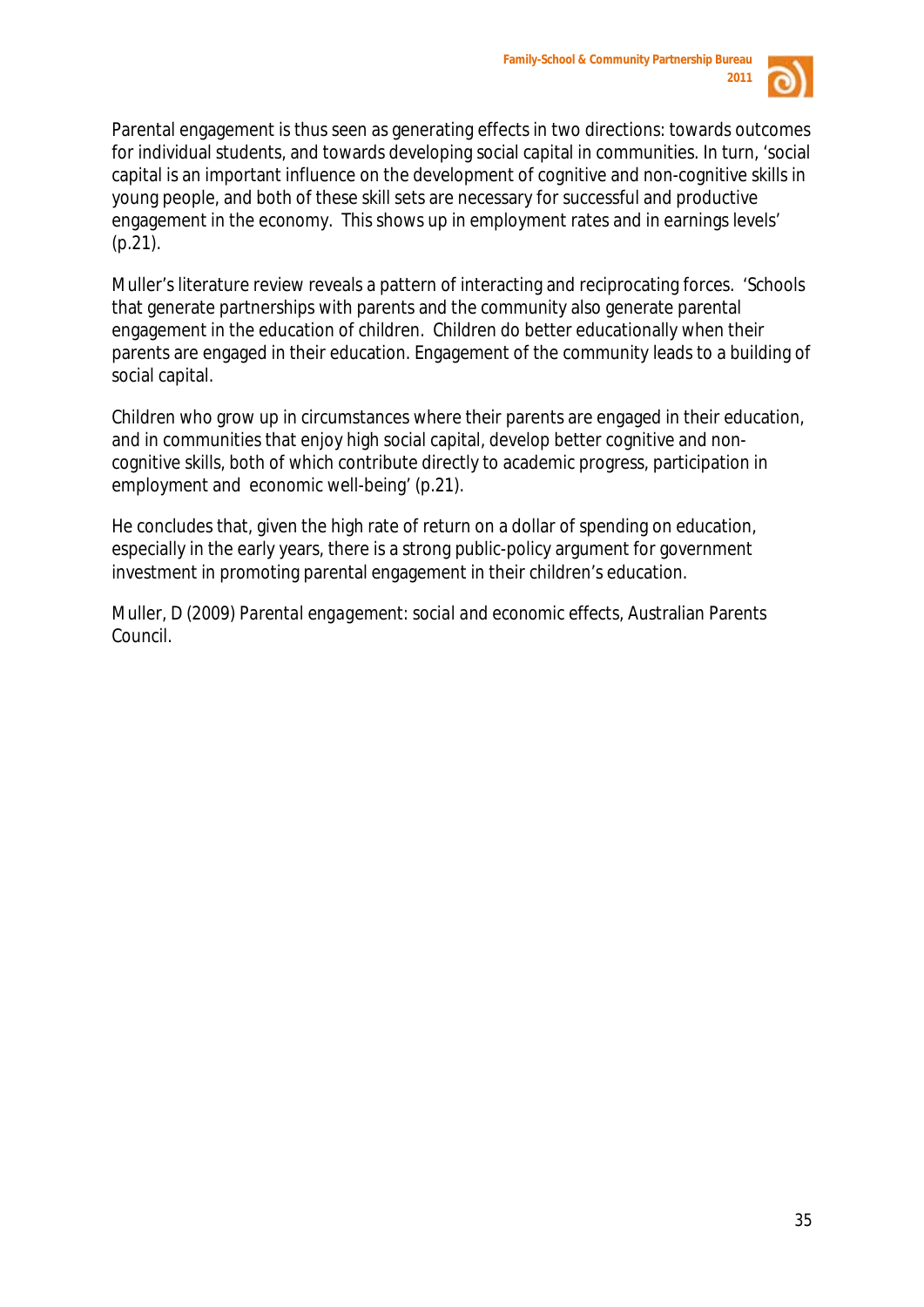

Parental engagement is thus seen as generating effects in two directions: towards outcomes for individual students, and towards developing social capital in communities. In turn, 'social capital is an important influence on the development of cognitive and non-cognitive skills in young people, and both of these skill sets are necessary for successful and productive engagement in the economy. This shows up in employment rates and in earnings levels' (p.21).

Muller's literature review reveals a pattern of interacting and reciprocating forces. 'Schools that generate partnerships with parents and the community also generate parental engagement in the education of children. Children do better educationally when their parents are engaged in their education. Engagement of the community leads to a building of social capital.

Children who grow up in circumstances where their parents are engaged in their education, and in communities that enjoy high social capital, develop better cognitive and noncognitive skills, both of which contribute directly to academic progress, participation in employment and economic well-being' (p.21).

He concludes that, given the high rate of return on a dollar of spending on education, especially in the early years, there is a strong public-policy argument for government investment in promoting parental engagement in their children's education.

Muller, D (2009) *Parental engagement: social and economic effects*, Australian Parents Council.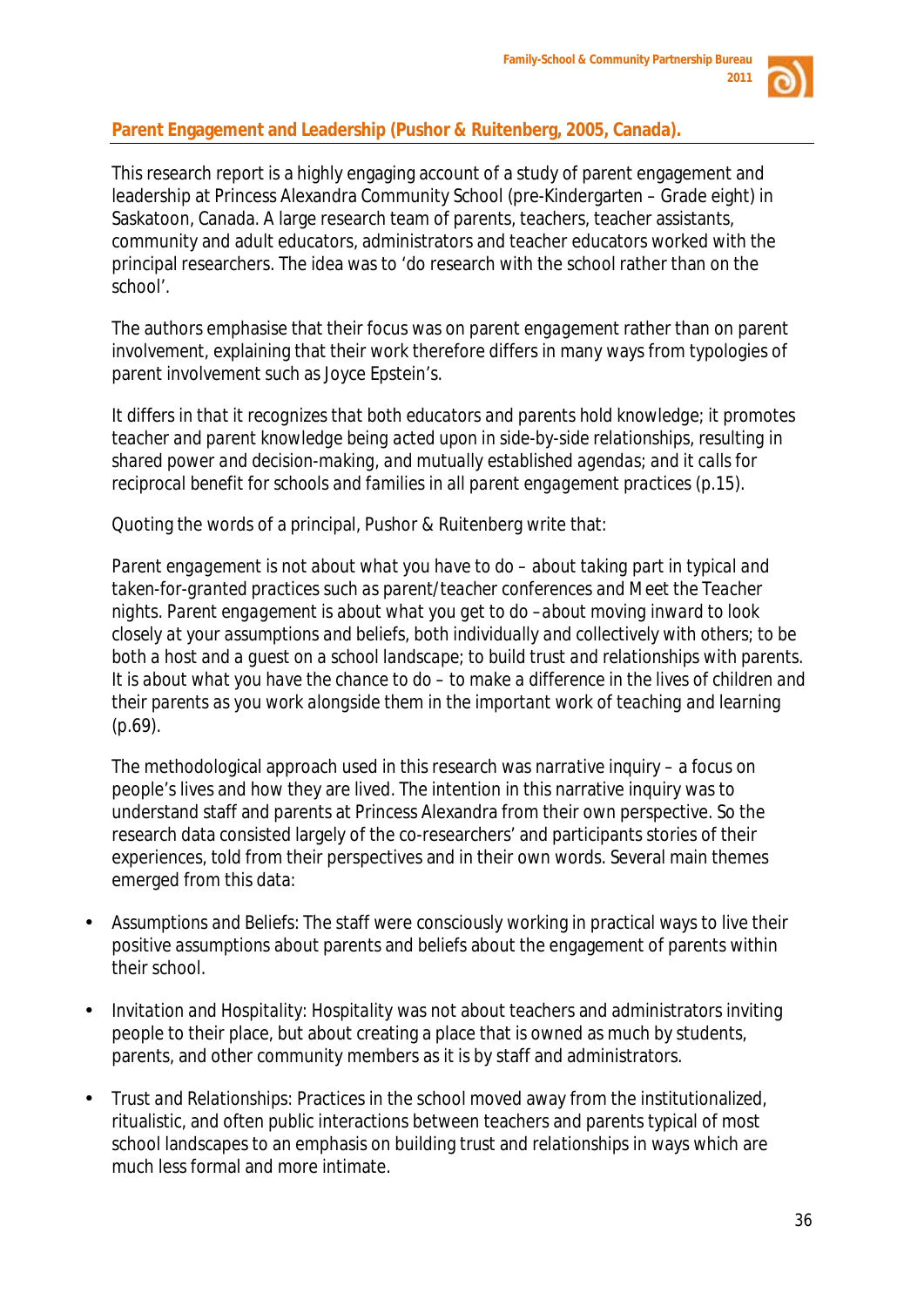

# **Parent Engagement and Leadership (Pushor & Ruitenberg, 2005, Canada).**

This research report is a highly engaging account of a study of parent engagement and leadership at Princess Alexandra Community School (pre-Kindergarten – Grade eight) in Saskatoon, Canada. A large research team of parents, teachers, teacher assistants, community and adult educators, administrators and teacher educators worked with the principal researchers. The idea was to 'do research *with* the school rather than *on* the school'*.*

The authors emphasise that their focus was on parent *engagement* rather than on parent *involvement*, explaining that their work therefore differs in many ways from typologies of parent involvement such as Joyce Epstein's.

*It differs in that it recognizes that both educators and parents hold knowledge; it promotes teacher and parent knowledge being acted upon in side-by-side relationships, resulting in shared power and decision-making, and mutually established agendas; and it calls for reciprocal benefit for schools and families in all parent engagement practices (*p.15).

Quoting the words of a principal, Pushor & Ruitenberg write that:

*Parent engagement is not about what you have to do – about taking part in typical and taken-for-granted practices such as parent/teacher conferences and Meet the Teacher nights. Parent engagement is about what you get to do –about moving inward to look closely at your assumptions and beliefs, both individually and collectively with others; to be both a host and a guest on a school landscape; to build trust and relationships with parents. It is about what you have the chance to do – to make a difference in the lives of children and their parents as you work alongside them in the important work of teaching and learning*   $(p.69)$ .

The methodological approach used in this research was *narrative inquiry* – a focus on people's lives and how they are lived. The intention in this narrative inquiry was to understand staff and parents at Princess Alexandra from their own perspective. So the research data consisted largely of the co-researchers' and participants stories of their experiences, told from their perspectives and in their own words. Several main themes emerged from this data:

- *Assumptions and Beliefs:* The staff were consciously working in practical ways to live their positive *assumptions* about parents and *beliefs* about the engagement of parents within their school.
- *Invitation and Hospitality: Hospitality* was not about teachers and administrators inviting people to their place, but about creating a place that is owned as much by students, parents, and other community members as it is by staff and administrators.
- *Trust and Relationships:* Practices in the school moved away from the institutionalized, ritualistic, and often public interactions between teachers and parents typical of most school landscapes to an emphasis on building *trust* and *relationships* in ways which are much less formal and more intimate.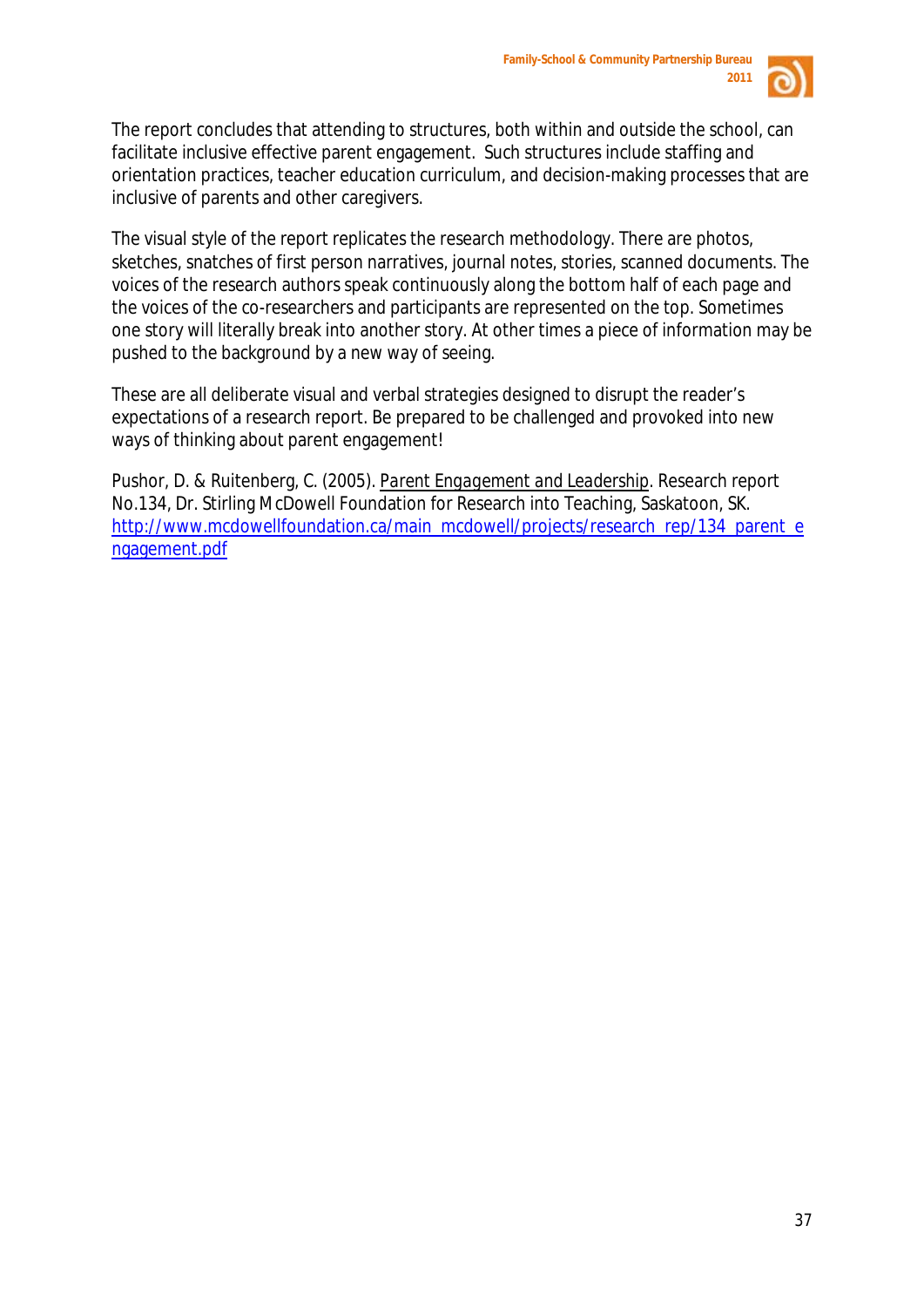

The report concludes that attending to structures, both within and outside the school, can facilitate inclusive effective parent engagement. Such structures include staffing and orientation practices, teacher education curriculum, and decision-making processes that are inclusive of parents and other caregivers.

The visual style of the report replicates the research methodology. There are photos, sketches, snatches of first person narratives, journal notes, stories, scanned documents. The voices of the research authors speak continuously along the bottom half of each page and the voices of the co-researchers and participants are represented on the top. Sometimes one story will literally break into another story. At other times a piece of information may be pushed to the background by a new way of seeing.

These are all deliberate visual and verbal strategies designed to disrupt the reader's expectations of a research report. Be prepared to be challenged and provoked into new ways of thinking about parent engagement!

Pushor, D. & Ruitenberg, C. (2005). *Parent Engagement and Leadership.* Research report No.134, Dr. Stirling McDowell Foundation for Research into Teaching, Saskatoon, SK. [http://www.mcdowellfoundation.ca/main\\_mcdowell/projects/research\\_rep/134\\_parent\\_e](http://www.mcdowellfoundation.ca/main_mcdowell/projects/research_rep/134_parent_engagement.pdf) [ngagement.pdf](http://www.mcdowellfoundation.ca/main_mcdowell/projects/research_rep/134_parent_engagement.pdf)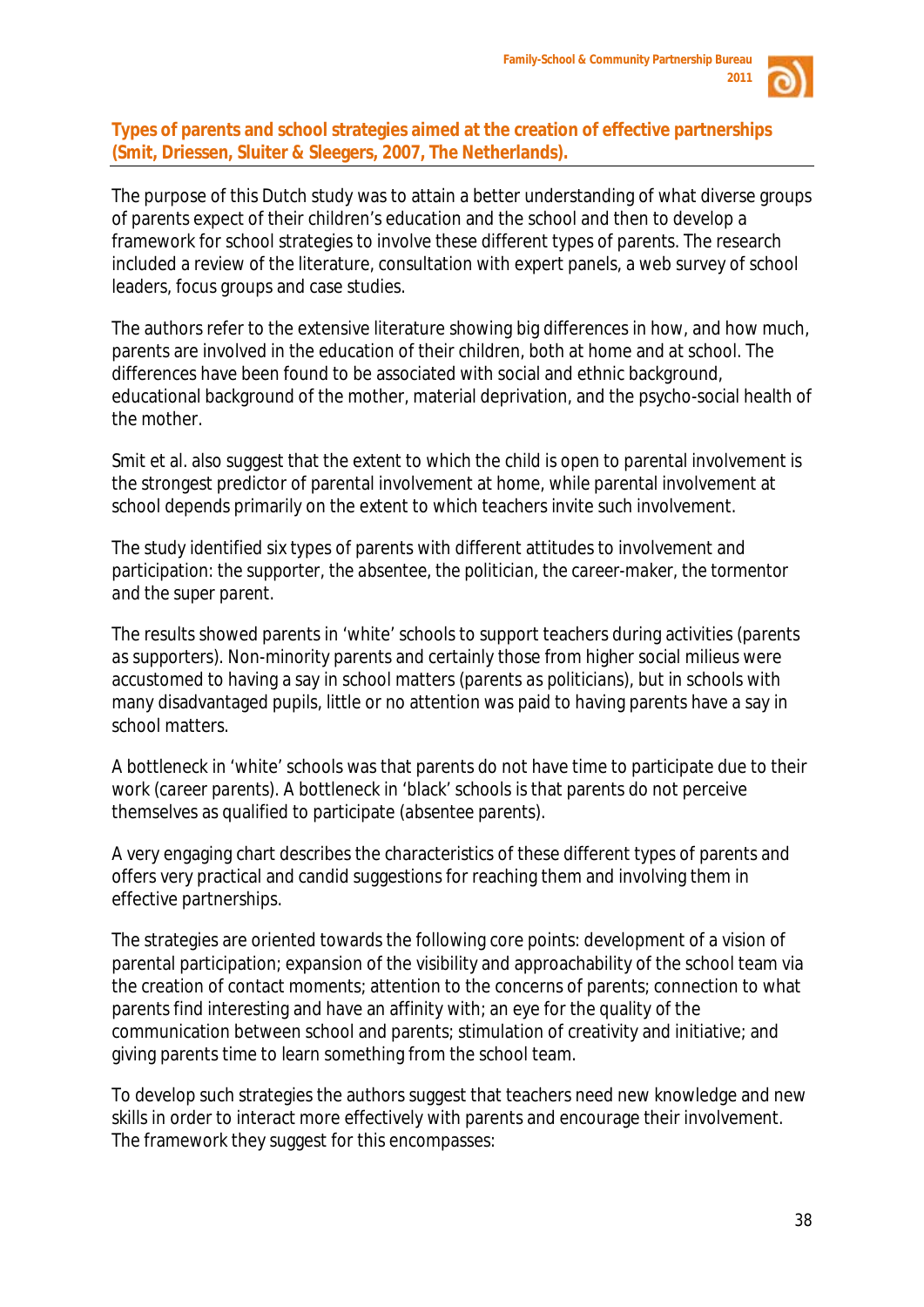

#### **Types of parents and school strategies aimed at the creation of effective partnerships (Smit, Driessen, Sluiter & Sleegers, 2007, The Netherlands).**

The purpose of this Dutch study was to attain a better understanding of what diverse groups of parents expect of their children's education and the school and then to develop a framework for school strategies to involve these different types of parents. The research included a review of the literature, consultation with expert panels, a web survey of school leaders, focus groups and case studies.

The authors refer to the extensive literature showing big differences in how, and how much, parents are involved in the education of their children, both at home and at school. The differences have been found to be associated with social and ethnic background, educational background of the mother, material deprivation, and the psycho-social health of the mother.

Smit et al. also suggest that the extent to which the child is open to parental involvement is the strongest predictor of parental involvement at home, while parental involvement at school depends primarily on the extent to which teachers invite such involvement.

The study identified six types of parents with different attitudes to involvement and participation: *the supporter, the absentee, the politician, the career-maker, the tormentor and the super parent.*

The results showed parents in 'white' schools to support teachers during activities (*parents as supporters*). Non-minority parents and certainly those from higher social milieus were accustomed to having a say in school matters (*parents as politicians*), but in schools with many disadvantaged pupils, little or no attention was paid to having parents have a say in school matters.

A bottleneck in 'white' schools was that parents do not have time to participate due to their work (*career parents*). A bottleneck in 'black' schools is that parents do not perceive themselves as qualified to participate (*absentee parents*).

A very engaging chart describes the characteristics of these different types of parents and offers very practical and candid suggestions for reaching them and involving them in effective partnerships.

The strategies are oriented towards the following core points: development of a vision of parental participation; expansion of the visibility and approachability of the school team via the creation of contact moments; attention to the concerns of parents; connection to what parents find interesting and have an affinity with; an eye for the quality of the communication between school and parents; stimulation of creativity and initiative; and giving parents time to learn something from the school team.

To develop such strategies the authors suggest that teachers need new knowledge and new skills in order to interact more effectively with parents and encourage their involvement. The framework they suggest for this encompasses: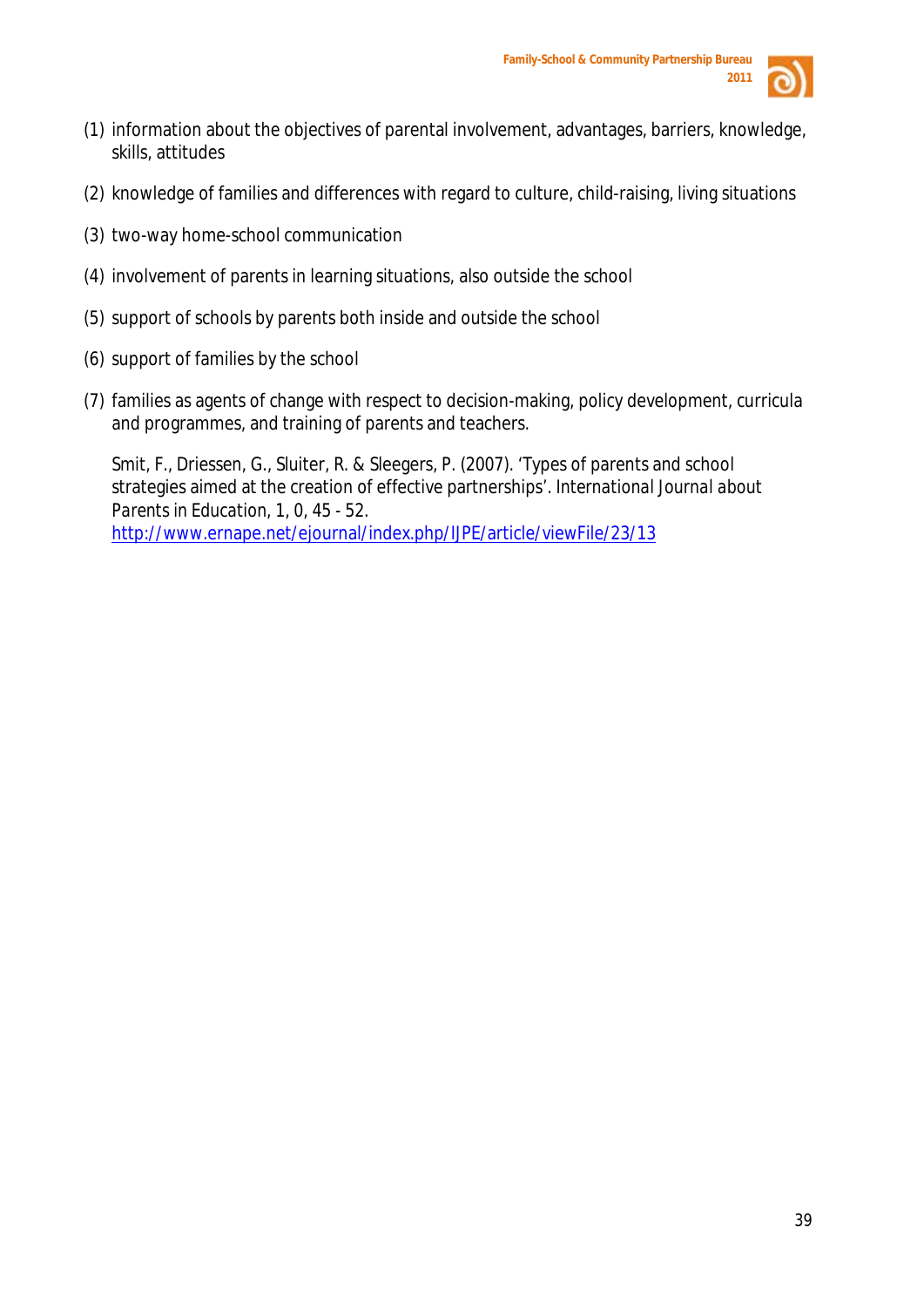

- (1) information about the objectives of parental involvement, advantages, barriers, knowledge, skills, attitudes
- (2) knowledge of families and differences with regard to culture, child-raising, living situations
- (3) two-way home-school communication
- (4) involvement of parents in learning situations, also outside the school
- (5) support of schools by parents both inside and outside the school
- (6) support of families by the school
- (7) families as agents of change with respect to decision-making, policy development, curricula and programmes, and training of parents and teachers.

Smit, F., Driessen, G., Sluiter, R. & Sleegers, P. (2007). 'Types of parents and school strategies aimed at the creation of effective partnerships'. *International Journal about Parents in Education,* 1, 0, 45 - 52. <http://www.ernape.net/ejournal/index.php/IJPE/article/viewFile/23/13>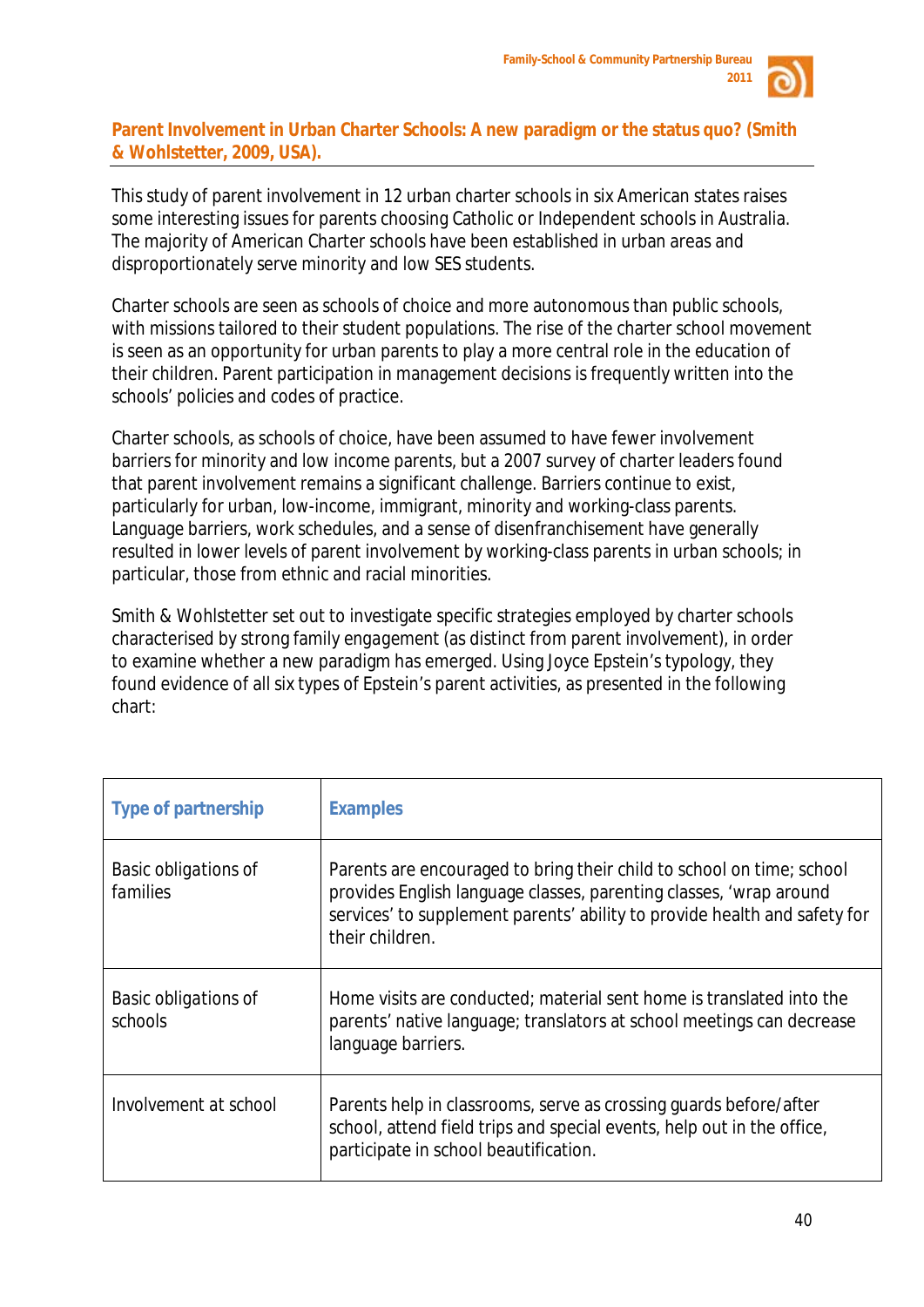

# **Parent Involvement in Urban Charter Schools: A new paradigm or the status quo? (Smith & Wohlstetter, 2009, USA).**

This study of parent involvement in 12 urban charter schools in six American states raises some interesting issues for parents choosing Catholic or Independent schools in Australia. The majority of American Charter schools have been established in urban areas and disproportionately serve minority and low SES students.

Charter schools are seen as schools of choice and more autonomous than public schools, with missions tailored to their student populations. The rise of the charter school movement is seen as an opportunity for urban parents to play a more central role in the education of their children. Parent participation in management decisions is frequently written into the schools' policies and codes of practice.

Charter schools, as schools of choice, have been assumed to have fewer involvement barriers for minority and low income parents, but a 2007 survey of charter leaders found that parent involvement remains a significant challenge. Barriers continue to exist, particularly for urban, low-income, immigrant, minority and working-class parents. Language barriers, work schedules, and a sense of disenfranchisement have generally resulted in lower levels of parent involvement by working-class parents in urban schools; in particular, those from ethnic and racial minorities.

Smith & Wohlstetter set out to investigate specific strategies employed by charter schools characterised by strong family *engagement* (as distinct from parent *involvement*), in order to examine whether a new paradigm has emerged. Using Joyce Epstein's typology, they found evidence of all six types of Epstein's parent activities, as presented in the following chart:

| <b>Type of partnership</b>              | <b>Examples</b>                                                                                                                                                                                                                             |
|-----------------------------------------|---------------------------------------------------------------------------------------------------------------------------------------------------------------------------------------------------------------------------------------------|
| <b>Basic obligations of</b><br>families | Parents are encouraged to bring their child to school on time; school<br>provides English language classes, parenting classes, 'wrap around<br>services' to supplement parents' ability to provide health and safety for<br>their children. |
| Basic obligations of<br>schools         | Home visits are conducted; material sent home is translated into the<br>parents' native language; translators at school meetings can decrease<br>language barriers.                                                                         |
| Involvement at school                   | Parents help in classrooms, serve as crossing guards before/after<br>school, attend field trips and special events, help out in the office,<br>participate in school beautification.                                                        |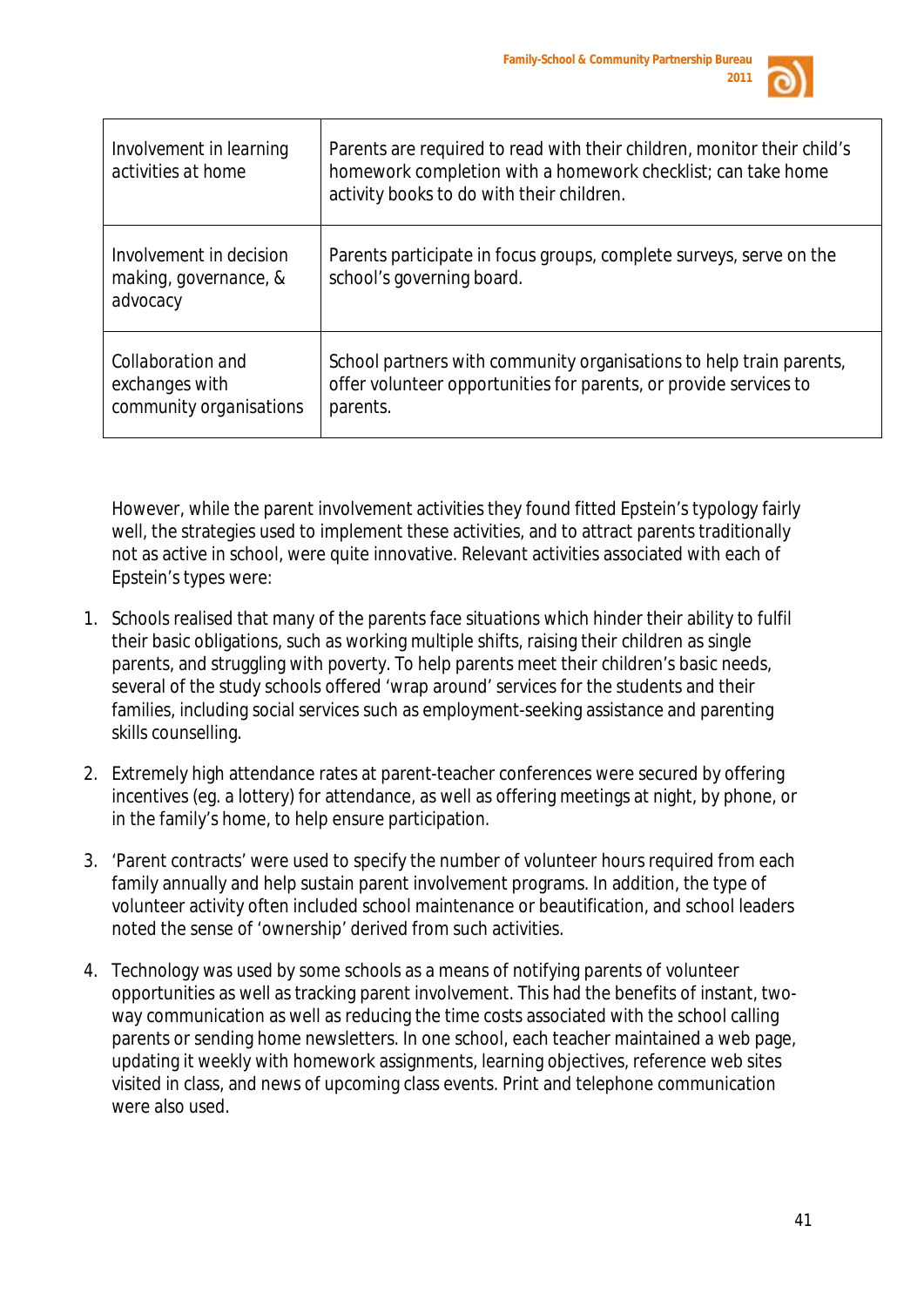

| Involvement in learning<br>activities at home                  | Parents are required to read with their children, monitor their child's<br>homework completion with a homework checklist; can take home<br>activity books to do with their children. |
|----------------------------------------------------------------|--------------------------------------------------------------------------------------------------------------------------------------------------------------------------------------|
| Involvement in decision<br>making, governance, &<br>advocacy   | Parents participate in focus groups, complete surveys, serve on the<br>school's governing board.                                                                                     |
| Collaboration and<br>exchanges with<br>community organisations | School partners with community organisations to help train parents,<br>offer volunteer opportunities for parents, or provide services to<br>parents.                                 |

However, while the parent involvement activities they found fitted Epstein's typology fairly well, the strategies used to implement these activities, and to attract parents traditionally not as active in school, were quite innovative. Relevant activities associated with each of Epstein's types were:

- 1. Schools realised that many of the parents face situations which hinder their ability to fulfil their basic obligations, such as working multiple shifts, raising their children as single parents, and struggling with poverty. To help parents meet their children's basic needs, several of the study schools offered 'wrap around' services for the students and their families, including social services such as employment-seeking assistance and parenting skills counselling.
- 2. Extremely high attendance rates at parent-teacher conferences were secured by offering incentives (eg. a lottery) for attendance, as well as offering meetings at night, by phone, or in the family's home, to help ensure participation.
- 3. 'Parent contracts' were used to specify the number of volunteer hours required from each family annually and help sustain parent involvement programs. In addition, the type of volunteer activity often included school maintenance or beautification, and school leaders noted the sense of 'ownership' derived from such activities.
- 4. Technology was used by some schools as a means of notifying parents of volunteer opportunities as well as tracking parent involvement. This had the benefits of instant, twoway communication as well as reducing the time costs associated with the school calling parents or sending home newsletters. In one school, each teacher maintained a web page, updating it weekly with homework assignments, learning objectives, reference web sites visited in class, and news of upcoming class events. Print and telephone communication were also used.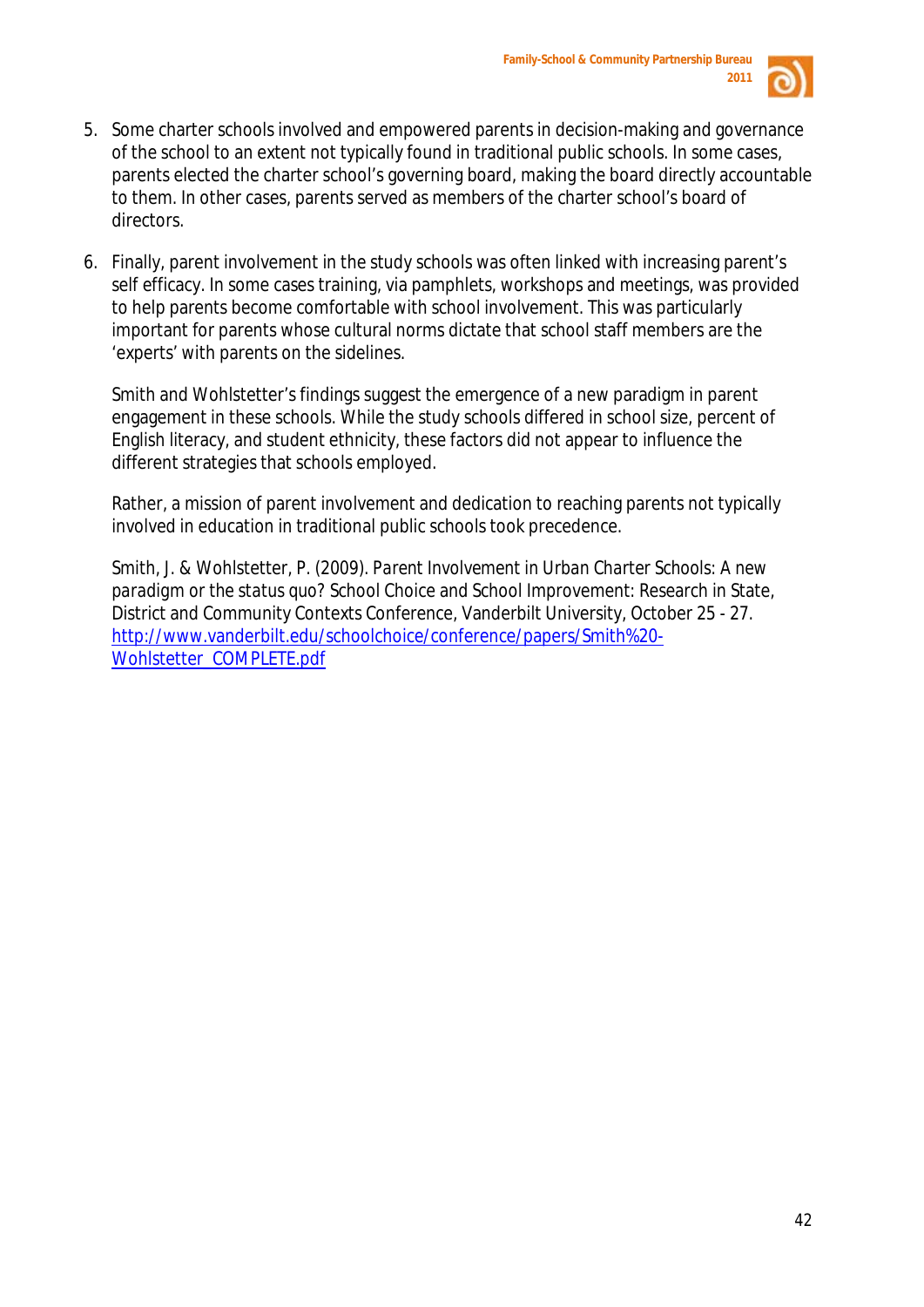

- 5. Some charter schools involved and empowered parents in decision-making and governance of the school to an extent not typically found in traditional public schools. In some cases, parents elected the charter school's governing board, making the board directly accountable to them. In other cases, parents served as members of the charter school's board of directors.
- 6. Finally, parent involvement in the study schools was often linked with increasing parent's self efficacy. In some cases training, via pamphlets, workshops and meetings, was provided to help parents become comfortable with school involvement. This was particularly important for parents whose cultural norms dictate that school staff members are the 'experts' with parents on the sidelines.

Smith and Wohlstetter's findings suggest the emergence of a new paradigm in parent engagement in these schools. While the study schools differed in school size, percent of English literacy, and student ethnicity, these factors did not appear to influence the different strategies that schools employed.

Rather, a mission of parent involvement and dedication to reaching parents not typically involved in education in traditional public schools took precedence.

Smith, J. & Wohlstetter, P. (2009). *Parent Involvement in Urban Charter Schools: A new paradigm or the status quo?* School Choice and School Improvement: Research in State, District and Community Contexts Conference, Vanderbilt University, October 25 - 27. [http://www.vanderbilt.edu/schoolchoice/conference/papers/Smith%20-](http://www.vanderbilt.edu/schoolchoice/conference/papers/Smith%20-Wohlstetter_COMPLETE.pdf) [Wohlstetter\\_COMPLETE.pdf](http://www.vanderbilt.edu/schoolchoice/conference/papers/Smith%20-Wohlstetter_COMPLETE.pdf)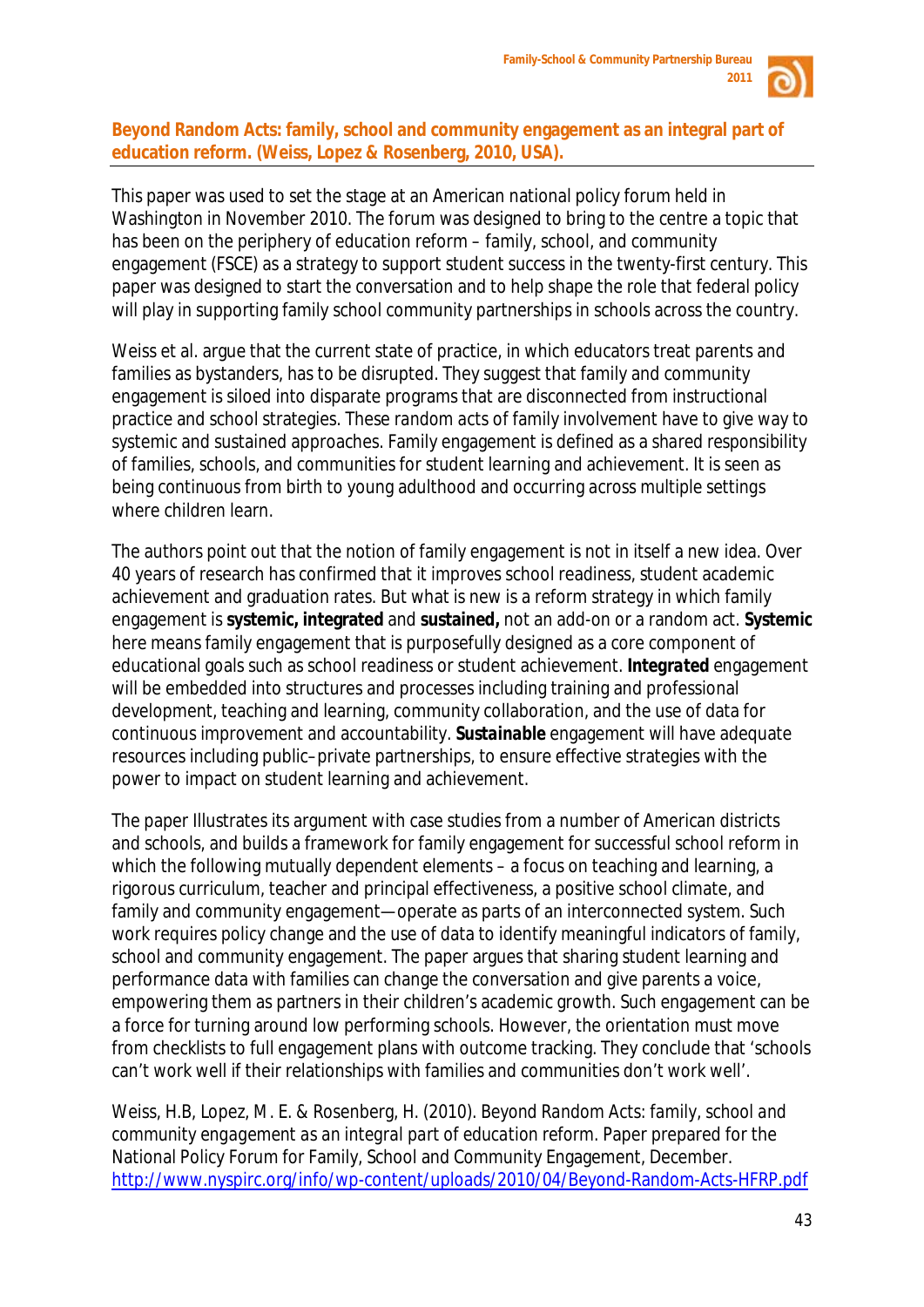

# **Beyond Random Acts: family, school and community engagement as an integral part of education reform. (Weiss, Lopez & Rosenberg, 2010, USA).**

This paper was used to set the stage at an American national policy forum held in Washington in November 2010. The forum was designed to bring to the centre a topic that has been on the periphery of education reform – family, school, and community engagement (FSCE) as a strategy to support student success in the twenty-first century. This paper was designed to start the conversation and to help shape the role that federal policy will play in supporting family school community partnerships in schools across the country.

Weiss et al. argue that the current state of practice, in which educators treat parents and families as bystanders, has to be disrupted. They suggest that family and community engagement is siloed into disparate programs that are disconnected from instructional practice and school strategies. These *random acts* of family involvement have to give way to systemic and sustained approaches. Family engagement is defined as a *shared responsibility*  of families, schools, and communities for student learning and achievement. It is seen as being *continuous* from birth to young adulthood and occurring *across multiple settings*  where children learn.

The authors point out that the notion of family engagement is not in itself a new idea. Over 40 years of research has confirmed that it improves school readiness, student academic achievement and graduation rates. But what is new is a reform strategy in which family engagement is **systemic, integrated** and **sustained,** not an add-on or a random act. *Systemic*  here means family engagement that is purposefully designed as a core component of educational goals such as school readiness or student achievement. *Integrated* engagement will be embedded into structures and processes including training and professional development, teaching and learning, community collaboration, and the use of data for continuous improvement and accountability. *Sustainable* engagement will have adequate resources including public–private partnerships, to ensure effective strategies with the power to impact on student learning and achievement.

The paper Illustrates its argument with case studies from a number of American districts and schools, and builds a framework for family engagement for successful school reform in which the following mutually dependent elements – a focus on teaching and learning, a rigorous curriculum, teacher and principal effectiveness, a positive school climate, and family and community engagement—operate as parts of an interconnected system. Such work requires policy change and the use of data to identify meaningful indicators of family, school and community engagement. The paper argues that sharing student learning and performance data with families can change the conversation and give parents a voice, empowering them as partners in their children's academic growth. Such engagement can be a force for turning around low performing schools. However, the orientation must move from checklists to full engagement plans with outcome tracking. They conclude that 'schools can't work well if their relationships with families and communities don't work well'.

Weiss, H.B, Lopez, M. E. & Rosenberg, H. (2010). *Beyond Random Acts: family, school and community engagement as an integral part of education reform.* Paper prepared for the National Policy Forum for Family, School and Community Engagement, December. <http://www.nyspirc.org/info/wp-content/uploads/2010/04/Beyond-Random-Acts-HFRP.pdf>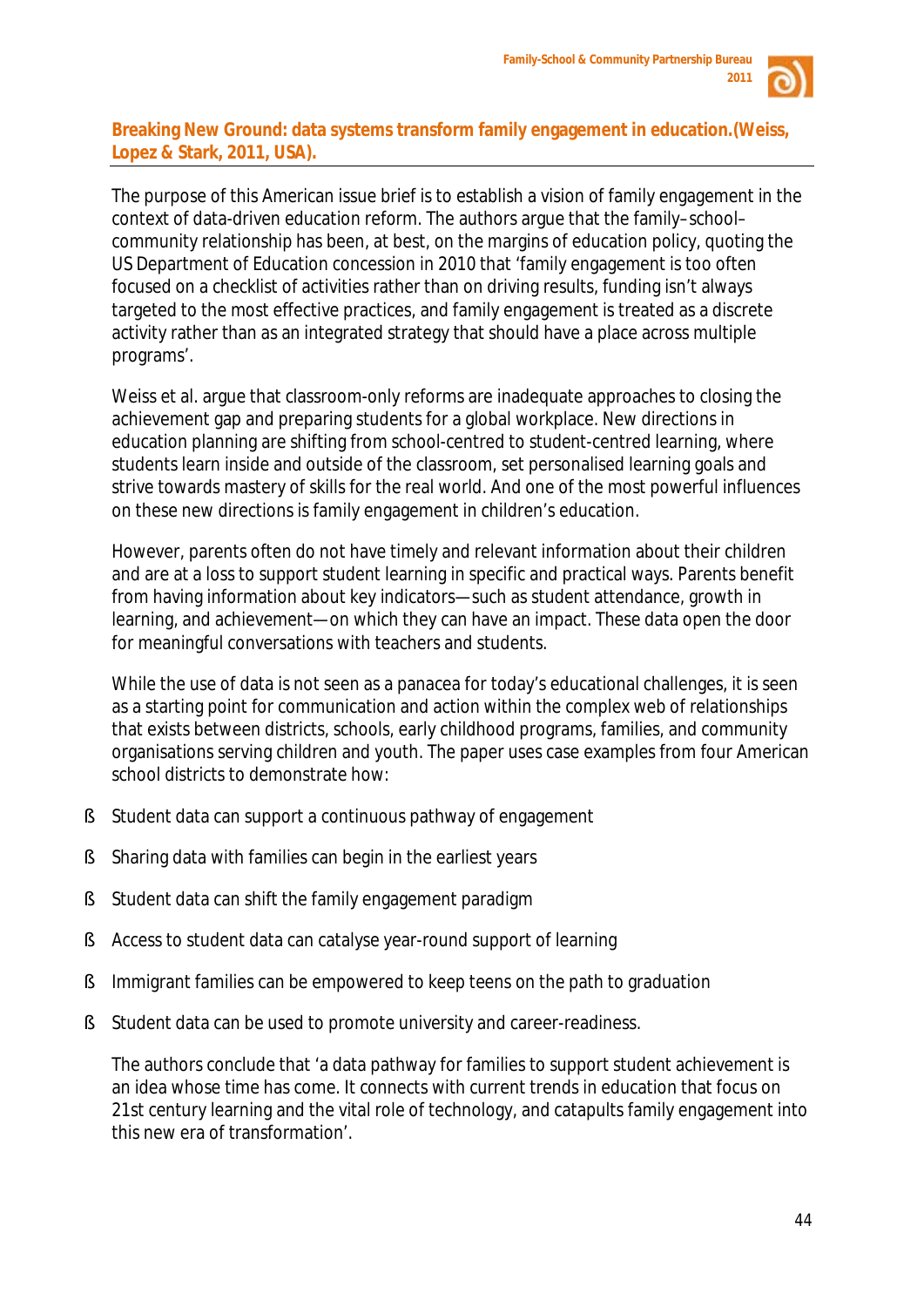

# **Breaking New Ground: data systems transform family engagement in education.(Weiss, Lopez & Stark, 2011, USA).**

The purpose of this American issue brief is to establish a vision of family engagement in the context of data-driven education reform. The authors argue that the family–school– community relationship has been, at best, on the margins of education policy, quoting the US Department of Education concession in 2010 that 'family engagement is too often focused on a checklist of activities rather than on driving results, funding isn't always targeted to the most effective practices, and family engagement is treated as a discrete activity rather than as an integrated strategy that should have a place across multiple programs'.

Weiss et al. argue that classroom-only reforms are inadequate approaches to closing the achievement gap and preparing students for a global workplace. New directions in education planning are shifting from school-centred to *student*-centred learning, where students learn inside and outside of the classroom, set personalised learning goals and strive towards mastery of skills for the real world. And one of the most powerful influences on these new directions is family engagement in children's education.

However, parents often do not have timely and relevant information about their children and are at a loss to support student learning in specific and practical ways. Parents benefit from having information about key indicators—such as student attendance, growth in learning, and achievement—on which they can have an impact. These data open the door for meaningful conversations with teachers and students.

While the use of data is not seen as a panacea for today's educational challenges, it is seen as a starting point for communication and action within the complex web of relationships that exists between districts, schools, early childhood programs, families, and community organisations serving children and youth. The paper uses case examples from four American school districts to demonstrate how:

- § Student data can support a continuous pathway of engagement
- § Sharing data with families can begin in the earliest years
- § Student data can shift the family engagement paradigm
- § Access to student data can catalyse year-round support of learning
- **§** Immigrant families can be empowered to keep teens on the path to graduation
- § Student data can be used to promote university and career-readiness.

The authors conclude that 'a data pathway for families to support student achievement is an idea whose time has come. It connects with current trends in education that focus on 21st century learning and the vital role of technology, and catapults family engagement into this new era of transformation'.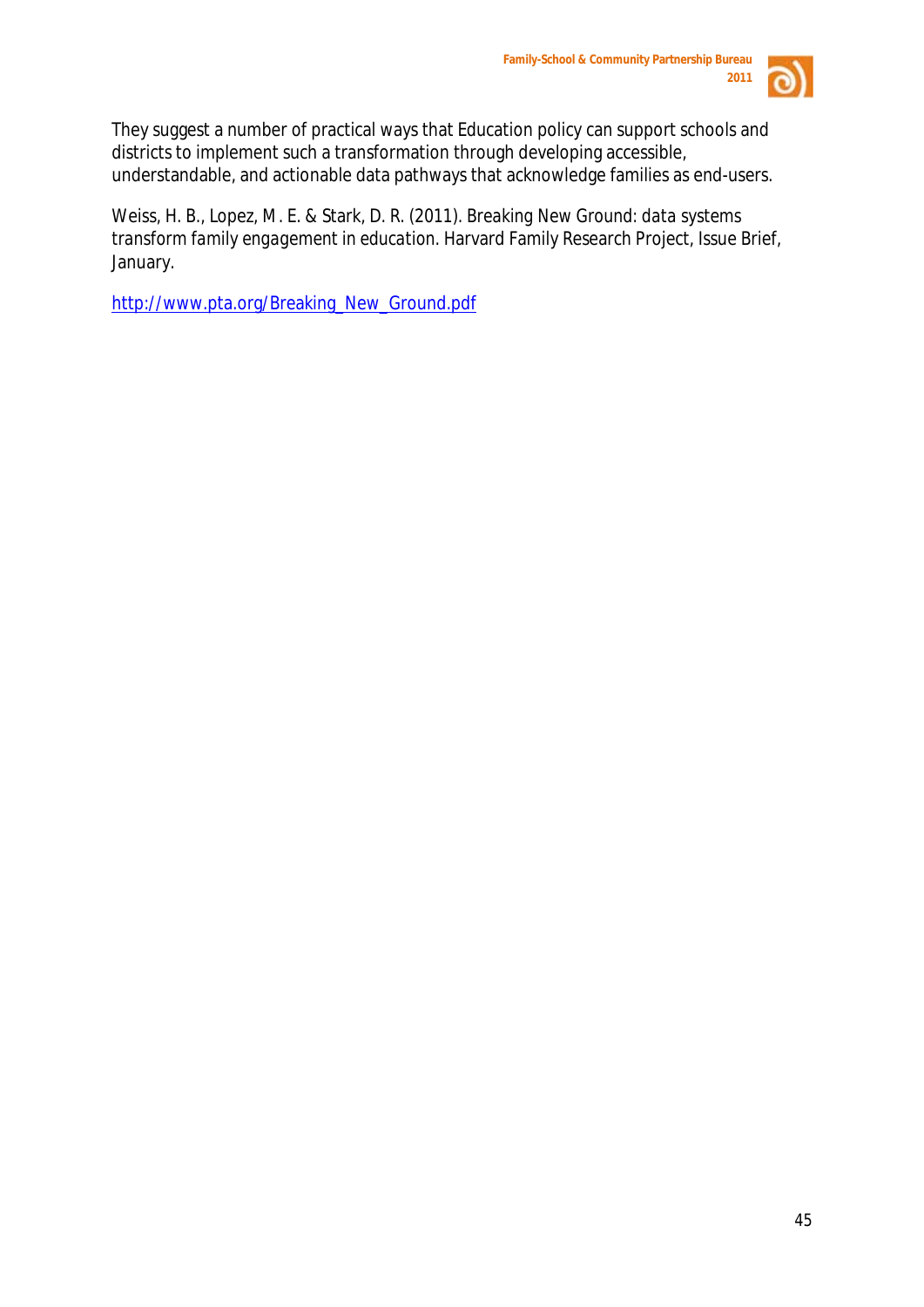

They suggest a number of practical ways that Education policy can support schools and districts to implement such a transformation through developing accessible, understandable, and actionable data pathways that acknowledge families as end-users.

Weiss, H. B., Lopez, M. E. & Stark, D. R. (2011). *Breaking New Ground: data systems transform family engagement in education.* Harvard Family Research Project, Issue Brief, January.

[http://www.pta.org/Breaking\\_New\\_Ground.pdf](http://www.pta.org/Breaking_New_Ground.pdf)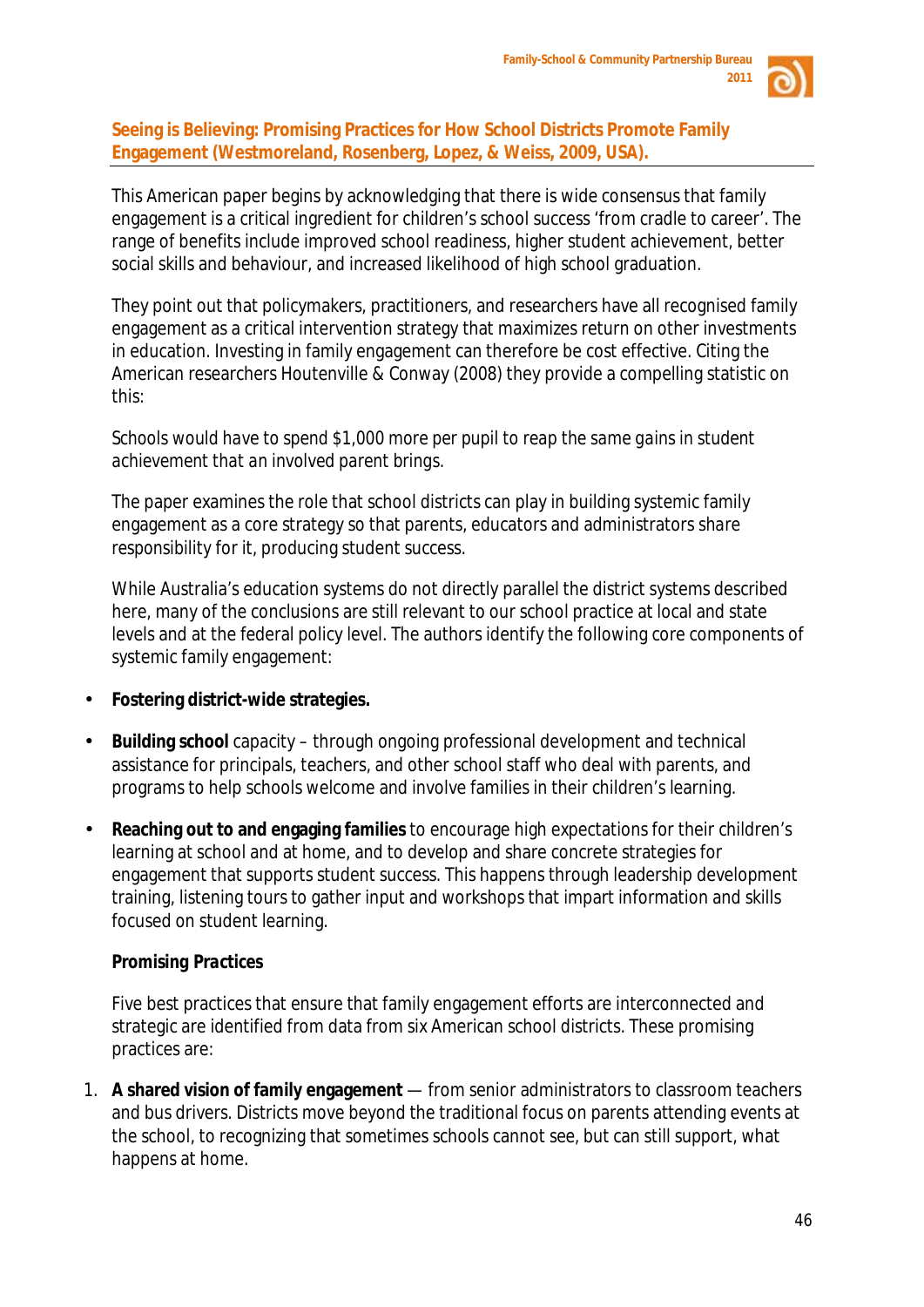

#### **Seeing is Believing: Promising Practices for How School Districts Promote Family Engagement (Westmoreland, Rosenberg, Lopez, & Weiss, 2009, USA).**

This American paper begins by acknowledging that there is wide consensus that family engagement is a critical ingredient for children's school success 'from cradle to career'. The range of benefits include improved school readiness, higher student achievement, better social skills and behaviour, and increased likelihood of high school graduation.

They point out that policymakers, practitioners, and researchers have all recognised family engagement as a critical intervention strategy that maximizes return on other investments in education. Investing in family engagement can therefore be cost effective. Citing the American researchers Houtenville & Conway (2008) they provide a compelling statistic on this:

# *Schools would have to spend \$1,000 more per pupil to reap the same gains in student achievement that an involved parent brings.*

The paper examines the role that school districts can play in building systemic family engagement as a core strategy so that parents, educators and administrators *share responsibility* for it, producing student success.

While Australia's education systems do not directly parallel the district systems described here, many of the conclusions are still relevant to our school practice at local and state levels and at the federal policy level. The authors identify the following core components of systemic family engagement:

- **Fostering district-wide strategies.**
- **Building school** capacity through ongoing professional development and technical assistance for principals, teachers, and other school staff who deal with parents, and programs to help schools welcome and involve families in their children's learning.
- **Reaching out to and engaging families** to encourage high expectations for their children's learning at school and at home, and to develop and share concrete strategies for engagement that supports student success. This happens through leadership development training, listening tours to gather input and workshops that impart information and skills focused on student learning.

# *Promising Practices*

Five best practices that ensure that family engagement efforts are interconnected and strategic are identified from data from six American school districts. These promising practices are:

1. **A shared vision of family engagement** — from senior administrators to classroom teachers and bus drivers. Districts move beyond the traditional focus on parents attending events at the school, to recognizing that sometimes schools cannot *see*, but can still *support*, what happens at home.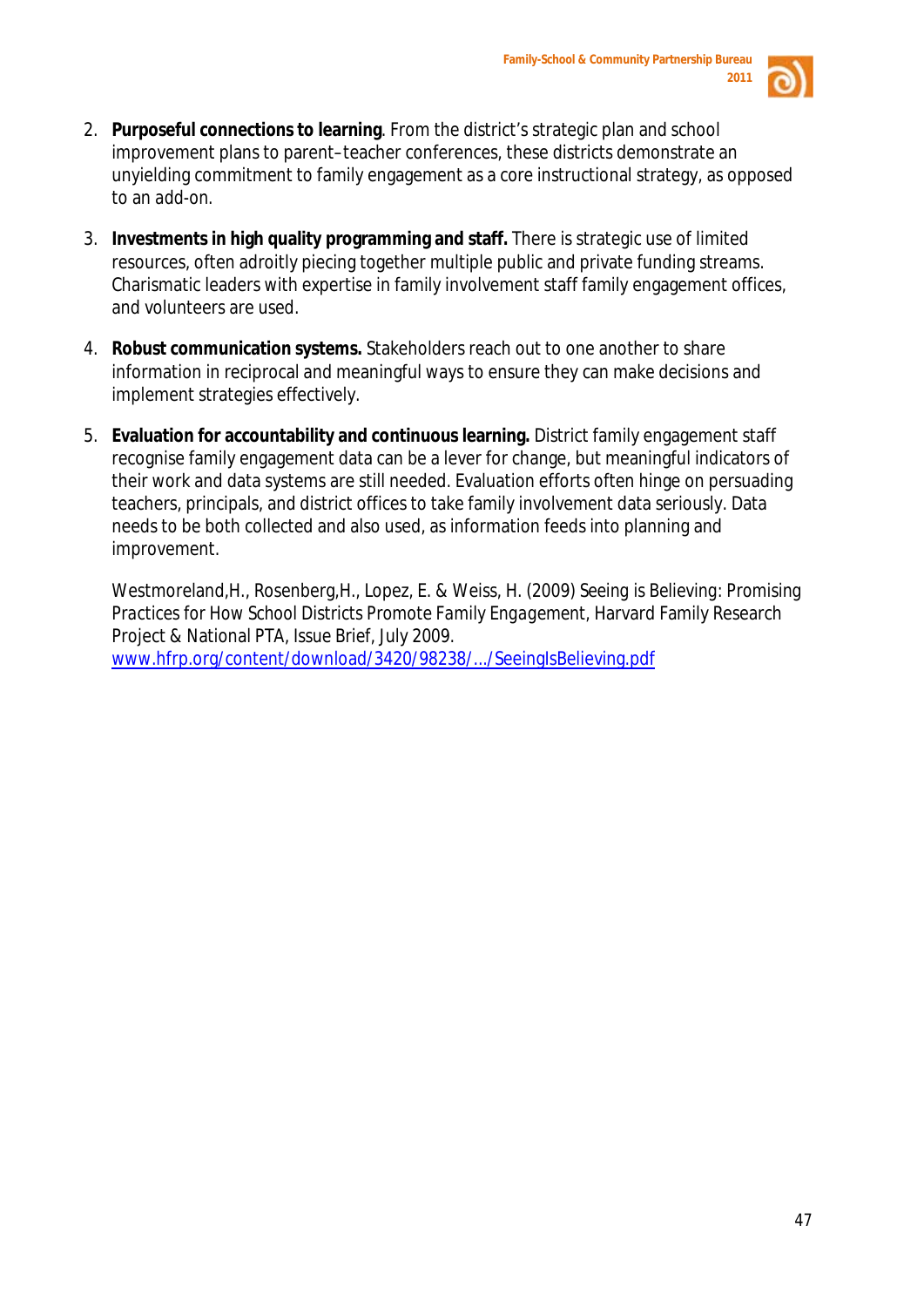

- 2. **Purposeful connections to learning**. From the district's strategic plan and school improvement plans to parent–teacher conferences, these districts demonstrate an unyielding commitment to family engagement as a *core* instructional strategy, as opposed to an *add-on.*
- 3. **Investments in high quality programming and staff.** There is strategic use of limited resources, often adroitly piecing together multiple public and private funding streams. Charismatic leaders with expertise in family involvement staff family engagement offices, and volunteers are used.
- 4. **Robust communication systems.** Stakeholders reach out to one another to share information in reciprocal and meaningful ways to ensure they can make decisions and implement strategies effectively.
- 5. **Evaluation for accountability and continuous learning.** District family engagement staff recognise family engagement data can be a lever for change, but meaningful indicators of their work and data systems are still needed. Evaluation efforts often hinge on persuading teachers, principals, and district offices to take family involvement data seriously. Data needs to be both collected and also used, as information feeds into planning and improvement.

Westmoreland,H., Rosenberg,H., Lopez, E. & Weiss, H. (2009) *Seeing is Believing: Promising Practices for How School Districts Promote Family Engagement,* Harvard Family Research Project & National PTA, *Issue Brief,* July 2009. [www.hfrp.org/content/download/3420/98238/.../SeeingIsBelieving.pdf](http://www.hfrp.org/content/download/3420/98238/.../SeeingIsBelieving.pdf)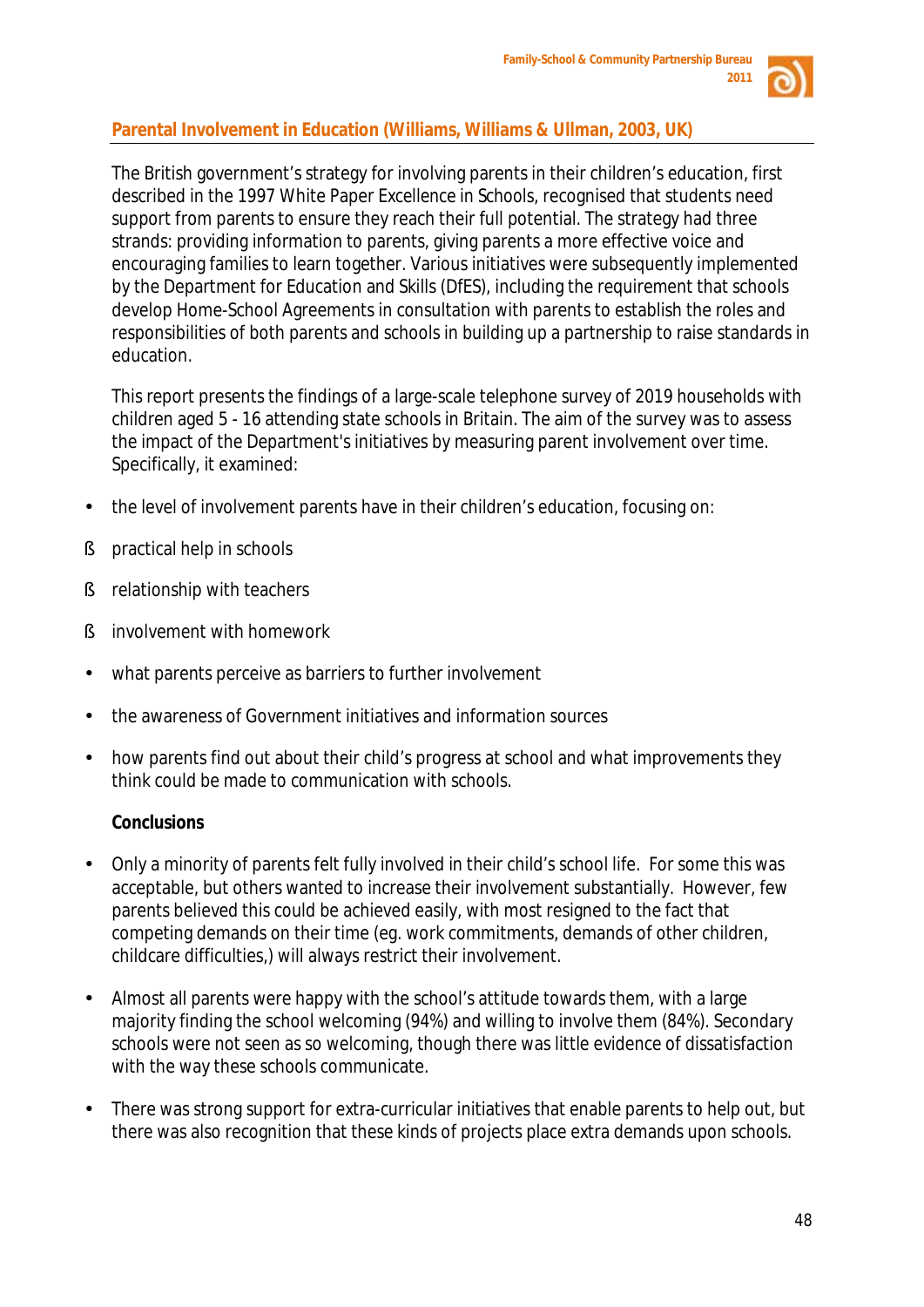

# **Parental Involvement in Education (Williams, Williams & Ullman, 2003, UK)**

The British government's strategy for involving parents in their children's education, first described in the 1997 White Paper *Excellence in Schools*, recognised that students need support from parents to ensure they reach their full potential. The strategy had three strands: providing information to parents, giving parents a more effective voice and encouraging families to learn together. Various initiatives were subsequently implemented by the Department for Education and Skills (DfES), including the requirement that schools develop Home-School Agreements in consultation with parents to establish the roles and responsibilities of both parents and schools in building up a partnership to raise standards in education.

This report presents the findings of a large-scale telephone survey of 2019 households with children aged 5 - 16 attending state schools in Britain. The aim of the survey was to assess the impact of the Department's initiatives by measuring parent involvement over time. Specifically, it examined:

- the level of involvement parents have in their children's education, focusing on:
- § practical help in schools
- **§** relationship with teachers
- § involvement with homework
- what parents perceive as barriers to further involvement
- the awareness of Government initiatives and information sources
- how parents find out about their child's progress at school and what improvements they think could be made to communication with schools.

# **Conclusions**

- Only a minority of parents felt fully involved in their child's school life. For some this was acceptable, but others wanted to increase their involvement substantially. However, few parents believed this could be achieved easily, with most resigned to the fact that competing demands on their time (eg. work commitments, demands of other children, childcare difficulties,) will always restrict their involvement.
- Almost all parents were happy with the school's attitude towards them, with a large majority finding the school welcoming (94%) and willing to involve them (84%). Secondary schools were not seen as so welcoming, though there was little evidence of dissatisfaction with the way these schools communicate.
- There was strong support for extra-curricular initiatives that enable parents to help out, but there was also recognition that these kinds of projects place extra demands upon schools.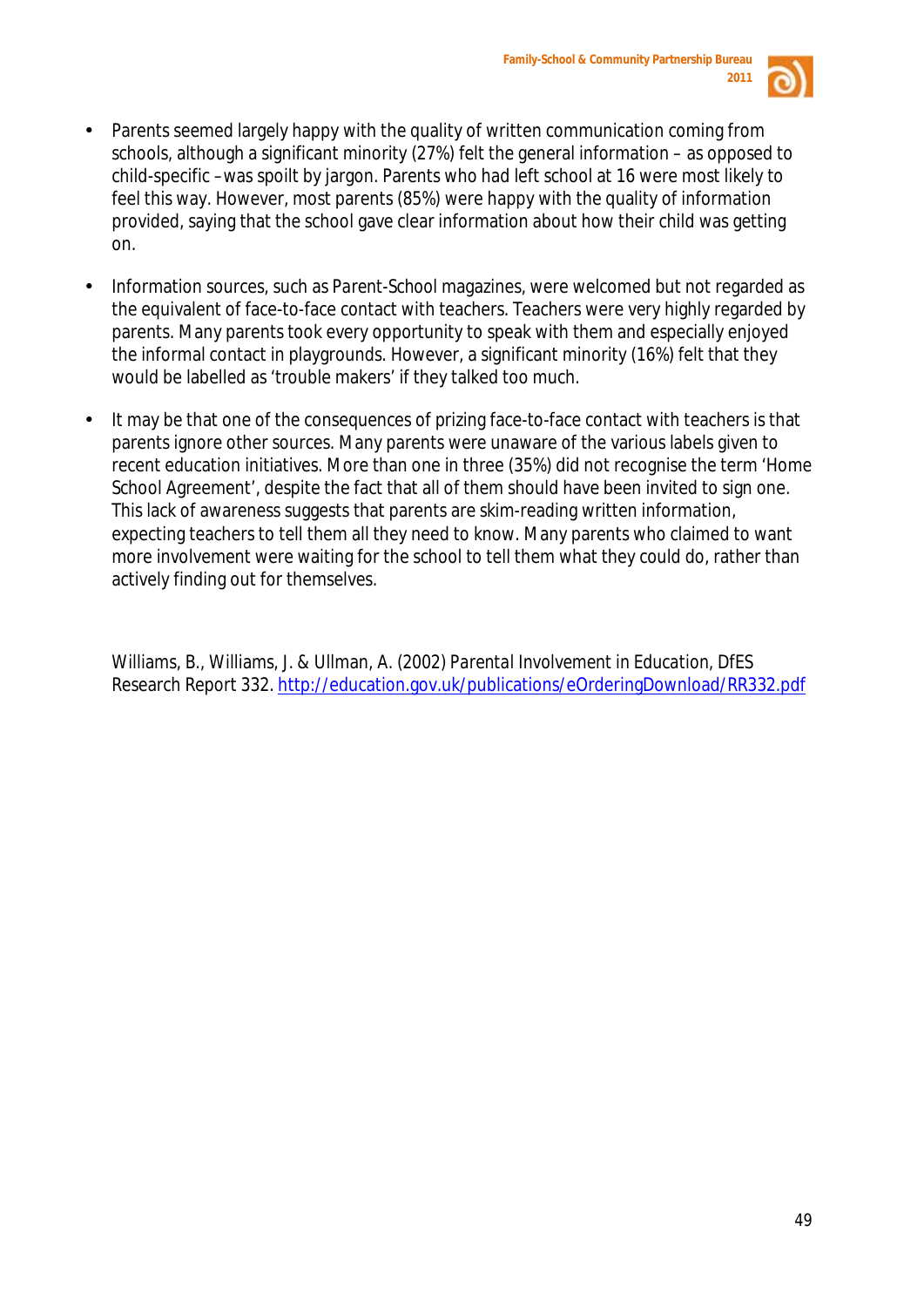

- Parents seemed largely happy with the quality of written communication coming from schools, although a significant minority (27%) felt the general information – as opposed to child-specific –was spoilt by jargon. Parents who had left school at 16 were most likely to feel this way. However, most parents (85%) were happy with the quality of information provided, saying that the school gave clear information about how their child was getting on.
- Information sources, such as *Parent-School* magazines, were welcomed but not regarded as the equivalent of face-to-face contact with teachers. Teachers were very highly regarded by parents. Many parents took every opportunity to speak with them and especially enjoyed the informal contact in playgrounds. However, a significant minority (16%) felt that they would be labelled as 'trouble makers' if they talked too much.
- It may be that one of the consequences of prizing face-to-face contact with teachers is that parents ignore other sources. Many parents were unaware of the various labels given to recent education initiatives. More than one in three (35%) did not recognise the term 'Home School Agreement', despite the fact that all of them should have been invited to sign one. This lack of awareness suggests that parents are skim-reading written information, expecting teachers to tell them all they need to know. Many parents who claimed to want more involvement were waiting for the school to tell them what they could do, rather than actively finding out for themselves.

Williams, B., Williams, J. & Ullman, A. (2002) *Parental Involvement in Education*, DfES Research Report 332.<http://education.gov.uk/publications/eOrderingDownload/RR332.pdf>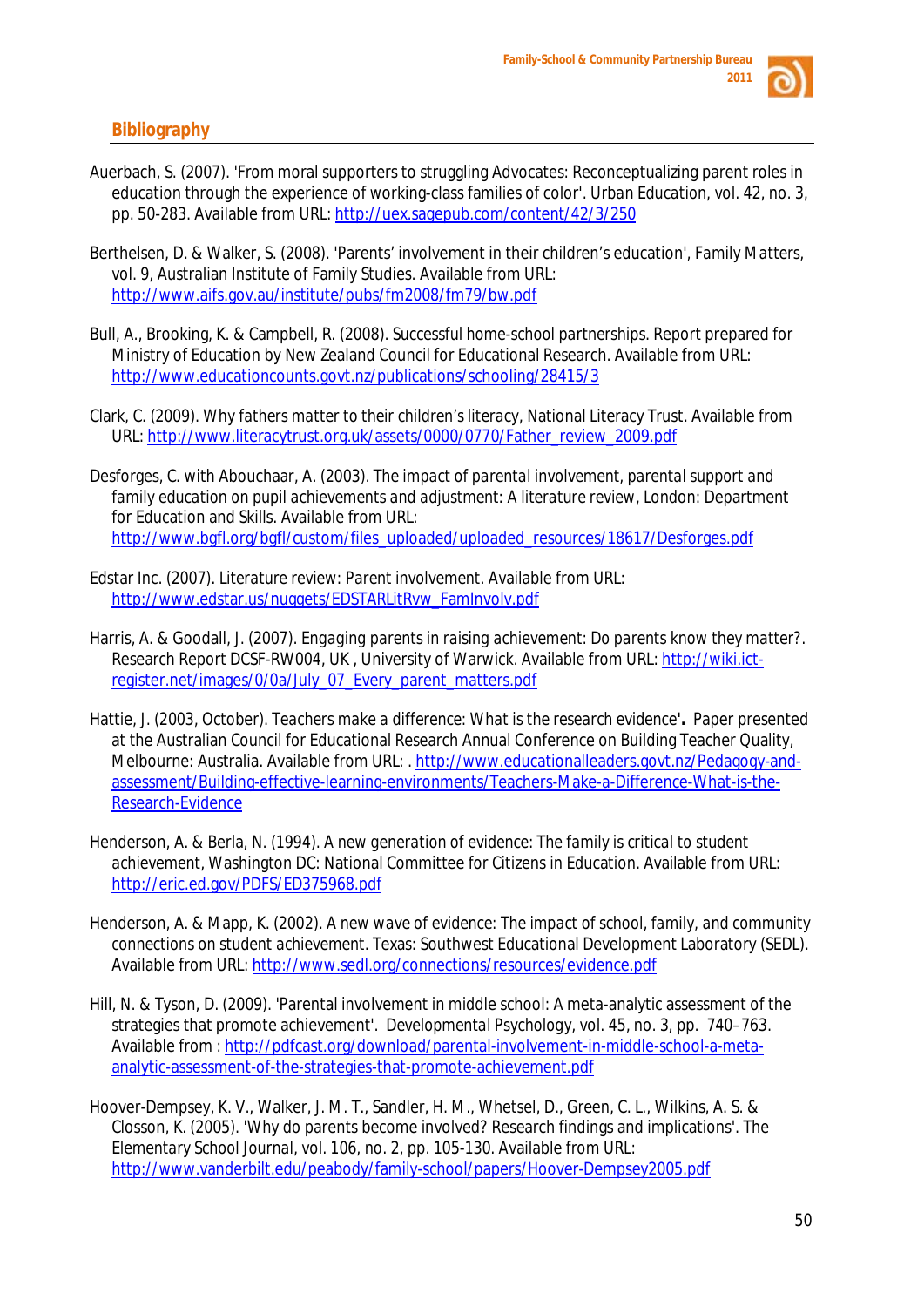

#### **Bibliography**

- Auerbach, S. (2007). 'From moral supporters to struggling Advocates: Reconceptualizing parent roles in education through the experience of working-class families of color'*. Urban Education,* vol. 42, no. 3, pp. 50-283. Available from URL:<http://uex.sagepub.com/content/42/3/250>
- Berthelsen, D. & Walker, S. (2008). 'Parents' involvement in their children's education', *Family Matters*, vol. 9, Australian Institute of Family Studies. Available from URL: <http://www.aifs.gov.au/institute/pubs/fm2008/fm79/bw.pdf>
- Bull, A., Brooking, K. & Campbell, R. (2008). *Successful home-school partnerships*. Report prepared for Ministry of Education by New Zealand Council for Educational Research. Available from URL: <http://www.educationcounts.govt.nz/publications/schooling/28415/3>
- Clark, C. (2009). *Why fathers matter to their children's literacy*, National Literacy Trust. Available from URL: [http://www.literacytrust.org.uk/assets/0000/0770/Father\\_review\\_2009.pdf](http://www.literacytrust.org.uk/assets/0000/0770/Father_review_2009.pdf)
- Desforges, C. with Abouchaar, A. (2003). *The impact of parental involvement, parental support and family education on pupil achievements and adjustment: A literature review*, London: Department for Education and Skills. Available from URL: [http://www.bgfl.org/bgfl/custom/files\\_uploaded/uploaded\\_resources/18617/Desforges.pdf](http://www.bgfl.org/bgfl/custom/files_uploaded/uploaded_resources/18617/Desforges.pdf)
- Edstar Inc. (2007). *Literature review: Parent involvement.* Available from URL: [http://www.edstar.us/nuggets/EDSTARLitRvw\\_FamInvolv.pdf](http://www.edstar.us/nuggets/EDSTARLitRvw_FamInvolv.pdf)
- Harris, A. & Goodall, J. (2007). *Engaging parents in raising achievement: Do parents know they matter?*. Research Report DCSF-RW004, UK, University of Warwick. Available from URL: [http://wiki.ict](http://wiki.ict-register.net/images/0/0a/July_07_Every_parent_matters.pdf)[register.net/images/0/0a/July\\_07\\_Every\\_parent\\_matters.pdf](http://wiki.ict-register.net/images/0/0a/July_07_Every_parent_matters.pdf)
- Hattie, J. (2003, October). *Teachers make a difference: What is the research evidence'.* Paper presented at the Australian Council for Educational Research Annual Conference on Building Teacher Quality, Melbourne: Australia. Available from URL: . [http://www.educationalleaders.govt.nz/Pedagogy-and](http://www.educationalleaders.govt.nz/Pedagogy-and-assessment/Building-effective-learning-environments/Teachers-Make-a-Difference-What-is-the-Research-Evidence)[assessment/Building-effective-learning-environments/Teachers-Make-a-Difference-What-is-the-](http://www.educationalleaders.govt.nz/Pedagogy-and-assessment/Building-effective-learning-environments/Teachers-Make-a-Difference-What-is-the-Research-Evidence)[Research-Evidence](http://www.educationalleaders.govt.nz/Pedagogy-and-assessment/Building-effective-learning-environments/Teachers-Make-a-Difference-What-is-the-Research-Evidence)
- Henderson, A. & Berla, N. (1994). *A new generation of evidence: The family is critical to student achievement*, Washington DC: National Committee for Citizens in Education. Available from URL: <http://eric.ed.gov/PDFS/ED375968.pdf>
- Henderson, A. & Mapp, K. (2002). *A new wave of evidence: The impact of school, family, and community connections on student achievement*. Texas: Southwest Educational Development Laboratory (SEDL). Available from URL[: http://www.sedl.org/connections/resources/evidence.pdf](http://www.sedl.org/connections/resources/evidence.pdf)
- Hill, N. & Tyson, D. (2009). 'Parental involvement in middle school: A meta-analytic assessment of the strategies that promote achievement'. *Developmental Psychology*, vol. 45, no. 3, pp. 740–763. Available from : [http://pdfcast.org/download/parental-involvement-in-middle-school-a-meta](http://pdfcast.org/download/parental-involvement-in-middle-school-a-meta-analytic-assessment-of-the-strategies-that-promote-achievement.pdf)[analytic-assessment-of-the-strategies-that-promote-achievement.pdf](http://pdfcast.org/download/parental-involvement-in-middle-school-a-meta-analytic-assessment-of-the-strategies-that-promote-achievement.pdf)
- Hoover-Dempsey, K. V., Walker, J. M. T., Sandler, H. M., Whetsel, D., Green, C. L., Wilkins, A. S. & Closson, K. (2005). 'Why do parents become involved? Research findings and implications'. *The Elementary School Journal*, vol. 106, no. 2, pp. 105-130. Available from URL: <http://www.vanderbilt.edu/peabody/family-school/papers/Hoover-Dempsey2005.pdf>